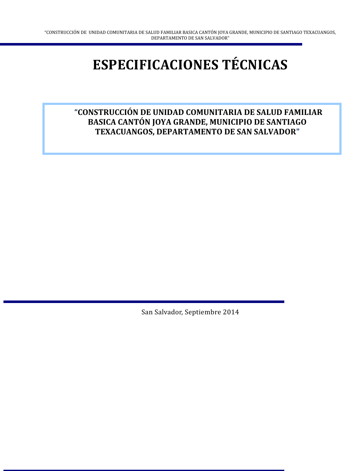# **ESPECIFICACIONES TÉCNICAS**

## **"CONSTRUCCIÓN DE UNIDAD COMUNITARIA DE SALUD FAMILIAR BASICA CANTÓN JOYA GRANDE, MUNICIPIO DE SANTIAGO TEXACUANGOS, DEPARTAMENTO DE SAN SALVADOR"**

San Salvador, Septiembre 2014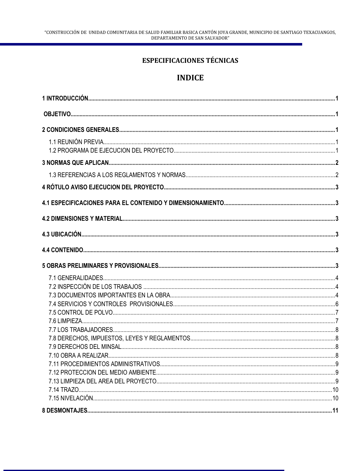## **ESPECIFICACIONES TÉCNICAS**

## **INDICE**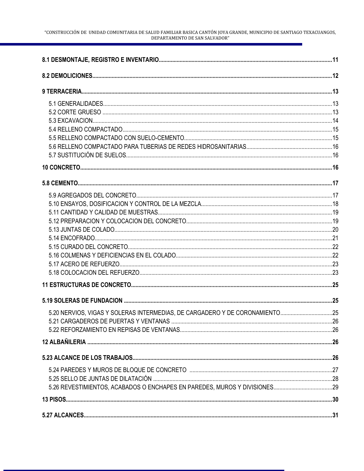| 5.20 NERVIOS, VIGAS Y SOLERAS INTERMEDIAS, DE CARGADERO Y DE CORONAMIENTO25 |  |
|-----------------------------------------------------------------------------|--|
|                                                                             |  |
|                                                                             |  |
|                                                                             |  |
|                                                                             |  |
|                                                                             |  |
|                                                                             |  |
|                                                                             |  |
|                                                                             |  |
|                                                                             |  |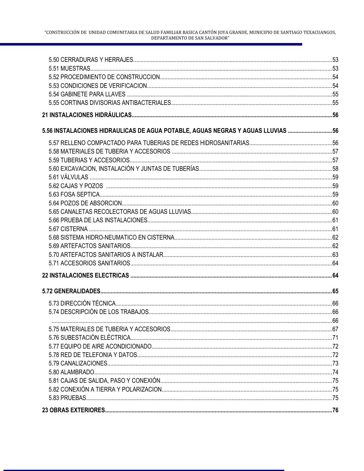| 5.56 INSTALACIONES HIDRAULICAS DE AGUA POTABLE, AGUAS NEGRAS Y AGUAS LLUVIAS 56 |  |
|---------------------------------------------------------------------------------|--|
|                                                                                 |  |
|                                                                                 |  |
|                                                                                 |  |
|                                                                                 |  |
|                                                                                 |  |
|                                                                                 |  |
|                                                                                 |  |
|                                                                                 |  |
|                                                                                 |  |
|                                                                                 |  |
|                                                                                 |  |
|                                                                                 |  |
|                                                                                 |  |
|                                                                                 |  |
|                                                                                 |  |
|                                                                                 |  |
|                                                                                 |  |
|                                                                                 |  |
|                                                                                 |  |
|                                                                                 |  |
|                                                                                 |  |
|                                                                                 |  |
|                                                                                 |  |
|                                                                                 |  |
|                                                                                 |  |
|                                                                                 |  |
|                                                                                 |  |
|                                                                                 |  |
|                                                                                 |  |
|                                                                                 |  |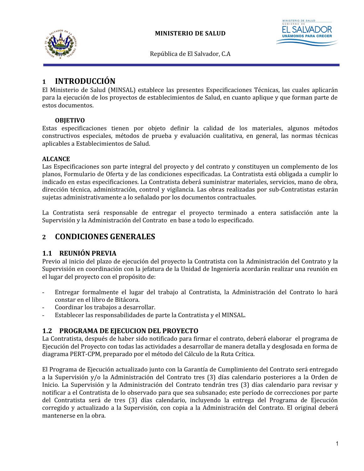



## <span id="page-6-4"></span>**1 INTRODUCCIÓN**

El Ministerio de Salud (MINSAL) establece las presentes Especificaciones Técnicas, las cuales aplicarán para la ejecución de los proyectos de establecimientos de Salud, en cuanto aplique y que forman parte de estos documentos.

#### <span id="page-6-3"></span>**OBJETIVO**

Estas especificaciones tienen por objeto definir la calidad de los materiales, algunos métodos constructivos especiales, métodos de prueba y evaluación cualitativa, en general, las normas técnicas aplicables a Establecimientos de Salud.

#### **ALCANCE**

Las Especificaciones son parte integral del proyecto y del contrato y constituyen un complemento de los planos, Formulario de Oferta y de las condiciones especificadas. La Contratista está obligada a cumplir lo indicado en estas especificaciones. La Contratista deberá suministrar materiales, servicios, mano de obra, dirección técnica, administración, control y vigilancia. Las obras realizadas por sub-Contratistas estarán sujetas administrativamente a lo señalado por los documentos contractuales.

La Contratista será responsable de entregar el proyecto terminado a entera satisfacción ante la Supervisión y la Administración del Contrato en base a todo lo especificado.

## <span id="page-6-2"></span>**2 CONDICIONES GENERALES**

#### <span id="page-6-1"></span>**1.1 REUNIÓN PREVIA**

Previo al inicio del plazo de ejecución del proyecto la Contratista con la Administración del Contrato y la Supervisión en coordinación con la jefatura de la Unidad de Ingeniería acordarán realizar una reunión en el lugar del proyecto con el propósito de:

- Entregar formalmente el lugar del trabajo al Contratista, la Administración del Contrato lo hará constar en el libro de Bitácora.
- Coordinar los trabajos a desarrollar.
- Establecer las responsabilidades de parte la Contratista y el MINSAL.

#### <span id="page-6-0"></span>**1.2 PROGRAMA DE EJECUCION DEL PROYECTO**

La Contratista, después de haber sido notificado para firmar el contrato, deberá elaborar el programa de Ejecución del Proyecto con todas las actividades a desarrollar de manera detalla y desglosada en forma de diagrama PERT-CPM, preparado por el método del Cálculo de la Ruta Crítica.

El Programa de Ejecución actualizado junto con la Garantía de Cumplimiento del Contrato será entregado a la Supervisión y/o la Administración del Contrato tres (3) días calendario posteriores a la Orden de Inicio. La Supervisión y la Administración del Contrato tendrán tres (3) días calendario para revisar y notificar a el Contratista de lo observado para que sea subsanado; este período de correcciones por parte del Contratista será de tres (3) días calendario, incluyendo la entrega del Programa de Ejecución corregido y actualizado a la Supervisión, con copia a la Administración del Contrato. El original deberá mantenerse en la obra.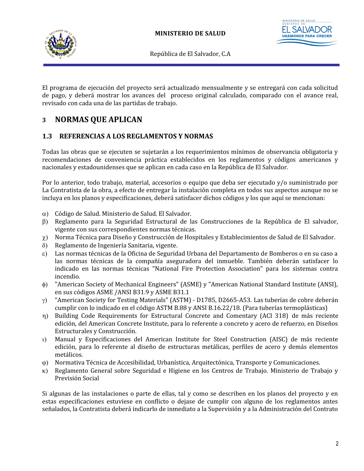



El programa de ejecución del proyecto será actualizado mensualmente y se entregará con cada solicitud de pago, y deberá mostrar los avances del proceso original calculado, comparado con el avance real, revisado con cada una de las partidas de trabajo.

## <span id="page-7-1"></span>**3 NORMAS QUE APLICAN**

## <span id="page-7-0"></span>**1.3 REFERENCIAS A LOS REGLAMENTOS Y NORMAS**

Todas las obras que se ejecuten se sujetarán a los requerimientos mínimos de observancia obligatoria y recomendaciones de conveniencia práctica establecidos en los reglamentos y códigos americanos y nacionales y estadounidenses que se aplican en cada caso en la República de El Salvador.

Por lo anterior, todo trabajo, material, accesorios o equipo que deba ser ejecutado y/o suministrado por La Contratista de la obra, a efecto de entregar la instalación completa en todos sus aspectos aunque no se incluya en los planos y especificaciones, deberá satisfacer dichos códigos y los que aquí se mencionan:

- a) Código de Salud. Ministerio de Salud. El Salvador.
- b) Reglamento para la Seguridad Estructural de las Construcciones de la República de El salvador, vigente con sus correspondientes normas técnicas.
- $\chi$ ) Norma Técnica para Diseño y Construcción de Hospitales y Establecimientos de Salud de El Salvador.
- d) Reglamento de Ingeniería Sanitaria, vigente.
- e) Las normas técnicas de la Oficina de Seguridad Urbana del Departamento de Bomberos o en su caso a las normas técnicas de la compañía aseguradora del inmueble. También deberán satisfacer lo indicado en las normas técnicas "National Fire Protection Association" para los sistemas contra incendio.
- f) "American Society of Mechanical Engineers" (ASME) y "American National Standard Institute (ANSI), en sus códigos ASME /ANSI B31.9 y ASME B31.1
- $\gamma$ ) "American Society for Testing Materials" (ASTM) D1785, D2665-A53. Las tuberías de cobre deberán cumplir con lo indicado en el código ASTM B.88 y ANSI B.16.22/18. (Para tuberías termoplásticas)
- h) Building Code Requirements for Estructural Concrete and Comentary (ACI 318) de más reciente edición, del American Concrete Institute, para lo referente a concreto y acero de refuerzo, en Diseños Estructurales y Construcción.
- i) Manual y Especificaciones del American Institute for Steel Construction (AISC) de más reciente edición, para lo referente al diseño de estructuras metálicas, perfiles de acero y demás elementos metálicos.
- j) Normativa Técnica de Accesibilidad, Urbanística, Arquitectónica, Transporte y Comunicaciones.
- k) Reglamento General sobre Seguridad e Higiene en los Centros de Trabajo. Ministerio de Trabajo y Previsión Social

Si algunas de las instalaciones o parte de ellas, tal y como se describen en los planos del proyecto y en estas especificaciones estuviese en conflicto o dejase de cumplir con alguno de los reglamentos antes señalados, la Contratista deberá indicarlo de inmediato a la Supervisión y a la Administración del Contrato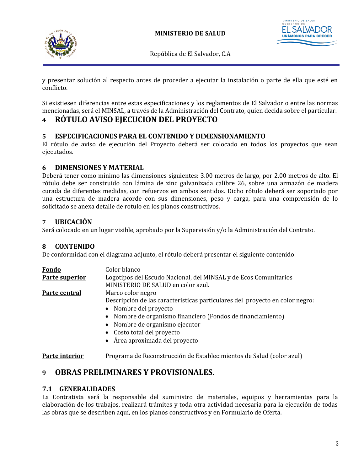



y presentar solución al respecto antes de proceder a ejecutar la instalación o parte de ella que esté en conflicto.

Si existiesen diferencias entre estas especificaciones y los reglamentos de El Salvador o entre las normas mencionadas, será el MINSAL, a través de la Administración del Contrato, quien decida sobre el particular.

## <span id="page-8-6"></span>**4 RÓTULO AVISO EJECUCION DEL PROYECTO**

#### <span id="page-8-5"></span>**5 ESPECIFICACIONES PARA EL CONTENIDO Y DIMENSIONAMIENTO**

El rótulo de aviso de ejecución del Proyecto deberá ser colocado en todos los proyectos que sean ejecutados.

#### <span id="page-8-4"></span>**6 DIMENSIONES Y MATERIAL**

Deberá tener como mínimo las dimensiones siguientes: 3.00 metros de largo, por 2.00 metros de alto. El rótulo debe ser construido con lámina de zinc galvanizada calibre 26, sobre una armazón de madera curada de diferentes medidas, con refuerzos en ambos sentidos. Dicho rótulo deberá ser soportado por una estructura de madera acorde con sus dimensiones, peso y carga, para una comprensión de lo solicitado se anexa detalle de rotulo en los planos constructivos.

## <span id="page-8-3"></span>**7 UBICACIÓN**

Será colocado en un lugar visible, aprobado por la Supervisión y/o la Administración del Contrato.

#### <span id="page-8-2"></span>**8 CONTENIDO**

De conformidad con el diagrama adjunto, el rótulo deberá presentar el siguiente contenido:

| Fondo          | Color blanco                                                                                           |
|----------------|--------------------------------------------------------------------------------------------------------|
| Parte superior | Logotipos del Escudo Nacional, del MINSAL y de Ecos Comunitarios<br>MINISTERIO DE SALUD en color azul. |
| Parte central  | Marco color negro                                                                                      |
|                | Descripción de las características particulares del proyecto en color negro:                           |
|                | • Nombre del proyecto                                                                                  |
|                | • Nombre de organismo financiero (Fondos de financiamiento)                                            |
|                | • Nombre de organismo ejecutor                                                                         |
|                | • Costo total del proyecto                                                                             |
|                | • Área aproximada del proyecto                                                                         |

**Parte interior** Programa de Reconstrucción de Establecimientos de Salud (color azul)

## <span id="page-8-1"></span>**9 OBRAS PRELIMINARES Y PROVISIONALES.**

#### <span id="page-8-0"></span>**7.1 GENERALIDADES**

La Contratista será la responsable del suministro de materiales, equipos y herramientas para la elaboración de los trabajos, realizará trámites y toda otra actividad necesaria para la ejecución de todas las obras que se describen aquí, en los planos constructivos y en Formulario de Oferta.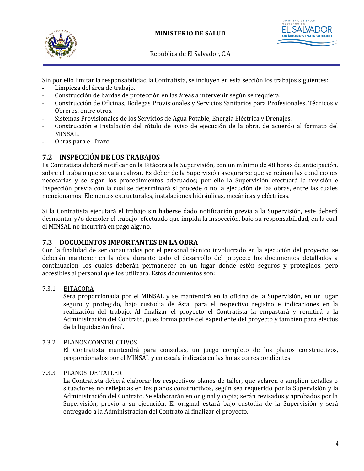



Sin por ello limitar la responsabilidad la Contratista, se incluyen en esta sección los trabajos siguientes:

- Limpieza del área de trabajo.
- Construcción de bardas de protección en las áreas a intervenir según se requiera.
- Construcción de Oficinas, Bodegas Provisionales y Servicios Sanitarios para Profesionales, Técnicos y Obreros, entre otros.
- Sistemas Provisionales de los Servicios de Agua Potable, Energía Eléctrica y Drenajes.
- Construcción e Instalación del rótulo de aviso de ejecución de la obra, de acuerdo al formato del MINSAL.
- Obras para el Trazo.

#### <span id="page-9-1"></span>**7.2 INSPECCIÓN DE LOS TRABAJOS**

La Contratista deberá notificar en la Bitácora a la Supervisión, con un mínimo de 48 horas de anticipación, sobre el trabajo que se va a realizar. Es deber de la Supervisión asegurarse que se reúnan las condiciones necesarias y se sigan los procedimientos adecuados; por ello la Supervisión efectuará la revisión e inspección previa con la cual se determinará si procede o no la ejecución de las obras, entre las cuales mencionamos: Elementos estructurales, instalaciones hidráulicas, mecánicas y eléctricas.

Si la Contratista ejecutará el trabajo sin haberse dado notificación previa a la Supervisión, este deberá desmontar y/o demoler el trabajo efectuado que impida la inspección, bajo su responsabilidad, en la cual el MINSAL no incurrirá en pago alguno.

#### <span id="page-9-0"></span>**7.3 DOCUMENTOS IMPORTANTES EN LA OBRA**

Con la finalidad de ser consultados por el personal técnico involucrado en la ejecución del proyecto, se deberán mantener en la obra durante todo el desarrollo del proyecto los documentos detallados a continuación, los cuales deberán permanecer en un lugar donde estén seguros y protegidos, pero accesibles al personal que los utilizará. Estos documentos son:

#### 7.3.1 BITACORA

Será proporcionada por el MINSAL y se mantendrá en la oficina de la Supervisión, en un lugar seguro y protegido, bajo custodia de ésta, para el respectivo registro e indicaciones en la realización del trabajo. Al finalizar el proyecto el Contratista la empastará y remitirá a la Administración del Contrato, pues forma parte del expediente del proyecto y también para efectos de la liquidación final.

#### 7.3.2 PLANOS CONSTRUCTIVOS

El Contratista mantendrá para consultas, un juego completo de los planos constructivos, proporcionados por el MINSAL y en escala indicada en las hojas correspondientes

#### 7.3.3 PLANOS DE TALLER

La Contratista deberá elaborar los respectivos planos de taller, que aclaren o amplíen detalles o situaciones no reflejadas en los planos constructivos, según sea requerido por la Supervisión y la Administración del Contrato. Se elaborarán en original y copia; serán revisados y aprobados por la Supervisión, previo a su ejecución. El original estará bajo custodia de la Supervisión y será entregado a la Administración del Contrato al finalizar el proyecto.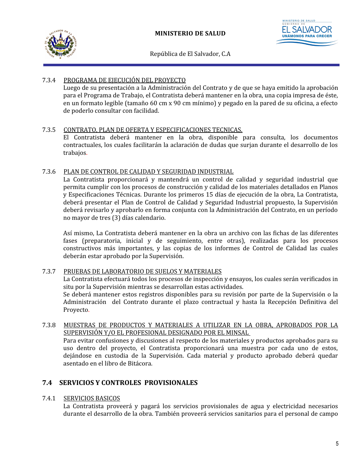



#### 7.3.4 PROGRAMA DE EJECUCIÓN DEL PROYECTO

Luego de su presentación a la Administración del Contrato y de que se haya emitido la aprobación para el Programa de Trabajo, el Contratista deberá mantener en la obra, una copia impresa de éste, en un formato legible (tamaño 60 cm x 90 cm mínimo) y pegado en la pared de su oficina, a efecto de poderlo consultar con facilidad.

#### 7.3.5 CONTRATO, PLAN DE OFERTA Y ESPECIFICACIONES TECNICAS.

El Contratista deberá mantener en la obra, disponible para consulta, los documentos contractuales, los cuales facilitarán la aclaración de dudas que surjan durante el desarrollo de los trabajos.

#### 7.3.6 PLAN DE CONTROL DE CALIDAD Y SEGURIDAD INDUSTRIAL

La Contratista proporcionará y mantendrá un control de calidad y seguridad industrial que permita cumplir con los procesos de construcción y calidad de los materiales detallados en Planos y Especificaciones Técnicas. Durante los primeros 15 días de ejecución de la obra, La Contratista, deberá presentar el Plan de Control de Calidad y Seguridad Industrial propuesto, la Supervisión deberá revisarlo y aprobarlo en forma conjunta con la Administración del Contrato, en un período no mayor de tres (3) días calendario.

Así mismo, La Contratista deberá mantener en la obra un archivo con las fichas de las diferentes fases (preparatoria, inicial y de seguimiento, entre otras), realizadas para los procesos constructivos más importantes, y las copias de los informes de Control de Calidad las cuales deberán estar aprobado por la Supervisión.

#### 7.3.7 PRUEBAS DE LABORATORIO DE SUELOS Y MATERIALES

La Contratista efectuará todos los procesos de inspección y ensayos, los cuales serán verificados in situ por la Supervisión mientras se desarrollan estas actividades.

Se deberá mantener estos registros disponibles para su revisión por parte de la Supervisión o la Administración del Contrato durante el plazo contractual y hasta la Recepción Definitiva del Proyecto.

#### 7.3.8 MUESTRAS DE PRODUCTOS Y MATERIALES A UTILIZAR EN LA OBRA, APROBADOS POR LA SUPERVISIÓN Y/O EL PROFESIONAL DESIGNADO POR EL MINSAL

Para evitar confusiones y discusiones al respecto de los materiales y productos aprobados para su uso dentro del proyecto, el Contratista proporcionará una muestra por cada uno de estos, dejándose en custodia de la Supervisión. Cada material y producto aprobado deberá quedar asentado en el libro de Bitácora.

## <span id="page-10-0"></span>**7.4 SERVICIOS Y CONTROLES PROVISIONALES**

#### 7.4.1 SERVICIOS BASICOS

La Contratista proveerá y pagará los servicios provisionales de agua y electricidad necesarios durante el desarrollo de la obra. También proveerá servicios sanitarios para el personal de campo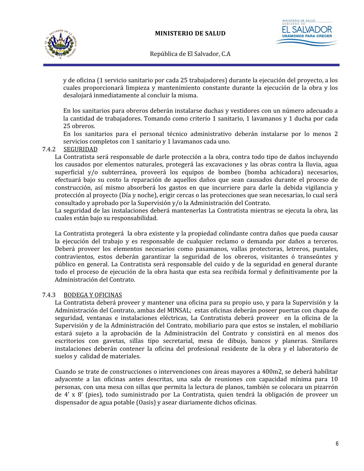



y de oficina (1 servicio sanitario por cada 25 trabajadores) durante la ejecución del proyecto, a los cuales proporcionará limpieza y mantenimiento constante durante la ejecución de la obra y los desalojará inmediatamente al concluir la misma.

En los sanitarios para obreros deberán instalarse duchas y vestidores con un número adecuado a la cantidad de trabajadores. Tomando como criterio 1 sanitario, 1 lavamanos y 1 ducha por cada 25 obreros.

En los sanitarios para el personal técnico administrativo deberán instalarse por lo menos 2 servicios completos con 1 sanitario y 1 lavamanos cada uno.

#### 7.4.2 SEGURIDAD

La Contratista será responsable de darle protección a la obra, contra todo tipo de daños incluyendo los causados por elementos naturales, protegerá las excavaciones y las obras contra la lluvia, agua superficial y/o subterránea, proveerá los equipos de bombeo (bomba achicadora) necesarios, efectuará bajo su costo la reparación de aquellos daños que sean causados durante el proceso de construcción, así mismo absorberá los gastos en que incurriere para darle la debida vigilancia y protección al proyecto (Día y noche), erigir cercas o las protecciones que sean necesarias, lo cual será consultado y aprobado por la Supervisión y/o la Administración del Contrato.

La seguridad de las instalaciones deberá mantenerlas La Contratista mientras se ejecuta la obra, las cuales están bajo su responsabilidad.

La Contratista protegerá la obra existente y la propiedad colindante contra daños que pueda causar la ejecución del trabajo y es responsable de cualquier reclamo o demanda por daños a terceros. Deberá proveer los elementos necesarios como pasamanos, vallas protectoras, letreros, puntales, contravientos, estos deberán garantizar la seguridad de los obreros, visitantes ó transeúntes y público en general. La Contratista será responsable del cuido y de la seguridad en general durante todo el proceso de ejecución de la obra hasta que esta sea recibida formal y definitivamente por la Administración del Contrato.

#### 7.4.3 BODEGA Y OFICINAS

La Contratista deberá proveer y mantener una oficina para su propio uso, y para la Supervisión y la Administración del Contrato, ambas del MINSAL; estas oficinas deberán poseer puertas con chapa de seguridad, ventanas e instalaciones eléctricas, La Contratista deberá proveer en la oficina de la Supervisión y de la Administración del Contrato, mobiliario para que estos se instalen, el mobiliario estará sujeto a la aprobación de la Administración del Contrato y consistirá en al menos dos escritorios con gavetas, sillas tipo secretarial, mesa de dibujo, bancos y planeras. Similares instalaciones deberán contener la oficina del profesional residente de la obra y el laboratorio de suelos y calidad de materiales.

Cuando se trate de construcciones o intervenciones con áreas mayores a 400m2, se deberá habilitar adyacente a las oficinas antes descritas, una sala de reuniones con capacidad mínima para 10 personas, con una mesa con sillas que permita la lectura de planos, también se colocara un pizarrón de 4' x 8' (pies), todo suministrado por La Contratista, quien tendrá la obligación de proveer un dispensador de agua potable (Oasis) y asear diariamente dichos oficinas.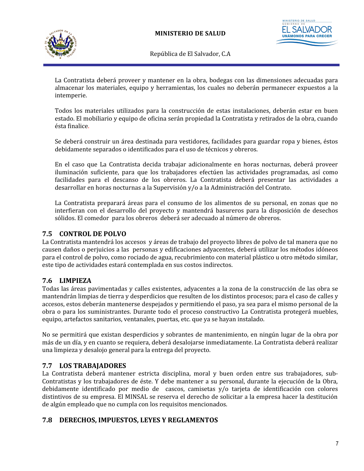



La Contratista deberá proveer y mantener en la obra, bodegas con las dimensiones adecuadas para almacenar los materiales, equipo y herramientas, los cuales no deberán permanecer expuestos a la intemperie.

Todos los materiales utilizados para la construcción de estas instalaciones, deberán estar en buen estado. El mobiliario y equipo de oficina serán propiedad la Contratista y retirados de la obra, cuando ésta finalice.

Se deberá construir un área destinada para vestidores, facilidades para guardar ropa y bienes, éstos debidamente separados o identificados para el uso de técnicos y obreros.

En el caso que La Contratista decida trabajar adicionalmente en horas nocturnas, deberá proveer iluminación suficiente, para que los trabajadores efectúen las actividades programadas, así como facilidades para el descanso de los obreros. La Contratista deberá presentar las actividades a desarrollar en horas nocturnas a la Supervisión y/o a la Administración del Contrato.

La Contratista preparará áreas para el consumo de los alimentos de su personal, en zonas que no interfieran con el desarrollo del proyecto y mantendrá basureros para la disposición de desechos sólidos. El comedor para los obreros deberá ser adecuado al número de obreros.

#### <span id="page-12-3"></span>**7.5 CONTROL DE POLVO**

La Contratista mantendrá los accesos y áreas de trabajo del proyecto libres de polvo de tal manera que no causen daños o perjuicios a las personas y edificaciones adyacentes, deberá utilizar los métodos idóneos para el control de polvo, como rociado de agua, recubrimiento con material plástico u otro método similar, este tipo de actividades estará contemplada en sus costos indirectos.

#### <span id="page-12-2"></span>**7.6 LIMPIEZA**

Todas las áreas pavimentadas y calles existentes, adyacentes a la zona de la construcción de las obra se mantendrán limpias de tierra y desperdicios que resulten de los distintos procesos; para el caso de calles y accesos, estos deberán mantenerse despejados y permitiendo el paso, ya sea para el mismo personal de la obra o para los suministrantes. Durante todo el proceso constructivo La Contratista protegerá muebles, equipo, artefactos sanitarios, ventanales, puertas, etc. que ya se hayan instalado.

No se permitirá que existan desperdicios y sobrantes de mantenimiento, en ningún lugar de la obra por más de un día, y en cuanto se requiera, deberá desalojarse inmediatamente. La Contratista deberá realizar una limpieza y desalojo general para la entrega del proyecto.

#### <span id="page-12-1"></span>**7.7 LOS TRABAJADORES**

La Contratista deberá mantener estricta disciplina, moral y buen orden entre sus trabajadores, sub-Contratistas y los trabajadores de éste. Y debe mantener a su personal, durante la ejecución de la Obra, debidamente identificado por medio de cascos, camisetas y/o tarjeta de identificación con colores distintivos de su empresa. El MINSAL se reserva el derecho de solicitar a la empresa hacer la destitución de algún empleado que no cumpla con los requisitos mencionados.

#### <span id="page-12-0"></span>**7.8 DERECHOS, IMPUESTOS, LEYES Y REGLAMENTOS**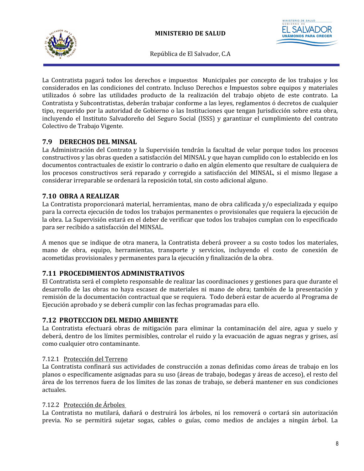

**UNÁMONOS PA** 

República de El Salvador, C.A

La Contratista pagará todos los derechos e impuestos Municipales por concepto de los trabajos y los considerados en las condiciones del contrato. Incluso Derechos e Impuestos sobre equipos y materiales utilizados ó sobre las utilidades producto de la realización del trabajo objeto de este contrato. La Contratista y Subcontratistas, deberán trabajar conforme a las leyes, reglamentos ó decretos de cualquier tipo, requerido por la autoridad de Gobierno o las Instituciones que tengan Jurisdicción sobre esta obra, incluyendo el Instituto Salvadoreño del Seguro Social (ISSS) y garantizar el cumplimiento del contrato Colectivo de Trabajo Vigente.

## <span id="page-13-3"></span>**7.9 DERECHOS DEL MINSAL**

La Administración del Contrato y la Supervisión tendrán la facultad de velar porque todos los procesos constructivos y las obras queden a satisfacción del MINSAL y que hayan cumplido con lo establecido en los documentos contractuales de existir lo contrario o daño en algún elemento que resultare de cualquiera de los procesos constructivos será reparado y corregido a satisfacción del MINSAL, si el mismo llegase a considerar irreparable se ordenará la reposición total, sin costo adicional alguno.

## <span id="page-13-2"></span>**7.10 OBRA A REALIZAR**

La Contratista proporcionará material, herramientas, mano de obra calificada y/o especializada y equipo para la correcta ejecución de todos los trabajos permanentes o provisionales que requiera la ejecución de la obra. La Supervisión estará en el deber de verificar que todos los trabajos cumplan con lo especificado para ser recibido a satisfacción del MINSAL.

A menos que se indique de otra manera, la Contratista deberá proveer a su costo todos los materiales, mano de obra, equipo, herramientas, transporte y servicios, incluyendo el costo de conexión de acometidas provisionales y permanentes para la ejecución y finalización de la obra.

#### <span id="page-13-1"></span>**7.11 PROCEDIMIENTOS ADMINISTRATIVOS**

El Contratista será el completo responsable de realizar las coordinaciones y gestiones para que durante el desarrollo de las obras no haya escasez de materiales ni mano de obra; también de la presentación y remisión de la documentación contractual que se requiera. Todo deberá estar de acuerdo al Programa de Ejecución aprobado y se deberá cumplir con las fechas programadas para ello.

#### <span id="page-13-0"></span>**7.12 PROTECCION DEL MEDIO AMBIENTE**

La Contratista efectuará obras de mitigación para eliminar la contaminación del aire, agua y suelo y deberá, dentro de los límites permisibles, controlar el ruido y la evacuación de aguas negras y grises, así como cualquier otro contaminante.

#### 7.12.1 Protección del Terreno

La Contratista confinará sus actividades de construcción a zonas definidas como áreas de trabajo en los planos o específicamente asignadas para su uso (áreas de trabajo, bodegas y áreas de acceso), el resto del área de los terrenos fuera de los límites de las zonas de trabajo, se deberá mantener en sus condiciones actuales.

#### 7.12.2 Protección de Árboles

La Contratista no mutilará, dañará o destruirá los árboles, ni los removerá o cortará sin autorización previa. No se permitirá sujetar sogas, cables o guías, como medios de anclajes a ningún árbol. La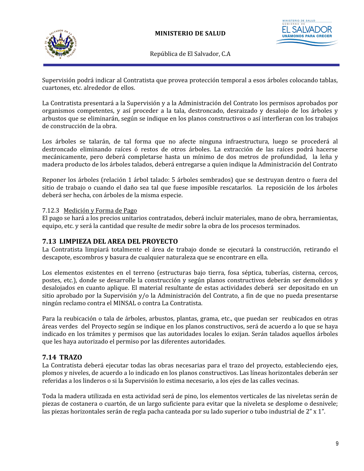



STERIO DE SALUD **UNÁMONOS PA** 

República de El Salvador, C.A

Supervisión podrá indicar al Contratista que provea protección temporal a esos árboles colocando tablas, cuartones, etc. alrededor de ellos.

La Contratista presentará a la Supervisión y a la Administración del Contrato los permisos aprobados por organismos competentes, y así proceder a la tala, destroncado, desraizado y desalojo de los árboles y arbustos que se eliminarán, según se indique en los planos constructivos o así interfieran con los trabajos de construcción de la obra.

Los árboles se talarán, de tal forma que no afecte ninguna infraestructura, luego se procederá al destroncado eliminando raíces ó restos de otros árboles. La extracción de las raíces podrá hacerse mecánicamente, pero deberá completarse hasta un mínimo de dos metros de profundidad, la leña y madera producto de los árboles talados, deberá entregarse a quien indique la Administración del Contrato

Reponer los árboles (relación 1 árbol talado: 5 árboles sembrados) que se destruyan dentro o fuera del sitio de trabajo o cuando el daño sea tal que fuese imposible rescatarlos. La reposición de los árboles deberá ser hecha, con árboles de la misma especie.

#### 7.12.3 Medición y Forma de Pago

El pago se hará a los precios unitarios contratados, deberá incluir materiales, mano de obra, herramientas, equipo, etc. y será la cantidad que resulte de medir sobre la obra de los procesos terminados.

#### <span id="page-14-1"></span>**7.13 LIMPIEZA DEL AREA DEL PROYECTO**

La Contratista limpiará totalmente el área de trabajo donde se ejecutará la construcción, retirando el descapote, escombros y basura de cualquier naturaleza que se encontrare en ella.

Los elementos existentes en el terreno (estructuras bajo tierra, fosa séptica, tuberías, cisterna, cercos, postes, etc.), donde se desarrolle la construcción y según planos constructivos deberán ser demolidos y desalojados en cuanto aplique. El material resultante de estas actividades deberá ser depositado en un sitio aprobado por la Supervisión y/o la Administración del Contrato, a fin de que no pueda presentarse ningún reclamo contra el MINSAL o contra La Contratista.

Para la reubicación o tala de árboles, arbustos, plantas, grama, etc., que puedan ser reubicados en otras áreas verdes del Proyecto según se indique en los planos constructivos, será de acuerdo a lo que se haya indicado en los trámites y permisos que las autoridades locales lo exijan. Serán talados aquellos árboles que les haya autorizado el permiso por las diferentes autoridades.

#### <span id="page-14-0"></span>**7.14 TRAZO**

La Contratista deberá ejecutar todas las obras necesarias para el trazo del proyecto, estableciendo ejes, plomos y niveles, de acuerdo a lo indicado en los planos constructivos. Las líneas horizontales deberán ser referidas a los linderos o si la Supervisión lo estima necesario, a los ejes de las calles vecinas.

Toda la madera utilizada en esta actividad será de pino, los elementos verticales de las niveletas serán de piezas de costanera o cuartón, de un largo suficiente para evitar que la niveleta se desplome o desnivele; las piezas horizontales serán de regla pacha canteada por su lado superior o tubo industrial de 2" x 1".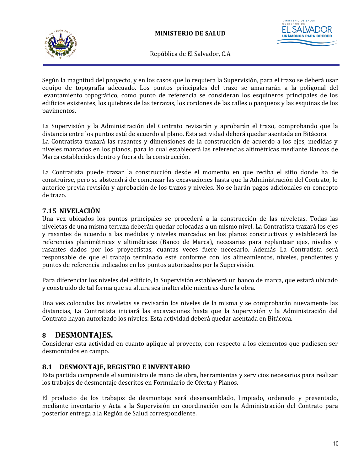



Según la magnitud del proyecto, y en los casos que lo requiera la Supervisión, para el trazo se deberá usar equipo de topografía adecuado. Los puntos principales del trazo se amarrarán a la poligonal del levantamiento topográfico, como punto de referencia se consideran los esquineros principales de los edificios existentes, los quiebres de las terrazas, los cordones de las calles o parqueos y las esquinas de los pavimentos.

La Supervisión y la Administración del Contrato revisarán y aprobarán el trazo, comprobando que la distancia entre los puntos esté de acuerdo al plano. Esta actividad deberá quedar asentada en Bitácora. La Contratista trazará las rasantes y dimensiones de la construcción de acuerdo a los ejes, medidas y niveles marcados en los planos, para lo cual establecerá las referencias altimétricas mediante Bancos de Marca establecidos dentro y fuera de la construcción.

La Contratista puede trazar la construcción desde el momento en que reciba el sitio donde ha de construirse, pero se abstendrá de comenzar las excavaciones hasta que la Administración del Contrato, lo autorice previa revisión y aprobación de los trazos y niveles. No se harán pagos adicionales en concepto de trazo.

## <span id="page-15-1"></span>**7.15 NIVELACIÓN**

Una vez ubicados los puntos principales se procederá a la construcción de las niveletas. Todas las niveletas de una misma terraza deberán quedar colocadas a un mismo nivel. La Contratista trazará los ejes y rasantes de acuerdo a las medidas y niveles marcados en los planos constructivos y establecerá las referencias planimétricas y altimétricas (Banco de Marca), necesarias para replantear ejes, niveles y rasantes dados por los proyectistas, cuantas veces fuere necesario. Además La Contratista será responsable de que el trabajo terminado esté conforme con los alineamientos, niveles, pendientes y puntos de referencia indicados en los puntos autorizados por la Supervisión.

Para diferenciar los niveles del edificio, la Supervisión establecerá un banco de marca, que estará ubicado y construido de tal forma que su altura sea inalterable mientras dure la obra.

Una vez colocadas las niveletas se revisarán los niveles de la misma y se comprobarán nuevamente las distancias, La Contratista iniciará las excavaciones hasta que la Supervisión y la Administración del Contrato hayan autorizado los niveles. Esta actividad deberá quedar asentada en Bitácora.

## <span id="page-15-0"></span>**8 DESMONTAJES.**

Considerar esta actividad en cuanto aplique al proyecto, con respecto a los elementos que pudiesen ser desmontados en campo.

## <span id="page-15-2"></span>**8.1 DESMONTAJE, REGISTRO E INVENTARIO**

Esta partida comprende el suministro de mano de obra, herramientas y servicios necesarios para realizar los trabajos de desmontaje descritos en Formulario de Oferta y Planos.

El producto de los trabajos de desmontaje será desensamblado, limpiado, ordenado y presentado, mediante inventario y Acta a la Supervisión en coordinación con la Administración del Contrato para posterior entrega a la Región de Salud correspondiente.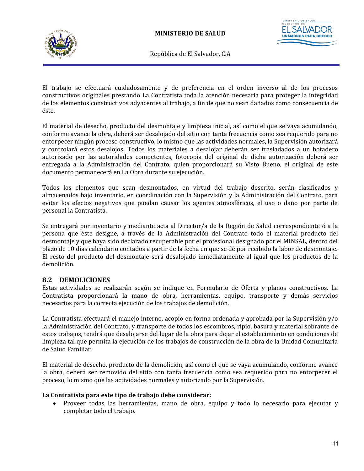

**ISTERIO DE SALUD UNÁMONOS PARA** 

República de El Salvador, C.A

El trabajo se efectuará cuidadosamente y de preferencia en el orden inverso al de los procesos constructivos originales prestando La Contratista toda la atención necesaria para proteger la integridad de los elementos constructivos adyacentes al trabajo, a fin de que no sean dañados como consecuencia de éste.

El material de desecho, producto del desmontaje y limpieza inicial, así como el que se vaya acumulando, conforme avance la obra, deberá ser desalojado del sitio con tanta frecuencia como sea requerido para no entorpecer ningún proceso constructivo, lo mismo que las actividades normales, la Supervisión autorizará y controlará estos desalojos. Todos los materiales a desalojar deberán ser trasladados a un botadero autorizado por las autoridades competentes, fotocopia del original de dicha autorización deberá ser entregada a la Administración del Contrato, quien proporcionará su Visto Bueno, el original de este documento permanecerá en La Obra durante su ejecución.

Todos los elementos que sean desmontados, en virtud del trabajo descrito, serán clasificados y almacenados bajo inventario, en coordinación con la Supervisión y la Administración del Contrato, para evitar los efectos negativos que puedan causar los agentes atmosféricos, el uso o daño por parte de personal la Contratista.

Se entregará por inventario y mediante acta al Director/a de la Región de Salud correspondiente ó a la persona que éste designe, a través de la Administración del Contrato todo el material producto del desmontaje y que haya sido declarado recuperable por el profesional designado por el MINSAL, dentro del plazo de 10 días calendario contados a partir de la fecha en que se dé por recibido la labor de desmontaje. El resto del producto del desmontaje será desalojado inmediatamente al igual que los productos de la demolición.

#### <span id="page-16-0"></span>**8.2 DEMOLICIONES**

Estas actividades se realizarán según se indique en Formulario de Oferta y planos constructivos. La Contratista proporcionará la mano de obra, herramientas, equipo, transporte y demás servicios necesarios para la correcta ejecución de los trabajos de demolición.

La Contratista efectuará el manejo interno, acopio en forma ordenada y aprobada por la Supervisión y/o la Administración del Contrato, y transporte de todos los escombros, ripio, basura y material sobrante de estos trabajos, tendrá que desalojarse del lugar de la obra para dejar el establecimiento en condiciones de limpieza tal que permita la ejecución de los trabajos de construcción de la obra de la Unidad Comunitaria de Salud Familiar.

El material de desecho, producto de la demolición, así como el que se vaya acumulando, conforme avance la obra, deberá ser removido del sitio con tanta frecuencia como sea requerido para no entorpecer el proceso, lo mismo que las actividades normales y autorizado por la Supervisión.

#### **La Contratista para este tipo de trabajo debe considerar:**

 Proveer todas las herramientas, mano de obra, equipo y todo lo necesario para ejecutar y completar todo el trabajo.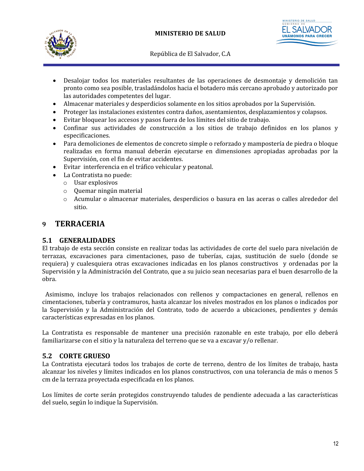

- Desalojar todos los materiales resultantes de las operaciones de desmontaje y demolición tan pronto como sea posible, trasladándolos hacia el botadero más cercano aprobado y autorizado por las autoridades competentes del lugar.
- Almacenar materiales y desperdicios solamente en los sitios aprobados por la Supervisión.
- Proteger las instalaciones existentes contra daños, asentamientos, desplazamientos y colapsos.
- Evitar bloquear los accesos y pasos fuera de los límites del sitio de trabajo.
- Confinar sus actividades de construcción a los sitios de trabajo definidos en los planos y especificaciones.
- Para demoliciones de elementos de concreto simple o reforzado y mampostería de piedra o bloque realizadas en forma manual deberán ejecutarse en dimensiones apropiadas aprobadas por la Supervisión, con el fin de evitar accidentes.
- Evitar interferencia en el tráfico vehicular y peatonal.
	- La Contratista no puede:
	- o Usar explosivos
	- o Quemar ningún material
	- o Acumular o almacenar materiales, desperdicios o basura en las aceras o calles alrededor del sitio.

## <span id="page-17-2"></span>**9 TERRACERIA**

#### <span id="page-17-1"></span>**5.1 GENERALIDADES**

El trabajo de esta sección consiste en realizar todas las actividades de corte del suelo para nivelación de terrazas, excavaciones para cimentaciones, paso de tuberías, cajas, sustitución de suelo (donde se requiera) y cualesquiera otras excavaciones indicadas en los planos constructivos y ordenadas por la Supervisión y la Administración del Contrato, que a su juicio sean necesarias para el buen desarrollo de la obra.

Asimismo, incluye los trabajos relacionados con rellenos y compactaciones en general, rellenos en cimentaciones, tubería y contramuros, hasta alcanzar los niveles mostrados en los planos o indicados por la Supervisión y la Administración del Contrato, todo de acuerdo a ubicaciones, pendientes y demás características expresadas en los planos.

La Contratista es responsable de mantener una precisión razonable en este trabajo, por ello deberá familiarizarse con el sitio y la naturaleza del terreno que se va a excavar y/o rellenar.

#### <span id="page-17-0"></span>**5.2 CORTE GRUESO**

La Contratista ejecutará todos los trabajos de corte de terreno, dentro de los límites de trabajo, hasta alcanzar los niveles y límites indicados en los planos constructivos, con una tolerancia de más o menos 5 cm de la terraza proyectada especificada en los planos.

Los límites de corte serán protegidos construyendo taludes de pendiente adecuada a las características del suelo, según lo indique la Supervisión.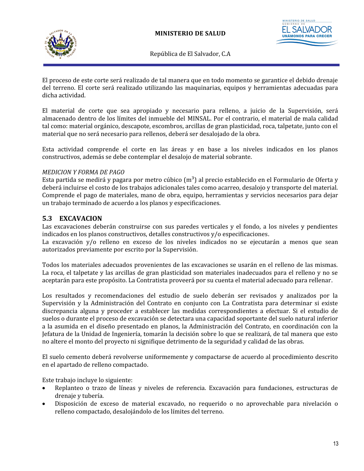

STERIO DE SALUD **UNÁMONOS PAI** 

República de El Salvador, C.A

El proceso de este corte será realizado de tal manera que en todo momento se garantice el debido drenaje del terreno. El corte será realizado utilizando las maquinarias, equipos y herramientas adecuadas para dicha actividad.

El material de corte que sea apropiado y necesario para relleno, a juicio de la Supervisión, será almacenado dentro de los límites del inmueble del MINSAL. Por el contrario, el material de mala calidad tal como: material orgánico, descapote, escombros, arcillas de gran plasticidad, roca, talpetate, junto con el material que no será necesario para rellenos, deberá ser desalojado de la obra.

Esta actividad comprende el corte en las áreas y en base a los niveles indicados en los planos constructivos, además se debe contemplar el desalojo de material sobrante.

#### *MEDICION Y FORMA DE PAGO*

Esta partida se medirá y pagara por metro cúbico  $(m^3)$  al precio establecido en el Formulario de Oferta y deberá incluirse el costo de los trabajos adicionales tales como acarreo, desalojo y transporte del material. Comprende el pago de materiales, mano de obra, equipo, herramientas y servicios necesarios para dejar un trabajo terminado de acuerdo a los planos y especificaciones.

#### <span id="page-18-0"></span>**5.3 EXCAVACION**

Las excavaciones deberán construirse con sus paredes verticales y el fondo, a los niveles y pendientes indicados en los planos constructivos, detalles constructivos y/o especificaciones.

La excavación y/o relleno en exceso de los niveles indicados no se ejecutarán a menos que sean autorizados previamente por escrito por la Supervisión.

Todos los materiales adecuados provenientes de las excavaciones se usarán en el relleno de las mismas. La roca, el talpetate y las arcillas de gran plasticidad son materiales inadecuados para el relleno y no se aceptarán para este propósito. La Contratista proveerá por su cuenta el material adecuado para rellenar.

Los resultados y recomendaciones del estudio de suelo deberán ser revisados y analizados por la Supervisión y la Administración del Contrato en conjunto con La Contratista para determinar si existe discrepancia alguna y proceder a establecer las medidas correspondientes a efectuar. Si el estudio de suelos o durante el proceso de excavación se detectara una capacidad soportante del suelo natural inferior a la asumida en el diseño presentado en planos, la Administración del Contrato, en coordinación con la Jefatura de la Unidad de Ingeniería, tomarán la decisión sobre lo que se realizará, de tal manera que esto no altere el monto del proyecto ni signifique detrimento de la seguridad y calidad de las obras.

El suelo cemento deberá revolverse uniformemente y compactarse de acuerdo al procedimiento descrito en el apartado de relleno compactado.

Este trabajo incluye lo siguiente:

- Replanteo o trazo de líneas y niveles de referencia. Excavación para fundaciones, estructuras de drenaje y tubería.
- Disposición de exceso de material excavado, no requerido o no aprovechable para nivelación o relleno compactado, desalojándolo de los límites del terreno.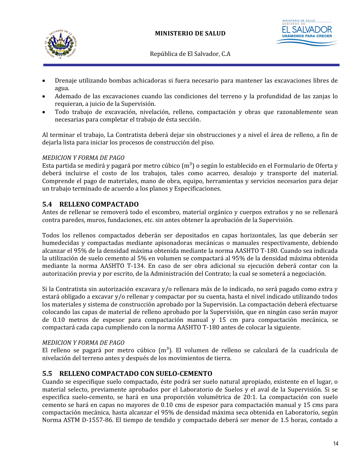



- Drenaje utilizando bombas achicadoras si fuera necesario para mantener las excavaciones libres de agua.
- Ademado de las excavaciones cuando las condiciones del terreno y la profundidad de las zanjas lo requieran, a juicio de la Supervisión.
- Todo trabajo de excavación, nivelación, relleno, compactación y obras que razonablemente sean necesarias para completar el trabajo de ésta sección.

Al terminar el trabajo, La Contratista deberá dejar sin obstrucciones y a nivel el área de relleno, a fin de dejarla lista para iniciar los procesos de construcción del piso.

#### *MEDICION Y FORMA DE PAGO*

Esta partida se medirá y pagará por metro cúbico  $(m^3)$  o según lo establecido en el Formulario de Oferta y deberá incluirse el costo de los trabajos, tales como acarreo, desalojo y transporte del material. Comprende el pago de materiales, mano de obra, equipo, herramientas y servicios necesarios para dejar un trabajo terminado de acuerdo a los planos y Especificaciones.

#### <span id="page-19-1"></span>**5.4 RELLENO COMPACTADO**

Antes de rellenar se removerá todo el escombro, material orgánico y cuerpos extraños y no se rellenará contra paredes, muros, fundaciones, etc. sin antes obtener la aprobación de la Supervisión.

Todos los rellenos compactados deberán ser depositados en capas horizontales, las que deberán ser humedecidas y compactadas mediante apisonadoras mecánicas o manuales respectivamente, debiendo alcanzar el 95% de la densidad máxima obtenida mediante la norma AASHTO T-180. Cuando sea indicada la utilización de suelo cemento al 5% en volumen se compactará al 95% de la densidad máxima obtenida mediante la norma AASHTO T-134. En caso de ser obra adicional su ejecución deberá contar con la autorización previa y por escrito, de la Administración del Contrato; la cual se someterá a negociación.

Si la Contratista sin autorización excavara y/o rellenara más de lo indicado, no será pagado como extra y estará obligado a excavar y/o rellenar y compactar por su cuenta, hasta el nivel indicado utilizando todos los materiales y sistema de construcción aprobado por la Supervisión. La compactación deberá efectuarse colocando las capas de material de relleno aprobado por la Supervisión, que en ningún caso serán mayor de 0.10 metros de espesor para compactación manual y 15 cm para compactación mecánica, se compactará cada capa cumpliendo con la norma AASHTO T-180 antes de colocar la siguiente.

#### *MEDICION Y FORMA DE PAGO*

El relleno se pagará por metro cúbico  $(m^3)$ . El volumen de relleno se calculará de la cuadrícula de nivelación del terreno antes y después de los movimientos de tierra.

#### <span id="page-19-0"></span>**5.5 RELLENO COMPACTADO CON SUELO-CEMENTO**

Cuando se especifique suelo compactado, éste podrá ser suelo natural apropiado, existente en el lugar, o material selecto, previamente aprobados por el Laboratorio de Suelos y el aval de la Supervisión. Si se especifica suelo-cemento, se hará en una proporción volumétrica de 20:1. La compactación con suelo cemento se hará en capas no mayores de 0.10 cms de espesor para compactación manual y 15 cms para compactación mecánica, hasta alcanzar el 95% de densidad máxima seca obtenida en Laboratorio, según Norma ASTM D-1557-86. El tiempo de tendido y compactado deberá ser menor de 1.5 horas, contado a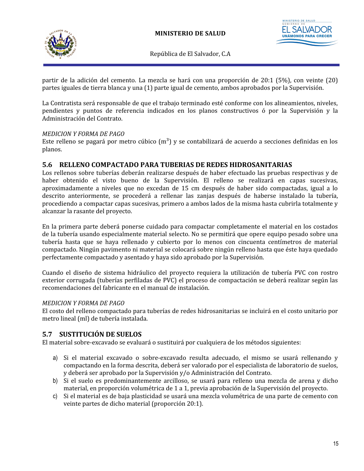

TERIO DE SALUD **UNÁMONOS PA** 

República de El Salvador, C.A

partir de la adición del cemento. La mezcla se hará con una proporción de 20:1 (5%), con veinte (20) partes iguales de tierra blanca y una (1) parte igual de cemento, ambos aprobados por la Supervisión.

La Contratista será responsable de que el trabajo terminado esté conforme con los alineamientos, niveles, pendientes y puntos de referencia indicados en los planos constructivos ó por la Supervisión y la Administración del Contrato.

#### *MEDICION Y FORMA DE PAGO*

Este relleno se pagará por metro cúbico  $(m^3)$  y se contabilizará de acuerdo a secciones definidas en los planos.

#### <span id="page-20-1"></span>**5.6 RELLENO COMPACTADO PARA TUBERIAS DE REDES HIDROSANITARIAS**

Los rellenos sobre tuberías deberán realizarse después de haber efectuado las pruebas respectivas y de haber obtenido el visto bueno de la Supervisión. El relleno se realizará en capas sucesivas, aproximadamente a niveles que no excedan de 15 cm después de haber sido compactadas, igual a lo descrito anteriormente, se procederá a rellenar las zanjas después de haberse instalado la tubería, procediendo a compactar capas sucesivas, primero a ambos lados de la misma hasta cubrirla totalmente y alcanzar la rasante del proyecto.

En la primera parte deberá ponerse cuidado para compactar completamente el material en los costados de la tubería usando especialmente material selecto. No se permitirá que opere equipo pesado sobre una tubería hasta que se haya rellenado y cubierto por lo menos con cincuenta centímetros de material compactado. Ningún pavimento ni material se colocará sobre ningún relleno hasta que éste haya quedado perfectamente compactado y asentado y haya sido aprobado por la Supervisión.

Cuando el diseño de sistema hidráulico del proyecto requiera la utilización de tubería PVC con rostro exterior corrugada (tuberías perfiladas de PVC) el proceso de compactación se deberá realizar según las recomendaciones del fabricante en el manual de instalación.

#### *MEDICION Y FORMA DE PAGO*

El costo del relleno compactado para tuberías de redes hidrosanitarias se incluirá en el costo unitario por metro lineal (ml) de tubería instalada.

#### <span id="page-20-0"></span>**5.7 SUSTITUCIÓN DE SUELOS**

El material sobre-excavado se evaluará o sustituirá por cualquiera de los métodos siguientes:

- a) Si el material excavado o sobre-excavado resulta adecuado, el mismo se usará rellenando y compactando en la forma descrita, deberá ser valorado por el especialista de laboratorio de suelos, y deberá ser aprobado por la Supervisión y/o Administración del Contrato.
- b) Si el suelo es predominantemente arcilloso, se usará para relleno una mezcla de arena y dicho material, en proporción volumétrica de 1 a 1, previa aprobación de la Supervisión del proyecto.
- c) Si el material es de baja plasticidad se usará una mezcla volumétrica de una parte de cemento con veinte partes de dicho material (proporción 20:1).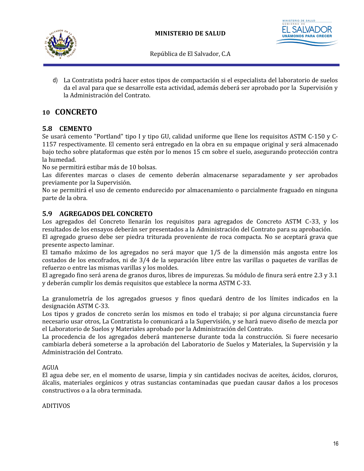



d) La Contratista podrá hacer estos tipos de compactación si el especialista del laboratorio de suelos da el aval para que se desarrolle esta actividad, además deberá ser aprobado por la Supervisión y la Administración del Contrato.

## <span id="page-21-2"></span>**10 CONCRETO**

#### <span id="page-21-1"></span>**5.8 CEMENTO**

Se usará cemento "Portland" tipo I y tipo GU, calidad uniforme que llene los requisitos ASTM C-150 y C-1157 respectivamente. El cemento será entregado en la obra en su empaque original y será almacenado bajo techo sobre plataformas que estén por lo menos 15 cm sobre el suelo, asegurando protección contra la humedad.

No se permitirá estibar más de 10 bolsas.

Las diferentes marcas o clases de cemento deberán almacenarse separadamente y ser aprobados previamente por la Supervisión.

No se permitirá el uso de cemento endurecido por almacenamiento o parcialmente fraguado en ninguna parte de la obra.

#### <span id="page-21-0"></span>**5.9 AGREGADOS DEL CONCRETO**

Los agregados del Concreto llenarán los requisitos para agregados de Concreto ASTM C-33, y los resultados de los ensayos deberán ser presentados a la Administración del Contrato para su aprobación.

El agregado grueso debe ser piedra triturada proveniente de roca compacta. No se aceptará grava que presente aspecto laminar.

El tamaño máximo de los agregados no será mayor que 1/5 de la dimensión más angosta entre los costados de los encofrados, ni de 3/4 de la separación libre entre las varillas o paquetes de varillas de refuerzo o entre las mismas varillas y los moldes.

El agregado fino será arena de granos duros, libres de impurezas. Su módulo de finura será entre 2.3 y 3.1 y deberán cumplir los demás requisitos que establece la norma ASTM C-33.

La granulometría de los agregados gruesos y finos quedará dentro de los límites indicados en la designación ASTM C-33.

Los tipos y grados de concreto serán los mismos en todo el trabajo; si por alguna circunstancia fuere necesario usar otros, La Contratista lo comunicará a la Supervisión, y se hará nuevo diseño de mezcla por el Laboratorio de Suelos y Materiales aprobado por la Administración del Contrato.

La procedencia de los agregados deberá mantenerse durante toda la construcción. Si fuere necesario cambiarla deberá someterse a la aprobación del Laboratorio de Suelos y Materiales, la Supervisión y la Administración del Contrato.

#### AGUA

El agua debe ser, en el momento de usarse, limpia y sin cantidades nocivas de aceites, ácidos, cloruros, álcalis, materiales orgánicos y otras sustancias contaminadas que puedan causar daños a los procesos constructivos o a la obra terminada.

#### ADITIVOS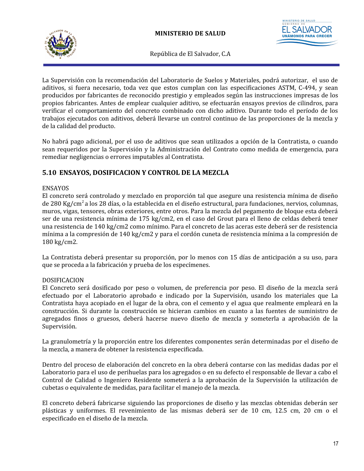



La Supervisión con la recomendación del Laboratorio de Suelos y Materiales, podrá autorizar, el uso de aditivos, si fuera necesario, toda vez que estos cumplan con las especificaciones ASTM, C-494, y sean producidos por fabricantes de reconocido prestigio y empleados según las instrucciones impresas de los propios fabricantes. Antes de emplear cualquier aditivo, se efectuarán ensayos previos de cilindros, para verificar el comportamiento del concreto combinado con dicho aditivo. Durante todo el período de los trabajos ejecutados con aditivos, deberá llevarse un control continuo de las proporciones de la mezcla y de la calidad del producto.

No habrá pago adicional, por el uso de aditivos que sean utilizados a opción de la Contratista, o cuando sean requeridos por la Supervisión y la Administración del Contrato como medida de emergencia, para remediar negligencias o errores imputables al Contratista.

## <span id="page-22-0"></span>**5.10 ENSAYOS, DOSIFICACION Y CONTROL DE LA MEZCLA**

#### ENSAYOS

El concreto será controlado y mezclado en proporción tal que asegure una resistencia mínima de diseño de 280 Kg/cm<sup>2</sup>a los 28 días, o la establecida en el diseño estructural, para fundaciones, nervios, columnas, muros, vigas, tensores, obras exteriores, entre otros. Para la mezcla del pegamento de bloque esta deberá ser de una resistencia mínima de 175 kg/cm2, en el caso del Grout para el lleno de celdas deberá tener una resistencia de 140 kg/cm2 como mínimo. Para el concreto de las aceras este deberá ser de resistencia mínima a la compresión de 140 kg/cm2 y para el cordón cuneta de resistencia mínima a la compresión de 180 kg/cm2.

La Contratista deberá presentar su proporción, por lo menos con 15 días de anticipación a su uso, para que se proceda a la fabricación y prueba de los especímenes.

#### DOSIFICACION

El Concreto será dosificado por peso o volumen, de preferencia por peso. El diseño de la mezcla será efectuado por el Laboratorio aprobado e indicado por la Supervisión, usando los materiales que La Contratista haya acopiado en el lugar de la obra, con el cemento y el agua que realmente empleará en la construcción. Si durante la construcción se hicieran cambios en cuanto a las fuentes de suministro de agregados finos o gruesos, deberá hacerse nuevo diseño de mezcla y someterla a aprobación de la Supervisión.

La granulometría y la proporción entre los diferentes componentes serán determinadas por el diseño de la mezcla, a manera de obtener la resistencia especificada.

Dentro del proceso de elaboración del concreto en la obra deberá contarse con las medidas dadas por el Laboratorio para el uso de perihuelas para los agregados o en su defecto el responsable de llevar a cabo el Control de Calidad o Ingeniero Residente someterá a la aprobación de la Supervisión la utilización de cubetas o equivalente de medidas, para facilitar el manejo de la mezcla.

El concreto deberá fabricarse siguiendo las proporciones de diseño y las mezclas obtenidas deberán ser plásticas y uniformes. El revenimiento de las mismas deberá ser de 10 cm, 12.5 cm, 20 cm o el especificado en el diseño de la mezcla.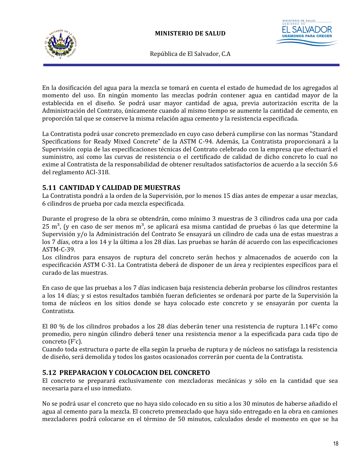

**UNÁMONOS PI** 

República de El Salvador, C.A

En la dosificación del agua para la mezcla se tomará en cuenta el estado de humedad de los agregados al momento del uso. En ningún momento las mezclas podrán contener agua en cantidad mayor de la establecida en el diseño. Se podrá usar mayor cantidad de agua, previa autorización escrita de la Administración del Contrato, únicamente cuando al mismo tiempo se aumente la cantidad de cemento, en proporción tal que se conserve la misma relación agua cemento y la resistencia especificada.

La Contratista podrá usar concreto premezclado en cuyo caso deberá cumplirse con las normas "Standard Specifications for Ready Mixed Concrete" de la ASTM C-94. Además, La Contratista proporcionará a la Supervisión copia de las especificaciones técnicas del Contrato celebrado con la empresa que efectuará el suministro, así como las curvas de resistencia o el certificado de calidad de dicho concreto lo cual no exime al Contratista de la responsabilidad de obtener resultados satisfactorios de acuerdo a la sección 5.6 del reglamento ACI-318.

#### <span id="page-23-1"></span>**5.11 CANTIDAD Y CALIDAD DE MUESTRAS**

La Contratista pondrá a la orden de la Supervisión, por lo menos 15 días antes de empezar a usar mezclas, 6 cilindros de prueba por cada mezcla especificada.

Durante el progreso de la obra se obtendrán, como mínimo 3 muestras de 3 cilindros cada una por cada  $25 \text{ m}^3$ , (y en caso de ser menos m<sup>3</sup>, se aplicará esa misma cantidad de pruebas ó las que determine la Supervisión y/o la Administración del Contrato Se ensayará un cilindro de cada una de estas muestras a los 7 días, otra a los 14 y la última a los 28 días. Las pruebas se harán dé acuerdo con las especificaciones ASTM-C-39.

Los cilindros para ensayos de ruptura del concreto serán hechos y almacenados de acuerdo con la especificación ASTM C-31. La Contratista deberá de disponer de un área y recipientes específicos para el curado de las muestras.

En caso de que las pruebas a los 7 días indicasen baja resistencia deberán probarse los cilindros restantes a los 14 días; y si estos resultados también fueran deficientes se ordenará por parte de la Supervisión la toma de núcleos en los sitios donde se haya colocado este concreto y se ensayarán por cuenta la Contratista.

El 80 % de los cilindros probados a los 28 días deberán tener una resistencia de ruptura 1.14F'c como promedio, pero ningún cilindro deberá tener una resistencia menor a la especificada para cada tipo de concreto (F'c).

Cuando toda estructura o parte de ella según la prueba de ruptura y de núcleos no satisfaga la resistencia de diseño, será demolida y todos los gastos ocasionados correrán por cuenta de la Contratista.

## <span id="page-23-0"></span>**5.12 PREPARACION Y COLOCACION DEL CONCRETO**

El concreto se preparará exclusivamente con mezcladoras mecánicas y sólo en la cantidad que sea necesaria para el uso inmediato.

No se podrá usar el concreto que no haya sido colocado en su sitio a los 30 minutos de haberse añadido el agua al cemento para la mezcla. El concreto premezclado que haya sido entregado en la obra en camiones mezcladores podrá colocarse en el término de 50 minutos, calculados desde el momento en que se ha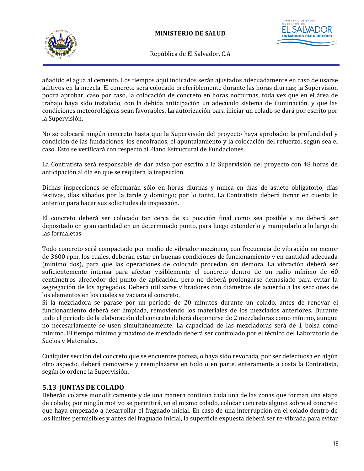



añadido el agua al cemento. Los tiempos aquí indicados serán ajustados adecuadamente en caso de usarse aditivos en la mezcla. El concreto será colocado preferiblemente durante las horas diurnas; la Supervisión podrá aprobar, caso por caso, la colocación de concreto en horas nocturnas, toda vez que en el área de trabajo haya sido instalado, con la debida anticipación un adecuado sistema de iluminación, y que las condiciones meteorológicas sean favorables. La autorización para iniciar un colado se dará por escrito por la Supervisión.

No se colocará ningún concreto hasta que la Supervisión del proyecto haya aprobado; la profundidad y condición de las fundaciones, los encofrados, el apuntalamiento y la colocación del refuerzo, según sea el caso. Esto se verificará con respecto al Plano Estructural de Fundaciones.

La Contratista será responsable de dar aviso por escrito a la Supervisión del proyecto con 48 horas de anticipación al día en que se requiera la inspección.

Dichas inspecciones se efectuarán sólo en horas diurnas y nunca en días de asueto obligatorio, días festivos, días sábados por la tarde y domingo; por lo tanto, La Contratista deberá tomar en cuenta lo anterior para hacer sus solicitudes de inspección.

El concreto deberá ser colocado tan cerca de su posición final como sea posible y no deberá ser depositado en gran cantidad en un determinado punto, para luego extenderlo y manipularlo a lo largo de las formaletas.

Todo concreto será compactado por medio de vibrador mecánico, con frecuencia de vibración no menor de 3600 rpm, los cuales, deberán estar en buenas condiciones de funcionamiento y en cantidad adecuada (mínimo dos), para que las operaciones de colocado procedan sin demora. La vibración deberá ser suficientemente intensa para afectar visiblemente el concreto dentro de un radio mínimo de 60 centímetros alrededor del punto de aplicación, pero no deberá prolongarse demasiado para evitar la segregación de los agregados. Deberá utilizarse vibradores con diámetros de acuerdo a las secciones de los elementos en los cuales se vaciara el concreto.

Si la mezcladora se parase por un período de 20 minutos durante un colado, antes de renovar el funcionamiento deberá ser limpiada, removiendo los materiales de los mezclados anteriores. Durante todo el período de la elaboración del concreto deberá disponerse de 2 mezcladoras como mínimo, aunque no necesariamente se usen simultáneamente. La capacidad de las mezcladoras será de 1 bolsa como mínimo. El tiempo mínimo y máximo de mezclado deberá ser controlado por el técnico del Laboratorio de Suelos y Materiales.

Cualquier sección del concreto que se encuentre porosa, o haya sido revocada, por ser defectuosa en algún otro aspecto, deberá removerse y reemplazarse en todo o en parte, enteramente a costa la Contratista, según lo ordene la Supervisión.

#### <span id="page-24-0"></span>**5.13 JUNTAS DE COLADO**

Deberán colarse monolíticamente y de una manera continua cada una de las zonas que forman una etapa de colado; por ningún motivo se permitirá, en el mismo colado, colocar concreto alguno sobre el concreto que haya empezado a desarrollar el fraguado inicial. En caso de una interrupción en el colado dentro de los límites permisibles y antes del fraguado inicial, la superficie expuesta deberá ser re-vibrada para evitar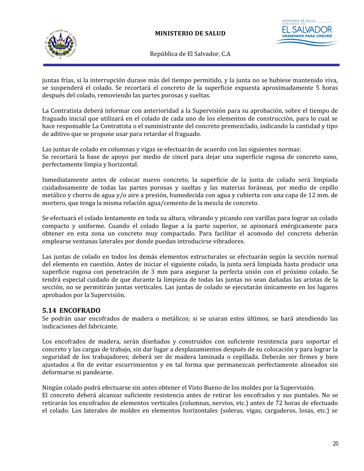

STERIO DE SALUD **UNÁMONOS PAI** 

República de El Salvador, C.A

juntas frías, si la interrupción durase más del tiempo permitido, y la junta no se hubiese mantenido viva, se suspenderá el colado. Se recortará el concreto de la superficie expuesta aproximadamente 5 horas después del colado, removiendo las partes porosas y sueltas.

La Contratista deberá informar con anterioridad a la Supervisión para su aprobación, sobre el tiempo de fraguado inicial que utilizará en el colado de cada uno de los elementos de construcción, para lo cual se hace responsable La Contratista o el suministrante del concreto premezclado, indicando la cantidad y tipo de aditivo que se propone usar para retardar el fraguado.

Las juntas de colado en columnas y vigas se efectuarán de acuerdo con las siguientes normas: Se recortará la base de apoyo por medio de cincel para dejar una superficie rugosa de concreto sano, perfectamente limpia y horizontal.

Inmediatamente antes de colocar nuevo concreto, la superficie de la junta de colado será limpiada cuidadosamente de todas las partes porosas y sueltas y las materias foráneas, por medio de cepillo metálico y chorro de agua y/o aire a presión, humedecida con agua y cubierta con una capa de 12 mm. de mortero, que tenga la misma relación agua/cemento de la mezcla de concreto.

Se efectuará el colado lentamente en toda su altura, vibrando y picando con varillas para lograr un colado compacto y uniforme. Cuando el colado llegue a la parte superior, se apisonará enérgicamente para obtener en esta zona un concreto muy compactado. Para facilitar el acomodo del concreto deberán emplearse ventanas laterales por donde puedan introducirse vibradores.

Las juntas de colado en todos los demás elementos estructurales se efectuarán según la sección normal del elemento en cuestión. Antes de iniciar el siguiente colado, la junta será limpiada hasta producir una superficie rugosa con penetración de 3 mm para asegurar la perfecta unión con el próximo colado. Se tendrá especial cuidado de que durante la limpieza de todas las juntas no sean dañadas las aristas de la sección, no se permitirán juntas verticales. Las juntas de colado se ejecutarán únicamente en los lugares aprobados por la Supervisión.

#### <span id="page-25-0"></span>**5.14 ENCOFRADO**

Se podrán usar encofrados de madera o metálicos; si se usaran estos últimos, se hará atendiendo las indicaciones del fabricante.

Los encofrados de madera, serán diseñados y construidos con suficiente resistencia para soportar el concreto y las cargas de trabajo, sin dar lugar a desplazamientos después de su colocación y para lograr la seguridad de los trabajadores; deberá ser de madera laminada o cepillada. Deberán ser firmes y bien ajustados a fin de evitar escurrimientos y en tal forma que permanezcan perfectamente alineados sin deformarse ni pandearse.

Ningún colado podrá efectuarse sin antes obtener el Visto Bueno de los moldes por la Supervisión. El concreto deberá alcanzar suficiente resistencia antes de retirar los encofrados y sus puntales. No se retirarán los encofrados de elementos verticales (columnas, nervios, etc.) antes de 72 horas de efectuado el colado. Los laterales de moldes en elementos horizontales (soleras, vigas, cargaderos, losas, etc.) se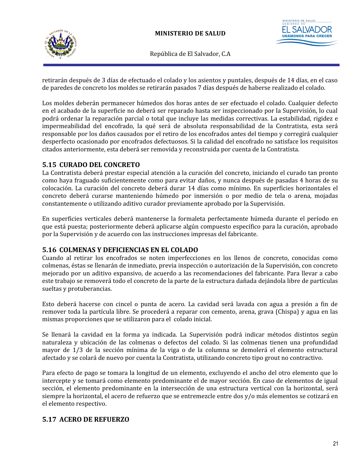

**UNÁMONOS PAI** 

República de El Salvador, C.A

retirarán después de 3 días de efectuado el colado y los asientos y puntales, después de 14 días, en el caso de paredes de concreto los moldes se retirarán pasados 7 días después de haberse realizado el colado.

Los moldes deberán permanecer húmedos dos horas antes de ser efectuado el colado. Cualquier defecto en el acabado de la superficie no deberá ser reparado hasta ser inspeccionado por la Supervisión, lo cual podrá ordenar la reparación parcial o total que incluye las medidas correctivas. La estabilidad, rigidez e impermeabilidad del encofrado, la qué será de absoluta responsabilidad de la Contratista, esta será responsable por los daños causados por el retiro de los encofrados antes del tiempo y corregirá cualquier desperfecto ocasionado por encofrados defectuosos. Si la calidad del encofrado no satisface los requisitos citados anteriormente, esta deberá ser removida y reconstruida por cuenta de la Contratista.

#### <span id="page-26-2"></span>**5.15 CURADO DEL CONCRETO**

La Contratista deberá prestar especial atención a la curación del concreto, iniciando el curado tan pronto como haya fraguado suficientemente como para evitar daños, y nunca después de pasadas 4 horas de su colocación. La curación del concreto deberá durar 14 días como mínimo. En superficies horizontales el concreto deberá curarse manteniendo húmedo por inmersión o por medio de tela o arena, mojadas constantemente o utilizando aditivo curador previamente aprobado por la Supervisión.

En superficies verticales deberá mantenerse la formaleta perfectamente húmeda durante el período en que está puesta; posteriormente deberá aplicarse algún compuesto específico para la curación, aprobado por la Supervisión y de acuerdo con las instrucciones impresas del fabricante.

#### <span id="page-26-1"></span>**5.16 COLMENAS Y DEFICIENCIAS EN EL COLADO**

Cuando al retirar los encofrados se noten imperfecciones en los llenos de concreto, conocidas como colmenas, éstas se llenarán de inmediato, previa inspección o autorización de la Supervisión, con concreto mejorado por un aditivo expansivo, de acuerdo a las recomendaciones del fabricante. Para llevar a cabo este trabajo se removerá todo el concreto de la parte de la estructura dañada dejándola libre de partículas sueltas y protuberancias.

Esto deberá hacerse con cincel o punta de acero. La cavidad será lavada con agua a presión a fin de remover toda la partícula libre. Se procederá a reparar con cemento, arena, grava (Chispa) y agua en las mismas proporciones que se utilizaron para el colado inicial.

Se llenará la cavidad en la forma ya indicada. La Supervisión podrá indicar métodos distintos según naturaleza y ubicación de las colmenas o defectos del colado. Si las colmenas tienen una profundidad mayor de 1/3 de la sección mínima de la viga o de la columna se demolerá el elemento estructural afectado y se colará de nuevo por cuenta la Contratista, utilizando concreto tipo grout no contractivo.

Para efecto de pago se tomara la longitud de un elemento, excluyendo el ancho del otro elemento que lo intercepte y se tomará como elemento predominante el de mayor sección. En caso de elementos de igual sección, el elemento predominante en la intersección de una estructura vertical con la horizontal, será siempre la horizontal, el acero de refuerzo que se entremezcle entre dos y/o más elementos se cotizará en el elemento respectivo.

#### <span id="page-26-0"></span>**5.17 ACERO DE REFUERZO**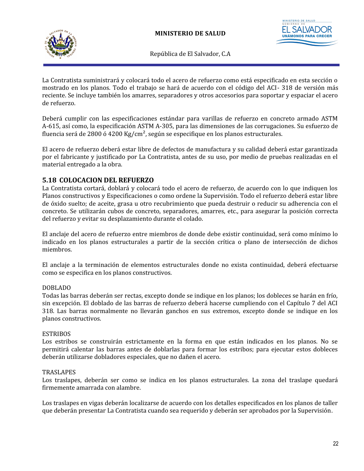



La Contratista suministrará y colocará todo el acero de refuerzo como está especificado en esta sección o mostrado en los planos. Todo el trabajo se hará de acuerdo con el código del ACI- 318 de versión más reciente. Se incluye también los amarres, separadores y otros accesorios para soportar y espaciar el acero de refuerzo.

Deberá cumplir con las especificaciones estándar para varillas de refuerzo en concreto armado ASTM A-615, así como, la especificación ASTM A-305, para las dimensiones de las corrugaciones. Su esfuerzo de fluencia será de 2800 ó 4200 Kg/cm<sup>2</sup>, según se especifique en los planos estructurales.

El acero de refuerzo deberá estar libre de defectos de manufactura y su calidad deberá estar garantizada por el fabricante y justificado por La Contratista, antes de su uso, por medio de pruebas realizadas en el material entregado a la obra.

#### <span id="page-27-0"></span>**5.18 COLOCACION DEL REFUERZO**

La Contratista cortará, doblará y colocará todo el acero de refuerzo, de acuerdo con lo que indiquen los Planos constructivos y Especificaciones o como ordene la Supervisión. Todo el refuerzo deberá estar libre de óxido suelto; de aceite, grasa u otro recubrimiento que pueda destruir o reducir su adherencia con el concreto. Se utilizarán cubos de concreto, separadores, amarres, etc., para asegurar la posición correcta del refuerzo y evitar su desplazamiento durante el colado.

El anclaje del acero de refuerzo entre miembros de donde debe existir continuidad, será como mínimo lo indicado en los planos estructurales a partir de la sección crítica o plano de intersección de dichos miembros.

El anclaje a la terminación de elementos estructurales donde no exista continuidad, deberá efectuarse como se especifica en los planos constructivos.

#### DOBLADO

Todas las barras deberán ser rectas, excepto donde se indique en los planos; los dobleces se harán en frío, sin excepción. El doblado de las barras de refuerzo deberá hacerse cumpliendo con el Capítulo 7 del ACI 318. Las barras normalmente no llevarán ganchos en sus extremos, excepto donde se indique en los planos constructivos.

#### ESTRIBOS

Los estribos se construirán estrictamente en la forma en que están indicados en los planos. No se permitirá calentar las barras antes de doblarlas para formar los estribos; para ejecutar estos dobleces deberán utilizarse dobladores especiales, que no dañen el acero.

#### TRASLAPES

Los traslapes, deberán ser como se indica en los planos estructurales. La zona del traslape quedará firmemente amarrada con alambre.

Los traslapes en vigas deberán localizarse de acuerdo con los detalles especificados en los planos de taller que deberán presentar La Contratista cuando sea requerido y deberán ser aprobados por la Supervisión.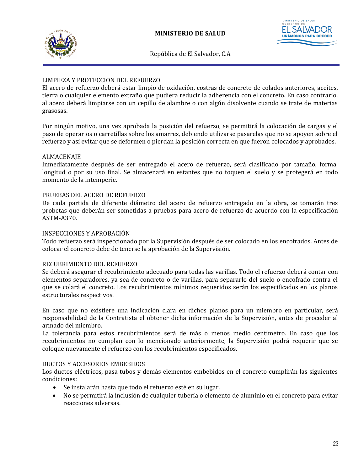



#### LIMPIEZA Y PROTECCION DEL REFUERZO

El acero de refuerzo deberá estar limpio de oxidación, costras de concreto de colados anteriores, aceites, tierra o cualquier elemento extraño que pudiera reducir la adherencia con el concreto. En caso contrario, al acero deberá limpiarse con un cepillo de alambre o con algún disolvente cuando se trate de materias grasosas.

Por ningún motivo, una vez aprobada la posición del refuerzo, se permitirá la colocación de cargas y el paso de operarios o carretillas sobre los amarres, debiendo utilizarse pasarelas que no se apoyen sobre el refuerzo y así evitar que se deformen o pierdan la posición correcta en que fueron colocados y aprobados.

#### ALMACENAJE

Inmediatamente después de ser entregado el acero de refuerzo, será clasificado por tamaño, forma, longitud o por su uso final. Se almacenará en estantes que no toquen el suelo y se protegerá en todo momento de la intemperie.

#### PRUEBAS DEL ACERO DE REFUERZO

De cada partida de diferente diámetro del acero de refuerzo entregado en la obra, se tomarán tres probetas que deberán ser sometidas a pruebas para acero de refuerzo de acuerdo con la especificación ASTM-A370.

#### INSPECCIONES Y APROBACIÓN

Todo refuerzo será inspeccionado por la Supervisión después de ser colocado en los encofrados. Antes de colocar el concreto debe de tenerse la aprobación de la Supervisión.

#### RECUBRIMIENTO DEL REFUERZO

Se deberá asegurar el recubrimiento adecuado para todas las varillas. Todo el refuerzo deberá contar con elementos separadores, ya sea de concreto o de varillas, para separarlo del suelo o encofrado contra el que se colará el concreto. Los recubrimientos mínimos requeridos serán los especificados en los planos estructurales respectivos.

En caso que no existiere una indicación clara en dichos planos para un miembro en particular, será responsabilidad de la Contratista el obtener dicha información de la Supervisión, antes de proceder al armado del miembro.

La tolerancia para estos recubrimientos será de más o menos medio centímetro. En caso que los recubrimientos no cumplan con lo mencionado anteriormente, la Supervisión podrá requerir que se coloque nuevamente el refuerzo con los recubrimientos especificados.

#### DUCTOS Y ACCESORIOS EMBEBIDOS

Los ductos eléctricos, pasa tubos y demás elementos embebidos en el concreto cumplirán las siguientes condiciones:

- Se instalarán hasta que todo el refuerzo esté en su lugar.
- No se permitirá la inclusión de cualquier tubería o elemento de aluminio en el concreto para evitar reacciones adversas.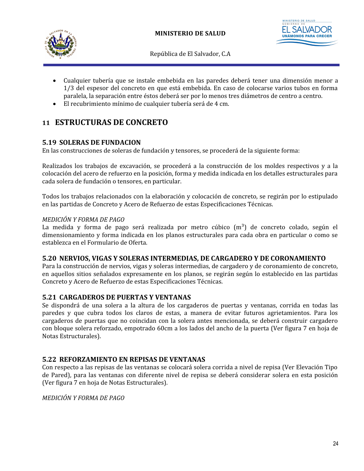



- Cualquier tubería que se instale embebida en las paredes deberá tener una dimensión menor a 1/3 del espesor del concreto en que está embebida. En caso de colocarse varios tubos en forma paralela, la separación entre éstos deberá ser por lo menos tres diámetros de centro a centro.
- El recubrimiento mínimo de cualquier tubería será de 4 cm.

## <span id="page-29-4"></span>**11 ESTRUCTURAS DE CONCRETO**

## <span id="page-29-3"></span>**5.19 SOLERAS DE FUNDACION**

En las construcciones de soleras de fundación y tensores, se procederá de la siguiente forma:

Realizados los trabajos de excavación, se procederá a la construcción de los moldes respectivos y a la colocación del acero de refuerzo en la posición, forma y medida indicada en los detalles estructurales para cada solera de fundación o tensores, en particular.

Todos los trabajos relacionados con la elaboración y colocación de concreto, se regirán por lo estipulado en las partidas de Concreto y Acero de Refuerzo de estas Especificaciones Técnicas.

#### *MEDICIÓN Y FORMA DE PAGO*

La medida y forma de pago será realizada por metro cúbico  $(m^3)$  de concreto colado, según el dimensionamiento y forma indicada en los planos estructurales para cada obra en particular o como se establezca en el Formulario de Oferta.

#### <span id="page-29-2"></span>**5.20 NERVIOS, VIGAS Y SOLERAS INTERMEDIAS, DE CARGADERO Y DE CORONAMIENTO**

Para la construcción de nervios, vigas y soleras intermedias, de cargadero y de coronamiento de concreto, en aquellos sitios señalados expresamente en los planos, se regirán según lo establecido en las partidas Concreto y Acero de Refuerzo de estas Especificaciones Técnicas.

#### <span id="page-29-1"></span>**5.21 CARGADEROS DE PUERTAS Y VENTANAS**

Se dispondrá de una solera a la altura de los cargaderos de puertas y ventanas, corrida en todas las paredes y que cubra todos los claros de estas, a manera de evitar futuros agrietamientos. Para los cargaderos de puertas que no coincidan con la solera antes mencionada, se deberá construir cargadero con bloque solera reforzado, empotrado 60cm a los lados del ancho de la puerta (Ver figura 7 en hoja de Notas Estructurales).

#### <span id="page-29-0"></span>**5.22 REFORZAMIENTO EN REPISAS DE VENTANAS**

Con respecto a las repisas de las ventanas se colocará solera corrida a nivel de repisa (Ver Elevación Tipo de Pared), para las ventanas con diferente nivel de repisa se deberá considerar solera en esta posición (Ver figura 7 en hoja de Notas Estructurales).

*MEDICIÓN Y FORMA DE PAGO*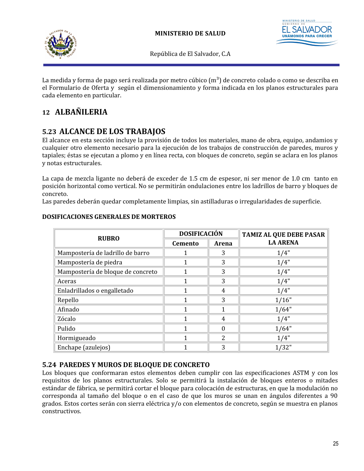



La medida y forma de pago será realizada por metro cúbico  $(m^3)$  de concreto colado o como se describa en el Formulario de Oferta y según el dimensionamiento y forma indicada en los planos estructurales para cada elemento en particular.

## <span id="page-30-2"></span>**12 ALBAÑILERIA**

## <span id="page-30-1"></span>**5.23 ALCANCE DE LOS TRABAJOS**

El alcance en esta sección incluye la provisión de todos los materiales, mano de obra, equipo, andamios y cualquier otro elemento necesario para la ejecución de los trabajos de construcción de paredes, muros y tapiales; éstas se ejecutan a plomo y en línea recta, con bloques de concreto, según se aclara en los planos y notas estructurales.

La capa de mezcla ligante no deberá de exceder de 1.5 cm de espesor, ni ser menor de 1.0 cm tanto en posición horizontal como vertical. No se permitirán ondulaciones entre los ladrillos de barro y bloques de concreto.

Las paredes deberán quedar completamente limpias, sin astilladuras o irregularidades de superficie.

| <b>RUBRO</b>                      | <b>DOSIFICACIÓN</b> |          | <b>TAMIZ AL QUE DEBE PASAR</b> |
|-----------------------------------|---------------------|----------|--------------------------------|
|                                   | <b>Cemento</b>      | Arena    | <b>LA ARENA</b>                |
| Mampostería de ladrillo de barro  |                     | 3        | 1/4"                           |
| Mampostería de piedra             |                     | 3        | 1/4"                           |
| Mampostería de bloque de concreto |                     | 3        | 1/4"                           |
| Aceras                            |                     | 3        | 1/4"                           |
| Enladrillados o engalletado       |                     | 4        | 1/4"                           |
| Repello                           |                     | 3        | 1/16"                          |
| Afinado                           |                     |          | 1/64"                          |
| Zócalo                            |                     | 4        | 1/4"                           |
| Pulido                            |                     | $\Omega$ | 1/64"                          |
| Hormigueado                       |                     | 2        | 1/4"                           |
| Enchape (azulejos)                |                     | 3        | 1/32"                          |

#### **DOSIFICACIONES GENERALES DE MORTEROS**

## <span id="page-30-0"></span>**5.24 PAREDES Y MUROS DE BLOQUE DE CONCRETO**

Los bloques que conformaran estos elementos deben cumplir con las especificaciones ASTM y con los requisitos de los planos estructurales. Solo se permitirá la instalación de bloques enteros o mitades estándar de fábrica, se permitirá cortar el bloque para colocación de estructuras, en que la modulación no corresponda al tamaño del bloque o en el caso de que los muros se unan en ángulos diferentes a 90 grados. Estos cortes serán con sierra eléctrica y/o con elementos de concreto, según se muestra en planos constructivos.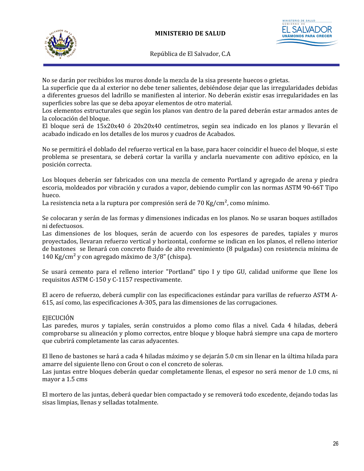

No se darán por recibidos los muros donde la mezcla de la sisa presente huecos o grietas.

La superficie que da al exterior no debe tener salientes, debiéndose dejar que las irregularidades debidas a diferentes gruesos del ladrillo se manifiesten al interior. No deberán existir esas irregularidades en las superficies sobre las que se deba apoyar elementos de otro material.

Los elementos estructurales que según los planos van dentro de la pared deberán estar armados antes de la colocación del bloque.

El bloque será de 15x20x40 ó 20x20x40 centímetros, según sea indicado en los planos y llevarán el acabado indicado en los detalles de los muros y cuadros de Acabados.

No se permitirá el doblado del refuerzo vertical en la base, para hacer coincidir el hueco del bloque, si este problema se presentara, se deberá cortar la varilla y anclarla nuevamente con aditivo epóxico, en la posición correcta.

Los bloques deberán ser fabricados con una mezcla de cemento Portland y agregado de arena y piedra escoria, moldeados por vibración y curados a vapor, debiendo cumplir con las normas ASTM 90-66T Tipo hueco.

La resistencia neta a la ruptura por compresión será de 70 Kg/cm<sup>2</sup>, como mínimo.

Se colocaran y serán de las formas y dimensiones indicadas en los planos. No se usaran boques astillados ni defectuosos.

Las dimensiones de los bloques, serán de acuerdo con los espesores de paredes, tapiales y muros proyectados, llevaran refuerzo vertical y horizontal, conforme se indican en los planos, el relleno interior de bastones se llenará con concreto fluido de alto revenimiento (8 pulgadas) con resistencia mínima de 140 Kg/cm<sup>2</sup> y con agregado máximo de  $3/8$ " (chispa).

Se usará cemento para el relleno interior "Portland" tipo I y tipo GU, calidad uniforme que llene los requisitos ASTM C-150 y C-1157 respectivamente.

El acero de refuerzo, deberá cumplir con las especificaciones estándar para varillas de refuerzo ASTM A-615, así como, las especificaciones A-305, para las dimensiones de las corrugaciones.

#### EJECUCIÓN

Las paredes, muros y tapiales, serán construidos a plomo como filas a nivel. Cada 4 hiladas, deberá comprobarse su alineación y plomo correctos, entre bloque y bloque habrá siempre una capa de mortero que cubrirá completamente las caras adyacentes.

El lleno de bastones se hará a cada 4 hiladas máximo y se dejarán 5.0 cm sin llenar en la última hilada para amarre del siguiente lleno con Grout o con el concreto de soleras.

Las juntas entre bloques deberán quedar completamente llenas, el espesor no será menor de 1.0 cms, ni mayor a 1.5 cms

El mortero de las juntas, deberá quedar bien compactado y se removerá todo excedente, dejando todas las sisas limpias, llenas y selladas totalmente.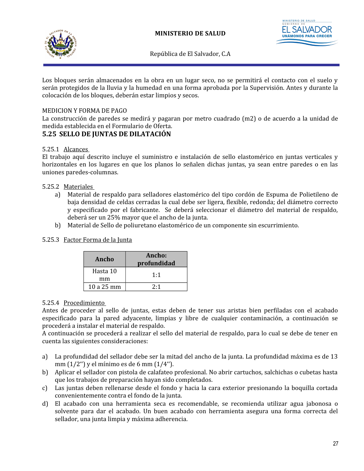



Los bloques serán almacenados en la obra en un lugar seco, no se permitirá el contacto con el suelo y serán protegidos de la lluvia y la humedad en una forma aprobada por la Supervisión. Antes y durante la colocación de los bloques, deberán estar limpios y secos.

#### MEDICION Y FORMA DE PAGO

La construcción de paredes se medirá y pagaran por metro cuadrado (m2) o de acuerdo a la unidad de medida establecida en el Formulario de Oferta.

#### <span id="page-32-0"></span>**5.25 SELLO DE JUNTAS DE DILATACIÓN**

#### 5.25.1 Alcances

El trabajo aquí descrito incluye el suministro e instalación de sello elastomérico en juntas verticales y horizontales en los lugares en que los planos lo señalen dichas juntas, ya sean entre paredes o en las uniones paredes-columnas.

#### 5.25.2 Materiales

- a) Material de respaldo para selladores elastomérico del tipo cordón de Espuma de Polietileno de baja densidad de celdas cerradas la cual debe ser ligera, flexible, redonda; del diámetro correcto y especificado por el fabricante. Se deberá seleccionar el diámetro del material de respaldo, deberá ser un 25% mayor que el ancho de la junta.
- b) Material de Sello de poliuretano elastomérico de un componente sin escurrimiento.

#### 5.25.3 Factor Forma de la Junta

| Ancho      | Ancho:<br>profundidad |
|------------|-----------------------|
| Hasta 10   | 1:1                   |
| mm         |                       |
| $10a25$ mm | 2:1                   |

#### 5.25.4 Procedimiento

Antes de proceder al sello de juntas, estas deben de tener sus aristas bien perfiladas con el acabado especificado para la pared adyacente, limpias y libre de cualquier contaminación, a continuación se procederá a instalar el material de respaldo.

A continuación se procederá a realizar el sello del material de respaldo, para lo cual se debe de tener en cuenta las siguientes consideraciones:

- a) La profundidad del sellador debe ser la mitad del ancho de la junta. La profundidad máxima es de 13 mm (1/2'') y el mínimo es de 6 mm (1/4'').
- b) Aplicar el sellador con pistola de calafateo profesional. No abrir cartuchos, salchichas o cubetas hasta que los trabajos de preparación hayan sido completados.
- c) Las juntas deben rellenarse desde el fondo y hacia la cara exterior presionando la boquilla cortada convenientemente contra el fondo de la junta.
- d) El acabado con una herramienta seca es recomendable, se recomienda utilizar agua jabonosa o solvente para dar el acabado. Un buen acabado con herramienta asegura una forma correcta del sellador, una junta limpia y máxima adherencia.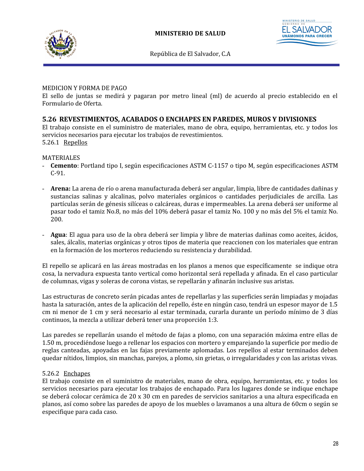





#### MEDICION Y FORMA DE PAGO

El sello de juntas se medirá y pagaran por metro lineal (ml) de acuerdo al precio establecido en el Formulario de Oferta.

#### <span id="page-33-0"></span>**5.26 REVESTIMIENTOS, ACABADOS O ENCHAPES EN PAREDES, MUROS Y DIVISIONES**

El trabajo consiste en el suministro de materiales, mano de obra, equipo, herramientas, etc. y todos los servicios necesarios para ejecutar los trabajos de revestimientos. 5.26.1 Repellos

#### MATERIALES

- **Cemento**: Portland tipo I, según especificaciones ASTM C-1157 o tipo M, según especificaciones ASTM C-91.
- **Arena:** La arena de río o arena manufacturada deberá ser angular, limpia, libre de cantidades dañinas y sustancias salinas y alcalinas, polvo materiales orgánicos o cantidades perjudiciales de arcilla. Las partículas serán de génesis silíceas o calcáreas, duras e impermeables. La arena deberá ser uniforme al pasar todo el tamiz No.8, no más del 10% deberá pasar el tamiz No. 100 y no más del 5% el tamiz No. 200.
- **Agua**: El agua para uso de la obra deberá ser limpia y libre de materias dañinas como aceites, ácidos, sales, álcalis, materias orgánicas y otros tipos de materia que reaccionen con los materiales que entran en la formación de los morteros reduciendo su resistencia y durabilidad.

El repello se aplicará en las áreas mostradas en los planos a menos que específicamente se indique otra cosa, la nervadura expuesta tanto vertical como horizontal será repellada y afinada. En el caso particular de columnas, vigas y soleras de corona vistas, se repellarán y afinarán inclusive sus aristas.

Las estructuras de concreto serán picadas antes de repellarlas y las superficies serán limpiadas y mojadas hasta la saturación, antes de la aplicación del repello, éste en ningún caso, tendrá un espesor mayor de 1.5 cm ni menor de 1 cm y será necesario al estar terminada, curarla durante un período mínimo de 3 días continuos, la mezcla a utilizar deberá tener una proporción 1:3.

Las paredes se repellarán usando el método de fajas a plomo, con una separación máxima entre ellas de 1.50 m, procediéndose luego a rellenar los espacios con mortero y emparejando la superficie por medio de reglas canteadas, apoyadas en las fajas previamente aplomadas. Los repellos al estar terminados deben quedar nítidos, limpios, sin manchas, parejos, a plomo, sin grietas, o irregularidades y con las aristas vivas.

#### 5.26.2 Enchapes

El trabajo consiste en el suministro de materiales, mano de obra, equipo, herramientas, etc. y todos los servicios necesarios para ejecutar los trabajos de enchapado. Para los lugares donde se indique enchape se deberá colocar cerámica de 20 x 30 cm en paredes de servicios sanitarios a una altura especificada en planos, así como sobre las paredes de apoyo de los muebles o lavamanos a una altura de 60cm o según se especifique para cada caso.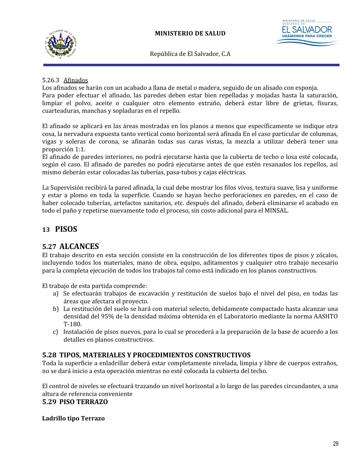

#### 5.26.3 Afinados

Los afinados se harán con un acabado a llana de metal o madera, seguido de un alisado con esponja. Para poder efectuar el afinado, las paredes deben estar bien repelladas y mojadas hasta la saturación, limpiar el polvo, aceite o cualquier otro elemento extraño, deberá estar libre de grietas, fisuras, cuarteaduras, manchas y sopladuras en el repello.

El afinado se aplicará en las áreas mostradas en los planos a menos que específicamente se indique otra cosa, la nervadura expuesta tanto vertical como horizontal será afinada En el caso particular de columnas, vigas y soleras de corona, se afinarán todas sus caras vistas, la mezcla a utilizar deberá tener una proporción 1:1.

El afinado de paredes interiores, no podrá ejecutarse hasta que la cubierta de techo o losa esté colocada, según el caso. El afinado de paredes no podrá ejecutarse antes de que estén resanados los repellos, así mismo deberán estar colocadas las tuberías, pasa-tubos y cajas eléctricas.

La Supervisión recibirá la pared afinada, la cual debe mostrar los filos vivos, textura suave, lisa y uniforme y estar a plomo en toda la superficie. Cuando se hayan hecho perforaciones en paredes, en el caso de haber colocado tuberías, artefactos sanitarios, etc. después del afinado, deberá eliminarse el acabado en todo el paño y repetirse nuevamente todo el proceso, sin costo adicional para el MINSAL.

## <span id="page-34-0"></span>**13 PISOS**

## <span id="page-34-1"></span>**5.27 ALCANCES**

El trabajo descrito en esta sección consiste en la construcción de los diferentes tipos de pisos y zócalos, incluyendo todos los materiales, mano de obra, equipo, aditamentos y cualquier otro trabajo necesario para la completa ejecución de todos los trabajos tal como está indicado en los planos constructivos.

El trabajo de esta partida comprende:

- a) Se efectuarán trabajos de excavación y restitución de suelos bajo el nivel del piso, en todas las áreas que afectara el proyecto.
- b) La restitución del suelo se hará con material selecto, debidamente compactado hasta alcanzar una densidad del 95% de la densidad máxima obtenida en el Laboratorio mediante la norma AASHTO T-180.
- c) Instalación de pisos nuevos, para lo cual se procederá a la preparación de la base de acuerdo a los detalles en planos constructivos.

#### <span id="page-34-3"></span>**5.28 TIPOS, MATERIALES Y PROCEDIMIENTOS CONSTRUCTIVOS**

Toda la superficie a enladrillar deberá estar completamente nivelada, limpia y libre de cuerpos extraños, no se dará inicio a esta operación mientras no esté colocada la cubierta del techo.

El control de niveles se efectuará trazando un nivel horizontal a lo largo de las paredes circundantes, a una altura de referencia conveniente

#### <span id="page-34-2"></span>**5.29 PISO TERRAZO**

#### **Ladrillo tipo Terrazo**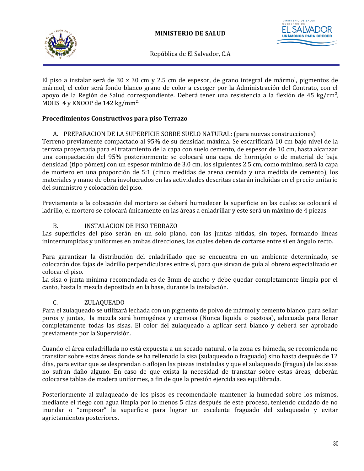



El piso a instalar será de 30 x 30 cm y 2.5 cm de espesor, de grano integral de mármol, pigmentos de mármol, el color será fondo blanco grano de color a escoger por la Administración del Contrato, con el apoyo de la Región de Salud correspondiente. Deberá tener una resistencia a la flexión de 45 kg/cm<sup>2</sup>, MOHS 4 y KNOOP de  $142 \text{ kg/mm}^2$ .

#### **Procedimientos Constructivos para piso Terrazo**

#### A. PREPARACION DE LA SUPERFICIE SOBRE SUELO NATURAL: (para nuevas construcciones)

Terreno previamente compactado al 95% de su densidad máxima. Se escarificará 10 cm bajo nivel de la terraza proyectada para el tratamiento de la capa con suelo cemento, de espesor de 10 cm, hasta alcanzar una compactación del 95% posteriormente se colocará una capa de hormigón o de material de baja densidad (tipo pómez) con un espesor mínimo de 3.0 cm, los siguientes 2.5 cm, como mínimo, será la capa de mortero en una proporción de 5:1 (cinco medidas de arena cernida y una medida de cemento), los materiales y mano de obra involucrados en las actividades descritas estarán incluidas en el precio unitario del suministro y colocación del piso.

Previamente a la colocación del mortero se deberá humedecer la superficie en las cuales se colocará el ladrillo, el mortero se colocará únicamente en las áreas a enladrillar y este será un máximo de 4 piezas

#### B. INSTALACION DE PISO TERRAZO

Las superficies del piso serán en un solo plano, con las juntas nítidas, sin topes, formando líneas ininterrumpidas y uniformes en ambas direcciones, las cuales deben de cortarse entre sí en ángulo recto.

Para garantizar la distribución del enladrillado que se encuentra en un ambiente determinado, se colocarán dos fajas de ladrillo perpendiculares entre sí, para que sirvan de guía al obrero especializado en colocar el piso.

La sisa o junta mínima recomendada es de 3mm de ancho y debe quedar completamente limpia por el canto, hasta la mezcla depositada en la base, durante la instalación.

#### C. ZULAQUEADO

Para el zulaqueado se utilizará lechada con un pigmento de polvo de mármol y cemento blanco, para sellar poros y juntas, la mezcla será homogénea y cremosa (Nunca liquida o pastosa), adecuada para llenar completamente todas las sisas. El color del zulaqueado a aplicar será blanco y deberá ser aprobado previamente por la Supervisión.

Cuando el área enladrillada no está expuesta a un secado natural, o la zona es húmeda, se recomienda no transitar sobre estas áreas donde se ha rellenado la sisa (zulaqueado o fraguado) sino hasta después de 12 días, para evitar que se desprendan o aflojen las piezas instaladas y que el zulaqueado (fragua) de las sisas no sufran daño alguno. En caso de que exista la necesidad de transitar sobre estas áreas, deberán colocarse tablas de madera uniformes, a fin de que la presión ejercida sea equilibrada.

Posteriormente al zulaqueado de los pisos es recomendable mantener la humedad sobre los mismos, mediante el riego con agua limpia por lo menos 5 días después de este proceso, teniendo cuidado de no inundar o "empozar" la superficie para lograr un excelente fraguado del zulaqueado y evitar agrietamientos posteriores.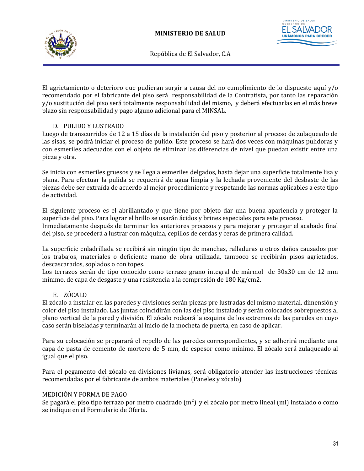

STERIO DE SALUD **UNÁMONOS PAF** 

República de El Salvador, C.A

El agrietamiento o deterioro que pudieran surgir a causa del no cumplimiento de lo dispuesto aquí y/o recomendado por el fabricante del piso será responsabilidad de la Contratista, por tanto las reparación y/o sustitución del piso será totalmente responsabilidad del mismo, y deberá efectuarlas en el más breve plazo sin responsabilidad y pago alguno adicional para el MINSAL.

### D. PULIDO Y LUSTRADO

Luego de transcurridos de 12 a 15 días de la instalación del piso y posterior al proceso de zulaqueado de las sisas, se podrá iniciar el proceso de pulido. Este proceso se hará dos veces con máquinas pulidoras y con esmeriles adecuados con el objeto de eliminar las diferencias de nivel que puedan existir entre una pieza y otra.

Se inicia con esmeriles gruesos y se llega a esmeriles delgados, hasta dejar una superficie totalmente lisa y plana. Para efectuar la pulida se requerirá de agua limpia y la lechada proveniente del desbaste de las piezas debe ser extraída de acuerdo al mejor procedimiento y respetando las normas aplicables a este tipo de actividad.

El siguiente proceso es el abrillantado y que tiene por objeto dar una buena apariencia y proteger la superficie del piso. Para lograr el brillo se usarán ácidos y brines especiales para este proceso. Inmediatamente después de terminar los anteriores procesos y para mejorar y proteger el acabado final del piso, se procederá a lustrar con máquina, cepillos de cerdas y ceras de primera calidad.

La superficie enladrillada se recibirá sin ningún tipo de manchas, ralladuras u otros daños causados por los trabajos, materiales o deficiente mano de obra utilizada, tampoco se recibirán pisos agrietados, descascarados, soplados o con topes.

Los terrazos serán de tipo conocido como terrazo grano integral de mármol de 30x30 cm de 12 mm mínimo, de capa de desgaste y una resistencia a la compresión de 180 Kg/cm2.

## E. ZÓCALO

El zócalo a instalar en las paredes y divisiones serán piezas pre lustradas del mismo material, dimensión y color del piso instalado. Las juntas coincidirán con las del piso instalado y serán colocados sobrepuestos al plano vertical de la pared y división. El zócalo rodeará la esquina de los extremos de las paredes en cuyo caso serán biseladas y terminarán al inicio de la mocheta de puerta, en caso de aplicar.

Para su colocación se preparará el repello de las paredes correspondientes, y se adherirá mediante una capa de pasta de cemento de mortero de 5 mm, de espesor como mínimo. El zócalo será zulaqueado al igual que el piso.

Para el pegamento del zócalo en divisiones livianas, será obligatorio atender las instrucciones técnicas recomendadas por el fabricante de ambos materiales (Paneles y zócalo)

#### MEDICIÓN Y FORMA DE PAGO

Se pagará el piso tipo terrazo por metro cuadrado (m<sup>2</sup>) y el zócalo por metro lineal (ml) instalado o como se indique en el Formulario de Oferta.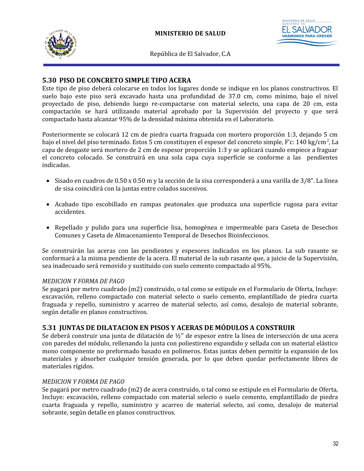

STERIO DE SALUD **UNÁMONOS PAF** 

República de El Salvador, C.A

### **5.30 PISO DE CONCRETO SIMPLE TIPO ACERA**

Este tipo de piso deberá colocarse en todos los lugares donde se indique en los planos constructivos. El suelo bajo este piso será excavado hasta una profundidad de 37.0 cm, como mínimo, bajo el nivel proyectado de piso, debiendo luego re-compactarse con material selecto, una capa de 20 cm, esta compactación se hará utilizando material aprobado por la Supervisión del proyecto y que será compactado hasta alcanzar 95% de la densidad máxima obtenida en el Laboratorio.

Posteriormente se colocará 12 cm de piedra cuarta fraguada con mortero proporción 1:3, dejando 5 cm bajo el nivel del piso terminado. Estos 5 cm constituyen el espesor del concreto simple, F'c: 140 kg/cm<sup>2</sup>, La capa de desgaste será mortero de 2 cm de espesor proporción 1:3 y se aplicará cuando empiece a fraguar el concreto colocado. Se construirá en una sola capa cuya superficie se conforme a las pendientes indicadas.

- $\bullet$  Sisado en cuadros de 0.50 x 0.50 m y la sección de la sisa corresponderá a una varilla de 3/8". La línea de sisa coincidirá con la juntas entre colados sucesivos.
- Acabado tipo escobillado en rampas peatonales que produzca una superficie rugosa para evitar accidentes.
- Repellado y pulido para una superficie lisa, homogénea e impermeable para Caseta de Desechos Comunes y Caseta de Almacenamiento Temporal de Desechos Bioinfecciosos.

Se construirán las aceras con las pendientes y espesores indicados en los planos. La sub rasante se conformará a la misma pendiente de la acera. El material de la sub rasante que, a juicio de la Supervisión, sea inadecuado será removido y sustituido con suelo cemento compactado al 95%.

#### *MEDICION Y FORMA DE PAGO*

Se pagará por metro cuadrado (m2) construido, o tal como se estipule en el Formulario de Oferta, Incluye: excavación, relleno compactado con material selecto o suelo cemento, emplantillado de piedra cuarta fraguada y repello, suministro y acarreo de material selecto, así como, desalojo de material sobrante, según detalle en planos constructivos.

# **5.31 JUNTAS DE DILATACION EN PISOS Y ACERAS DE MÓDULOS A CONSTRUIR**

Se deberá construir una junta de dilatación de ½'' de espesor entre la línea de intersección de una acera con paredes del módulo, rellenando la junta con poliestireno expandido y sellada con un material elástico mono componente no preformado basado en polímeros. Estas juntas deben permitir la expansión de los materiales y absorber cualquier tensión generada, por lo que deben quedar perfectamente libres de materiales rígidos.

#### *MEDICION Y FORMA DE PAGO*

Se pagará por metro cuadrado (m2) de acera construido, o tal como se estipule en el Formulario de Oferta, Incluye: excavación, relleno compactado con material selecto o suelo cemento, emplantillado de piedra cuarta fraguada y repello, suministro y acarreo de material selecto, así como, desalojo de material sobrante, según detalle en planos constructivos.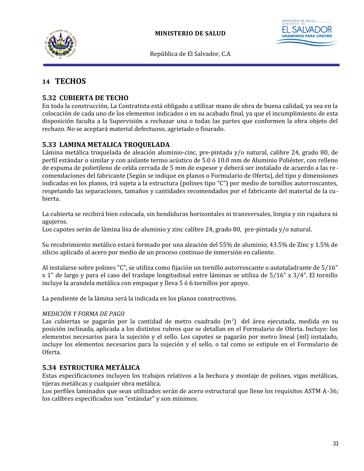



# **14 TECHOS**

# **5.32 CUBIERTA DE TECHO**

En toda la construcción, La Contratista está obligado a utilizar mano de obra de buena calidad, ya sea en la colocación de cada uno de los elementos indicados o en su acabado final, ya que el incumplimiento de esta disposición faculta a la Supervisión a rechazar una o todas las partes que conformen la obra objeto del rechazo. No se aceptará material defectuoso, agrietado o fisurado.

# **5.33 LAMINA METALICA TROQUELADA**

Lámina metálica troquelada de aleación aluminio-cinc, pre-pintada y/o natural, calibre 24, grado 80, de perfil estándar o similar y con aislante termo acústico de 5.0 ó 10.0 mm de Aluminio Poliéster, con relleno de espuma de polietileno de celda cerrada de 5 mm de espesor y deberá ser instalado de acuerdo a las re comendaciones del fabricante (Según se indique en planos o Formulario de Oferta), del tipo y dimensiones indicadas en los planos, irá sujeta a la estructura (polines tipo "C") por medio de tornillos autorroscantes, respetando las separaciones, tamaños y cantidades recomendados por el fabricante del material de la cubierta.

La cubierta se recibirá bien colocada, sin hendiduras horizontales ni transversales, limpia y sin rajadura ni agujeros.

Los capotes serán de lámina lisa de aluminio y zinc calibre 24, grado 80, pre-pintada y/o natural.

Su recubrimiento metálico estará formado por una aleación del 55% de aluminio, 43.5% de Zinc y 1.5% de silicio aplicado al acero por medio de un proceso continuo de inmersión en caliente.

Al instalarse sobre polines "C", se utiliza como fijación un tornillo autorroscante o autotaladrante de 5/16" x 1" de largo y para el caso del traslape longitudinal entre láminas se utiliza de 5/16" x 3/4". El tornillo incluye la arandela metálica con empaque y lleva 5 ó 6 tornillos por apoyo.

La pendiente de la lámina será la indicada en los planos constructivos.

### *MEDICIÓN Y FORMA DE PAGO*

Las cubiertas se pagarán por la cantidad de metro cuadrado  $(m^2)$  del área ejecutada, medida en su posición inclinada, aplicada a los distintos rubros que se detallan en el Formulario de Oferta. Incluye: los elementos necesarios para la sujeción y el sello. Los capotes se pagarán por metro lineal (ml) instalado, incluye los elementos necesarios para la sujeción y el sello, o tal como se estipule en el Formulario de Oferta.

## **5.34 ESTRUCTURA METÁLICA**

Estas especificaciones incluyen los trabajos relativos a la hechura y montaje de polines, vigas metálicas, tijeras metálicas y cualquier obra metálica.

Los perfiles laminados que sean utilizados serán de acero estructural que llene los requisitos ASTM A-36; los calibres especificados son "estándar" y son mínimos.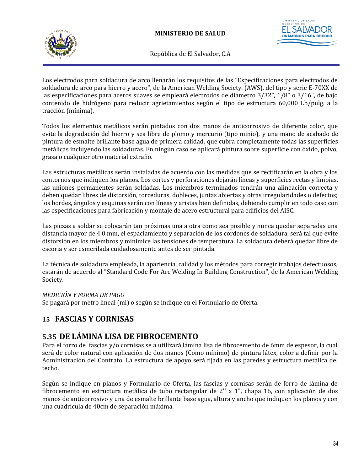



Los electrodos para soldadura de arco llenarán los requisitos de las "Especificaciones para electrodos de soldadura de arco para hierro y acero", de la American Welding Society. (AWS), del tipo y serie E-70XX de las especificaciones para aceros suaves se empleará electrodos de diámetro 3/32", 1/8" o 3/16", de bajo contenido de hidrógeno para reducir agrietamientos según el tipo de estructura 60,000 Lb/pulg. a la tracción (mínima).

Todos los elementos metálicos serán pintados con dos manos de anticorrosivo de diferente color, que evite la degradación del hierro y sea libre de plomo y mercurio (tipo minio), y una mano de acabado de pintura de esmalte brillante base agua de primera calidad, que cubra completamente todas las superficies metálicas incluyendo las soldaduras. En ningún caso se aplicará pintura sobre superficie con óxido, polvo, grasa o cualquier otro material extraño.

Las estructuras metálicas serán instaladas de acuerdo con las medidas que se rectificarán en la obra y los contornos que indiquen los planos. Los cortes y perforaciones dejarán líneas y superficies rectas y limpias, las uniones permanentes serán soldadas. Los miembros terminados tendrán una alineación correcta y deben quedar libres de distorsión, torceduras, dobleces, juntas abiertas y otras irregularidades o defectos; los bordes, ángulos y esquinas serán con líneas y aristas bien definidas, debiendo cumplir en todo caso con las especificaciones para fabricación y montaje de acero estructural para edificios del AISC.

Las piezas a soldar se colocarán tan próximas una a otra como sea posible y nunca quedar separadas una distancia mayor de 4.0 mm, el espaciamiento y separación de los cordones de soldadura, será tal que evite distorsión en los miembros y minimice las tensiones de temperatura. La soldadura deberá quedar libre de escoria y ser esmerilada cuidadosamente antes de ser pintada.

La técnica de soldadura empleada, la apariencia, calidad y los métodos para corregir trabajos defectuosos, estarán de acuerdo al "Standard Code For Arc Welding In Building Construction", de la American Welding Society.

## *MEDICIÓN Y FORMA DE PAGO*

Se pagará por metro lineal (ml) o según se indique en el Formulario de Oferta.

# **15 FASCIAS Y CORNISAS**

# **5.35 DE LÁMINA LISA DE FIBROCEMENTO**

Para el forro de fascias y/o cornisas se a utilizará lámina lisa de fibrocemento de 6mm de espesor, la cual será de color natural con aplicación de dos manos (Como mínimo) de pintura látex, color a definir por la Administración del Contrato. La estructura de apoyo será fijada en las paredes y estructura metálica del techo.

Según se indique en planos y Formulario de Oferta, las fascias y cornisas serán de forro de lámina de fibrocemento en estructura metálica de tubo rectangular de 2'' x 1", chapa 16, con aplicación de dos manos de anticorrosivo y una de esmalte brillante base agua, altura y ancho que indiquen los planos y con una cuadricula de 40cm de separación máxima.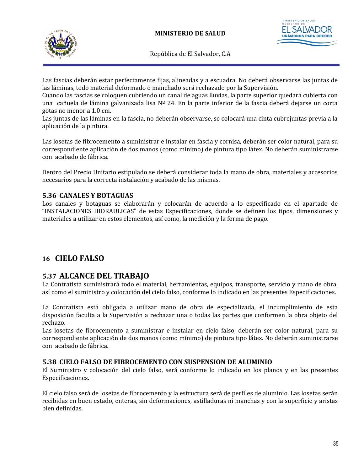



Las fascias deberán estar perfectamente fijas, alineadas y a escuadra. No deberá observarse las juntas de las láminas, todo material deformado o manchado será rechazado por la Supervisión.

Cuando las fascias se coloquen cubriendo un canal de aguas lluvias, la parte superior quedará cubierta con una cañuela de lámina galvanizada lisa Nº 24. En la parte inferior de la fascia deberá dejarse un corta gotas no menor a 1.0 cm.

Las juntas de las láminas en la fascia, no deberán observarse, se colocará una cinta cubrejuntas previa a la aplicación de la pintura.

Las losetas de fibrocemento a suministrar e instalar en fascia y cornisa, deberán ser color natural, para su correspondiente aplicación de dos manos (como mínimo) de pintura tipo látex. No deberán suministrarse con acabado de fábrica.

Dentro del Precio Unitario estipulado se deberá considerar toda la mano de obra, materiales y accesorios necesarios para la correcta instalación y acabado de las mismas.

### **5.36 CANALES Y BOTAGUAS**

Los canales y botaguas se elaborarán y colocarán de acuerdo a lo especificado en el apartado de "INSTALACIONES HIDRAULICAS" de estas Especificaciones, donde se definen los tipos, dimensiones y materiales a utilizar en estos elementos, así como, la medición y la forma de pago.

# **16 CIELO FALSO**

# **5.37 ALCANCE DEL TRABAJO**

La Contratista suministrará todo el material, herramientas, equipos, transporte, servicio y mano de obra, así como el suministro y colocación del cielo falso, conforme lo indicado en las presentes Especificaciones.

La Contratista está obligada a utilizar mano de obra de especializada, el incumplimiento de esta disposición faculta a la Supervisión a rechazar una o todas las partes que conformen la obra objeto del rechazo.

Las losetas de fibrocemento a suministrar e instalar en cielo falso, deberán ser color natural, para su correspondiente aplicación de dos manos (como mínimo) de pintura tipo látex. No deberán suministrarse con acabado de fábrica.

### **5.38 CIELO FALSO DE FIBROCEMENTO CON SUSPENSION DE ALUMINIO**

El Suministro y colocación del cielo falso, será conforme lo indicado en los planos y en las presentes Especificaciones.

El cielo falso será de losetas de fibrocemento y la estructura será de perfiles de aluminio. Las losetas serán recibidas en buen estado, enteras, sin deformaciones, astilladuras ni manchas y con la superficie y aristas bien definidas.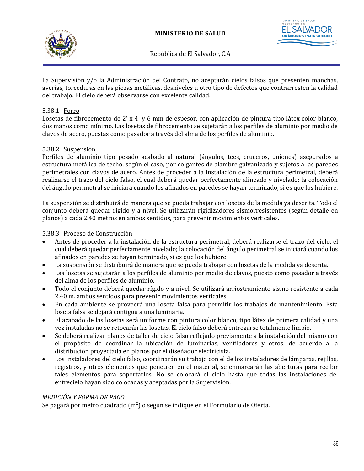

**UNÁMONOS PAI** 

República de El Salvador, C.A

La Supervisión y/o la Administración del Contrato, no aceptarán cielos falsos que presenten manchas, averías, torceduras en las piezas metálicas, desniveles u otro tipo de defectos que contrarresten la calidad del trabajo. El cielo deberá observarse con excelente calidad.

### 5.38.1 Forro

Losetas de fibrocemento de 2' x 4' y 6 mm de espesor, con aplicación de pintura tipo látex color blanco, dos manos como mínimo. Las losetas de fibrocemento se sujetarán a los perfiles de aluminio por medio de clavos de acero, puestas como pasador a través del alma de los perfiles de aluminio.

### 5.38.2 Suspensión

Perfiles de aluminio tipo pesado acabado al natural (ángulos, tees, cruceros, uniones) asegurados a estructura metálica de techo, según el caso, por colgantes de alambre galvanizado y sujetos a las paredes perimetrales con clavos de acero. Antes de proceder a la instalación de la estructura perimetral, deberá realizarse el trazo del cielo falso, el cual deberá quedar perfectamente alineado y nivelado; la colocación del ángulo perimetral se iniciará cuando los afinados en paredes se hayan terminado, si es que los hubiere.

La suspensión se distribuirá de manera que se pueda trabajar con losetas de la medida ya descrita. Todo el conjunto deberá quedar rígido y a nivel. Se utilizarán rigidizadores sismorresistentes (según detalle en planos) a cada 2.40 metros en ambos sentidos, para prevenir movimientos verticales.

#### 5.38.3 Proceso de Construcción

- Antes de proceder a la instalación de la estructura perimetral, deberá realizarse el trazo del cielo, el cual deberá quedar perfectamente nivelado; la colocación del ángulo perimetral se iniciará cuando los afinados en paredes se hayan terminado, si es que los hubiere.
- La suspensión se distribuirá de manera que se pueda trabajar con losetas de la medida ya descrita.
- Las losetas se sujetarán a los perfiles de aluminio por medio de clavos, puesto como pasador a través del alma de los perfiles de aluminio.
- Todo el conjunto deberá quedar rígido y a nivel. Se utilizará arriostramiento sismo resistente a cada 2.40 m. ambos sentidos para prevenir movimientos verticales.
- En cada ambiente se proveerá una loseta falsa para permitir los trabajos de mantenimiento. Esta loseta falsa se dejará contigua a una luminaria.
- El acabado de las losetas será uniforme con pintura color blanco, tipo látex de primera calidad y una vez instaladas no se retocarán las losetas. El cielo falso deberá entregarse totalmente limpio.
- Se deberá realizar planos de taller de cielo falso reflejado previamente a la instalación del mismo con el propósito de coordinar la ubicación de luminarias, ventiladores y otros, de acuerdo a la distribución proyectada en planos por el diseñador electricista.
- Los instaladores del cielo falso, coordinarán su trabajo con el de los instaladores de lámparas, rejillas, registros, y otros elementos que penetren en el material, se enmarcarán las aberturas para recibir tales elementos para soportarlos. No se colocará el cielo hasta que todas las instalaciones del entrecielo hayan sido colocadas y aceptadas por la Supervisión.

#### *MEDICIÓN Y FORMA DE PAGO*

Se pagará por metro cuadrado (m<sup>2</sup>) o según se indique en el Formulario de Oferta.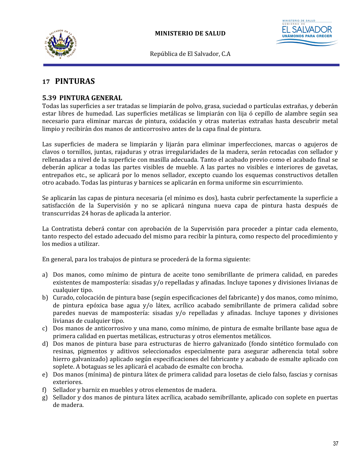



# **17 PINTURAS**

### **5.39 PINTURA GENERAL**

Todas las superficies a ser tratadas se limpiarán de polvo, grasa, suciedad o partículas extrañas, y deberán estar libres de humedad. Las superficies metálicas se limpiarán con lija ó cepillo de alambre según sea necesario para eliminar marcas de pintura, oxidación y otras materias extrañas hasta descubrir metal limpio y recibirán dos manos de anticorrosivo antes de la capa final de pintura.

Las superficies de madera se limpiarán y lijarán para eliminar imperfecciones, marcas o agujeros de clavos o tornillos, juntas, rajaduras y otras irregularidades de la madera, serán retocadas con sellador y rellenadas a nivel de la superficie con masilla adecuada. Tanto el acabado previo como el acabado final se deberán aplicar a todas las partes visibles de mueble. A las partes no visibles e interiores de gavetas, entrepaños etc., se aplicará por lo menos sellador, excepto cuando los esquemas constructivos detallen otro acabado. Todas las pinturas y barnices se aplicarán en forma uniforme sin escurrimiento.

Se aplicarán las capas de pintura necesaria (el mínimo es dos), hasta cubrir perfectamente la superficie a satisfacción de la Supervisión y no se aplicará ninguna nueva capa de pintura hasta después de transcurridas 24 horas de aplicada la anterior.

La Contratista deberá contar con aprobación de la Supervisión para proceder a pintar cada elemento, tanto respecto del estado adecuado del mismo para recibir la pintura, como respecto del procedimiento y los medios a utilizar.

En general, para los trabajos de pintura se procederá de la forma siguiente:

- a) Dos manos, como mínimo de pintura de aceite tono semibrillante de primera calidad, en paredes existentes de mampostería: sisadas y/o repelladas y afinadas. Incluye tapones y divisiones livianas de cualquier tipo.
- b) Curado, colocación de pintura base (según especificaciones del fabricante) y dos manos, como mínimo, de pintura epóxica base agua y/o látex, acrílico acabado semibrillante de primera calidad sobre paredes nuevas de mampostería: sisadas y/o repelladas y afinadas. Incluye tapones y divisiones livianas de cualquier tipo.
- c) Dos manos de anticorrosivo y una mano, como mínimo, de pintura de esmalte brillante base agua de primera calidad en puertas metálicas, estructuras y otros elementos metálicos.
- d) Dos manos de pintura base para estructuras de hierro galvanizado (fondo sintético formulado con resinas, pigmentos y aditivos seleccionados especialmente para asegurar adherencia total sobre hierro galvanizado) aplicado según especificaciones del fabricante y acabado de esmalte aplicado con soplete. A botaguas se les aplicará el acabado de esmalte con brocha.
- e) Dos manos (mínima) de pintura látex de primera calidad para losetas de cielo falso, fascias y cornisas exteriores.
- f) Sellador y barniz en muebles y otros elementos de madera.
- g) Sellador y dos manos de pintura látex acrílica, acabado semibrillante, aplicado con soplete en puertas de madera.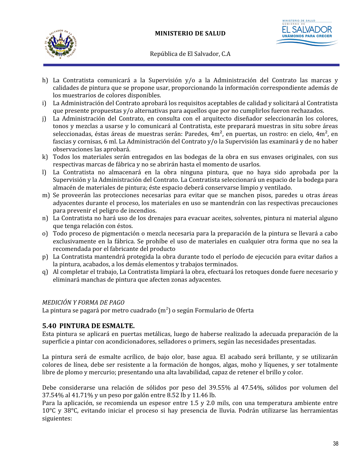



- h) La Contratista comunicará a la Supervisión y/o a la Administración del Contrato las marcas y calidades de pintura que se propone usar, proporcionando la información correspondiente además de los muestrarios de colores disponibles.
- i) La Administración del Contrato aprobará los requisitos aceptables de calidad y solicitará al Contratista que presente propuestas y/o alternativas para aquellos que por no cumplirlos fueron rechazados.
- j) La Administración del Contrato, en consulta con el arquitecto diseñador seleccionarán los colores, tonos y mezclas a usarse y lo comunicará al Contratista, este preparará muestras in situ sobre áreas seleccionadas, éstas áreas de muestras serán: Paredes, 4m², en puertas, un rostro: en cielo, 4m², en fascias y cornisas, 6 ml. La Administración del Contrato y/o la Supervisión las examinará y de no haber observaciones las aprobará.
- k) Todos los materiales serán entregados en las bodegas de la obra en sus envases originales, con sus respectivas marcas de fábrica y no se abrirán hasta el momento de usarlos.
- l) La Contratista no almacenará en la obra ninguna pintura, que no haya sido aprobada por la Supervisión y la Administración del Contrato. La Contratista seleccionará un espacio de la bodega para almacén de materiales de pintura; éste espacio deberá conservarse limpio y ventilado.
- m) Se proveerán las protecciones necesarias para evitar que se manchen pisos, paredes u otras áreas adyacentes durante el proceso, los materiales en uso se mantendrán con las respectivas precauciones para prevenir el peligro de incendios.
- n) La Contratista no hará uso de los drenajes para evacuar aceites, solventes, pintura ni material alguno que tenga relación con éstos.
- o) Todo proceso de pigmentación o mezcla necesaria para la preparación de la pintura se llevará a cabo exclusivamente en la fábrica. Se prohíbe el uso de materiales en cualquier otra forma que no sea la recomendada por el fabricante del producto
- p) La Contratista mantendrá protegida la obra durante todo el período de ejecución para evitar daños a la pintura, acabados, a los demás elementos y trabajos terminados.
- q) Al completar el trabajo, La Contratista limpiará la obra, efectuará los retoques donde fuere necesario y eliminará manchas de pintura que afecten zonas adyacentes.

### *MEDICIÓN Y FORMA DE PAGO*

La pintura se pagará por metro cuadrado (m<sup>2</sup>) o según Formulario de Oferta

## **5.40 PINTURA DE ESMALTE.**

Esta pintura se aplicará en puertas metálicas, luego de haberse realizado la adecuada preparación de la superficie a pintar con acondicionadores, selladores o primers, según las necesidades presentadas.

La pintura será de esmalte acrílico, de bajo olor, base agua. El acabado será brillante, y se utilizarán colores de línea, debe ser resistente a la formación de hongos, algas, moho y líquenes, y ser totalmente libre de plomo y mercurio; presentando una alta lavabilidad, capaz de retener el brillo y color.

Debe considerarse una relación de sólidos por peso del 39.55% al 47.54%, sólidos por volumen del 37.54% al 41.71% y un peso por galón entre 8.52 lb y 11.46 lb.

Para la aplicación, se recomienda un espesor entre 1.5 y 2.0 mils, con una temperatura ambiente entre 10°C y 38°C, evitando iniciar el proceso si hay presencia de lluvia. Podrán utilizarse las herramientas siguientes: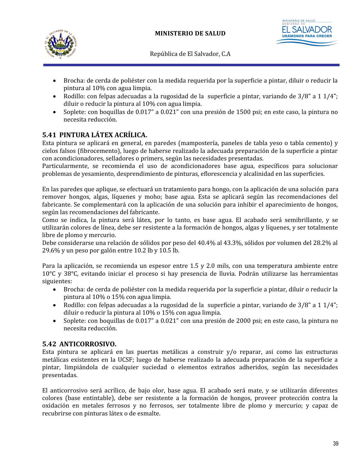



- Brocha: de cerda de poliéster con la medida requerida por la superficie a pintar, diluir o reducir la pintura al 10% con agua limpia.
- Rodillo: con felpas adecuadas a la rugosidad de la superficie a pintar, variando de 3/8" a 1 1/4"; diluir o reducir la pintura al 10% con agua limpia.
- Soplete: con boquillas de 0.017" a 0.021" con una presión de 1500 psi; en este caso, la pintura no necesita reducción.

# **5.41 PINTURA LÁTEX ACRÍLICA.**

Esta pintura se aplicará en general, en paredes (mampostería, paneles de tabla yeso o tabla cemento) y cielos falsos (fibrocemento), luego de haberse realizado la adecuada preparación de la superficie a pintar con acondicionadores, selladores o primers, según las necesidades presentadas.

Particularmente, se recomienda el uso de acondicionadores base agua, específicos para solucionar problemas de yesamiento, desprendimiento de pinturas, eflorescencia y alcalinidad en las superficies.

En las paredes que aplique, se efectuará un tratamiento para hongo, con la aplicación de una solución para remover hongos, algas, líquenes y moho; base agua. Esta se aplicará según las recomendaciones del fabricante. Se complementará con la aplicación de una solución para inhibir el aparecimiento de hongos, según las recomendaciones del fabricante.

Como se indica, la pintura será látex, por lo tanto, es base agua. El acabado será semibrillante, y se utilizarán colores de línea, debe ser resistente a la formación de hongos, algas y líquenes, y ser totalmente libre de plomo y mercurio.

Debe considerarse una relación de sólidos por peso del 40.4% al 43.3%, sólidos por volumen del 28.2% al 29.6% y un peso por galón entre 10.2 lb y 10.5 lb.

Para la aplicación, se recomienda un espesor entre 1.5 y 2.0 mils, con una temperatura ambiente entre 10°C y 38°C, evitando iniciar el proceso si hay presencia de lluvia. Podrán utilizarse las herramientas siguientes:

- Brocha: de cerda de poliéster con la medida requerida por la superficie a pintar, diluir o reducir la pintura al 10% o 15% con agua limpia.
- Rodillo: con felpas adecuadas a la rugosidad de la superficie a pintar, variando de  $3/8$ " a  $1/4$ "; diluir o reducir la pintura al 10% o 15% con agua limpia.
- Soplete: con boquillas de 0.017" a 0.021" con una presión de 2000 psi; en este caso, la pintura no necesita reducción.

## **5.42 ANTICORROSIVO.**

Esta pintura se aplicará en las puertas metálicas a construir y/o reparar, asi como las estructuras metálicas existentes en la UCSF; luego de haberse realizado la adecuada preparación de la superficie a pintar, limpiándola de cualquier suciedad o elementos extraños adheridos, según las necesidades presentadas.

El anticorrosivo será acrílico, de bajo olor, base agua. El acabado será mate, y se utilizarán diferentes colores (base entintable), debe ser resistente a la formación de hongos, proveer protección contra la oxidación en metales ferrosos y no ferrosos, ser totalmente libre de plomo y mercurio; y capaz de recubrirse con pinturas látex o de esmalte.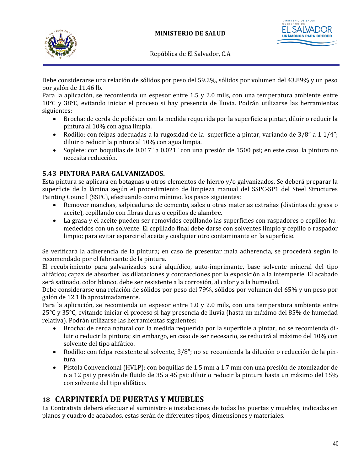



Debe considerarse una relación de sólidos por peso del 59.2%, sólidos por volumen del 43.89% y un peso por galón de 11.46 lb.

Para la aplicación, se recomienda un espesor entre 1.5 y 2.0 mils, con una temperatura ambiente entre 10°C y 38°C, evitando iniciar el proceso si hay presencia de lluvia. Podrán utilizarse las herramientas siguientes:

- Brocha: de cerda de poliéster con la medida requerida por la superficie a pintar, diluir o reducir la pintura al 10% con agua limpia.
- Rodillo: con felpas adecuadas a la rugosidad de la superficie a pintar, variando de 3/8" a 1 1/4"; diluir o reducir la pintura al 10% con agua limpia.
- Soplete: con boquillas de 0.017" a 0.021" con una presión de 1500 psi; en este caso, la pintura no necesita reducción.

# **5.43 PINTURA PARA GALVANIZADOS.**

Esta pintura se aplicará en botaguas u otros elementos de hierro y/o galvanizados. Se deberá preparar la superficie de la lámina según el procedimiento de limpieza manual del SSPC-SP1 del Steel Structures Painting Council (SSPC), efectuando como mínimo, los pasos siguientes:

- Remover manchas, salpicaduras de cemento, sales u otras materias extrañas (distintas de grasa o aceite), cepillando con fibras duras o cepillos de alambre.
- La grasa y el aceite pueden ser removidos cepillando las superficies con raspadores o cepillos humedecidos con un solvente. El cepillado final debe darse con solventes limpio y cepillo o raspador limpio; para evitar esparcir el aceite y cualquier otro contaminante en la superficie.

Se verificará la adherencia de la pintura; en caso de presentar mala adherencia, se procederá según lo recomendado por el fabricante de la pintura.

El recubrimiento para galvanizados será alquídico, auto-imprimante, base solvente mineral del tipo alifático; capaz de absorber las dilataciones y contracciones por la exposición a la intemperie. El acabado será satinado, color blanco, debe ser resistente a la corrosión, al calor y a la humedad.

Debe considerarse una relación de sólidos por peso del 79%, sólidos por volumen del 65% y un peso por galón de 12.1 lb aproximadamente.

Para la aplicación, se recomienda un espesor entre 1.0 y 2.0 mils, con una temperatura ambiente entre 25°C y 35°C, evitando iniciar el proceso si hay presencia de lluvia (hasta un máximo del 85% de humedad relativa). Podrán utilizarse las herramientas siguientes:

- Brocha: de cerda natural con la medida requerida por la superficie a pintar, no se recomienda diluir o reducir la pintura; sin embargo, en caso de ser necesario, se reducirá al máximo del 10% con solvente del tipo alifático.
- Rodillo: con felpa resistente al solvente, 3/8"; no se recomienda la dilución o reducción de la pintura.
- Pistola Convencional (HVLP): con boquillas de 1.5 mm a 1.7 mm con una presión de atomizador de 6 a 12 psi y presión de fluido de 35 a 45 psi; diluir o reducir la pintura hasta un máximo del 15% con solvente del tipo alifático.

# **18 CARPINTERÍA DE PUERTAS Y MUEBLES**

La Contratista deberá efectuar el suministro e instalaciones de todas las puertas y muebles, indicadas en planos y cuadro de acabados, estas serán de diferentes tipos, dimensiones y materiales.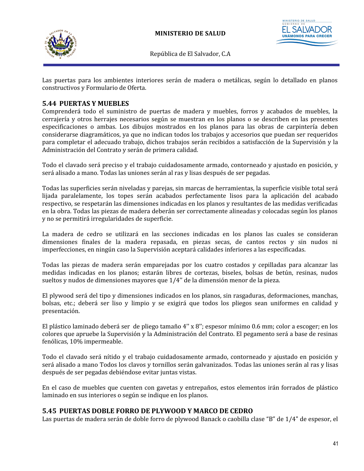



Las puertas para los ambientes interiores serán de madera o metálicas, según lo detallado en planos constructivos y Formulario de Oferta.

# **5.44 PUERTAS Y MUEBLES**

Comprenderá todo el suministro de puertas de madera y muebles, forros y acabados de muebles, la cerrajería y otros herrajes necesarios según se muestran en los planos o se describen en las presentes especificaciones o ambas. Los dibujos mostrados en los planos para las obras de carpintería deben considerarse diagramáticos, ya que no indican todos los trabajos y accesorios que puedan ser requeridos para completar el adecuado trabajo, dichos trabajos serán recibidos a satisfacción de la Supervisión y la Administración del Contrato y serán de primera calidad.

Todo el clavado será preciso y el trabajo cuidadosamente armado, contorneado y ajustado en posición, y será alisado a mano. Todas las uniones serán al ras y lisas después de ser pegadas.

Todas las superficies serán niveladas y parejas, sin marcas de herramientas, la superficie visible total será lijada paralelamente, los topes serán acabados perfectamente lisos para la aplicación del acabado respectivo, se respetarán las dimensiones indicadas en los planos y resultantes de las medidas verificadas en la obra. Todas las piezas de madera deberán ser correctamente alineadas y colocadas según los planos y no se permitirá irregularidades de superficie.

La madera de cedro se utilizará en las secciones indicadas en los planos las cuales se consideran dimensiones finales de la madera repasada, en piezas secas, de cantos rectos y sin nudos ni imperfecciones, en ningún caso la Supervisión aceptará calidades inferiores a las especificadas.

Todas las piezas de madera serán emparejadas por los cuatro costados y cepilladas para alcanzar las medidas indicadas en los planos; estarán libres de cortezas, biseles, bolsas de betún, resinas, nudos sueltos y nudos de dimensiones mayores que 1/4'' de la dimensión menor de la pieza.

El plywood será del tipo y dimensiones indicados en los planos, sin rasgaduras, deformaciones, manchas, bolsas, etc.; deberá ser liso y limpio y se exigirá que todos los pliegos sean uniformes en calidad y presentación.

El plástico laminado deberá ser de pliego tamaño 4'' x 8''; espesor mínimo 0.6 mm; color a escoger; en los colores que apruebe la Supervisión y la Administración del Contrato. El pegamento será a base de resinas fenólicas, 10% impermeable.

Todo el clavado será nítido y el trabajo cuidadosamente armado, contorneado y ajustado en posición y será alisado a mano Todos los clavos y tornillos serán galvanizados. Todas las uniones serán al ras y lisas después de ser pegadas debiéndose evitar juntas vistas.

En el caso de muebles que cuenten con gavetas y entrepaños, estos elementos irán forrados de plástico laminado en sus interiores o según se indique en los planos.

## **5.45 PUERTAS DOBLE FORRO DE PLYWOOD Y MARCO DE CEDRO**

Las puertas de madera serán de doble forro de plywood Banack o caobilla clase "B" de 1/4" de espesor, el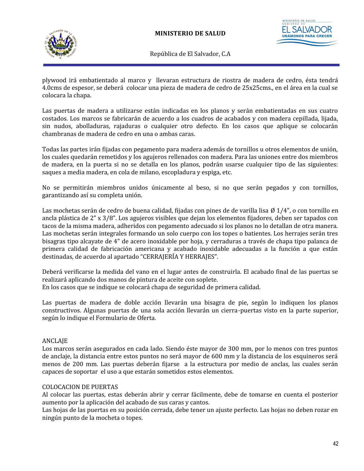



plywood irá embatientado al marco y llevaran estructura de riostra de madera de cedro, ésta tendrá 4.0cms de espesor, se deberá colocar una pieza de madera de cedro de 25x25cms., en el área en la cual se colocara la chapa.

Las puertas de madera a utilizarse están indicadas en los planos y serán embatientadas en sus cuatro costados. Los marcos se fabricarán de acuerdo a los cuadros de acabados y con madera cepillada, lijada, sin nudos, abolladuras, rajaduras o cualquier otro defecto. En los casos que aplique se colocarán chambranas de madera de cedro en una o ambas caras.

Todas las partes irán fijadas con pegamento para madera además de tornillos u otros elementos de unión, los cuales quedarán remetidos y los agujeros rellenados con madera. Para las uniones entre dos miembros de madera, en la puerta si no se detalla en los planos, podrán usarse cualquier tipo de las siguientes: saques a media madera, en cola de milano, escopladura y espiga, etc.

No se permitirán miembros unidos únicamente al beso, si no que serán pegados y con tornillos, garantizando así su completa unión.

Las mochetas serán de cedro de buena calidad, fijadas con pines de de varilla lisa Ø 1/4", o con tornillo en ancla plástica de 2" x 3/8". Los agujeros visibles que dejan los elementos fijadores, deben ser tapados con tacos de la misma madera, adheridos con pegamento adecuado si los planos no lo detallan de otra manera. Las mochetas serán integrales formando un solo cuerpo con los topes o batientes. Los herrajes serán tres bisagras tipo alcayate de 4" de acero inoxidable por hoja, y cerraduras a través de chapa tipo palanca de primera calidad de fabricación americana y acabado inoxidable adecuadas a la función a que están destinadas, de acuerdo al apartado "CERRAJERÍA Y HERRAJES".

Deberá verificarse la medida del vano en el lugar antes de construirla. El acabado final de las puertas se realizará aplicando dos manos de pintura de aceite con soplete. En los casos que se indique se colocará chapa de seguridad de primera calidad.

Las puertas de madera de doble acción llevarán una bisagra de pie, según lo indiquen los planos constructivos. Algunas puertas de una sola acción llevarán un cierra-puertas visto en la parte superior, según lo indique el Formulario de Oferta.

### ANCLAJE

Los marcos serán asegurados en cada lado. Siendo éste mayor de 300 mm, por lo menos con tres puntos de anclaje, la distancia entre estos puntos no será mayor de 600 mm y la distancia de los esquineros será menos de 200 mm. Las puertas deberán fijarse a la estructura por medio de anclas, las cuales serán capaces de soportar el uso a que estarán sometidos estos elementos.

### COLOCACION DE PUERTAS

Al colocar las puertas, estas deberán abrir y cerrar fácilmente, debe de tomarse en cuenta el posterior aumento por la aplicación del acabado de sus caras y cantos.

Las hojas de las puertas en su posición cerrada, debe tener un ajuste perfecto. Las hojas no deben rozar en ningún punto de la mocheta o topes.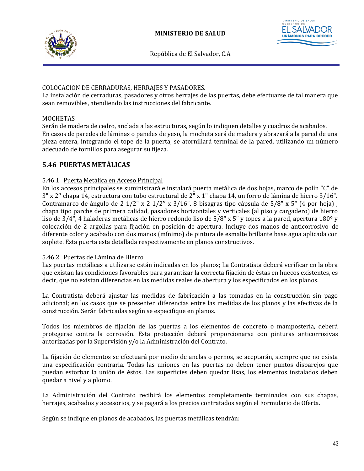



### COLOCACION DE CERRADURAS, HERRAJES Y PASADORES.

La instalación de cerraduras, pasadores y otros herrajes de las puertas, debe efectuarse de tal manera que sean removibles, atendiendo las instrucciones del fabricante.

### MOCHETAS

Serán de madera de cedro, anclada a las estructuras, según lo indiquen detalles y cuadros de acabados. En casos de paredes de láminas o paneles de yeso, la mocheta será de madera y abrazará a la pared de una pieza entera, integrando el tope de la puerta, se atornillará terminal de la pared, utilizando un número adecuado de tornillos para asegurar su fijeza.

## **5.46 PUERTAS METÁLICAS**

### 5.46.1 Puerta Metálica en Acceso Principal

En los accesos principales se suministrará e instalará puerta metálica de dos hojas, marco de polín "C" de 3" x 2'' chapa 14, estructura con tubo estructural de 2" x 1" chapa 14, un forro de lámina de hierro 3/16". Contramarco de ángulo de 2 1/2" x 2 1/2'' x 3/16", 8 bisagras tipo cápsula de 5/8" x 5" (4 por hoja) , chapa tipo parche de primera calidad, pasadores horizontales y verticales (al piso y cargadero) de hierro liso de 3/4", 4 haladeras metálicas de hierro redondo liso de 5/8" x 5" y topes a la pared, apertura 180º y colocación de 2 argollas para fijación en posición de apertura. Incluye dos manos de anticorrosivo de diferente color y acabado con dos manos (mínimo) de pintura de esmalte brillante base agua aplicada con soplete. Esta puerta esta detallada respectivamente en planos constructivos.

#### 5.46.2 Puertas de Lámina de Hierro

Las puertas metálicas a utilizarse están indicadas en los planos; La Contratista deberá verificar en la obra que existan las condiciones favorables para garantizar la correcta fijación de éstas en huecos existentes, es decir, que no existan diferencias en las medidas reales de abertura y los especificados en los planos.

La Contratista deberá ajustar las medidas de fabricación a las tomadas en la construcción sin pago adicional; en los casos que se presenten diferencias entre las medidas de los planos y las efectivas de la construcción. Serán fabricadas según se especifique en planos.

Todos los miembros de fijación de las puertas a los elementos de concreto o mampostería, deberá protegerse contra la corrosión. Esta protección deberá proporcionarse con pinturas anticorrosivas autorizadas por la Supervisión y/o la Administración del Contrato.

La fijación de elementos se efectuará por medio de anclas o pernos, se aceptarán, siempre que no exista una especificación contraria. Todas las uniones en las puertas no deben tener puntos disparejos que puedan estorbar la unión de éstos. Las superficies deben quedar lisas, los elementos instalados deben quedar a nivel y a plomo.

La Administración del Contrato recibirá los elementos completamente terminados con sus chapas, herrajes, acabados y accesorios, y se pagará a los precios contratados según el Formulario de Oferta.

Según se indique en planos de acabados, las puertas metálicas tendrán: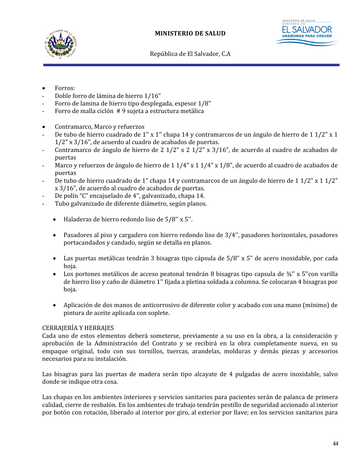



- Forros:
- Doble forro de lámina de hierro 1/16"
- Forro de lamina de hierro tipo desplegada, espesor 1/8''
- Forro de malla ciclón # 9 sujeta a estructura metálica
- Contramarco, Marco y refuerzos
- De tubo de hierro cuadrado de 1'' x 1'' chapa 14 y contramarcos de un ángulo de hierro de 1 1/2" x 1 1/2" x 3/16", de acuerdo al cuadro de acabados de puertas.
- Contramarco de ángulo de hierro de 2 1/2" x 2 1/2" x 3/16", de acuerdo al cuadro de acabados de puertas
- Marco y refuerzos de ángulo de hierro de 1 1/4" x 1 1/4" x 1/8", de acuerdo al cuadro de acabados de puertas
- De tubo de hierro cuadrado de 1" chapa 14 y contramarcos de un ángulo de hierro de 1 1/2" x 1 1/2" x 3/16", de acuerdo al cuadro de acabados de puertas.
- De polín "C" encajuelado de 4'', galvanizado, chapa 14.
- Tubo galvanizado de diferente diámetro, según planos.
	- Haladeras de hierro redondo liso de 5/8'' x 5''.
	- Pasadores al piso y cargadero con hierro redondo liso de 3/4'', pasadores horizontales, pasadores portacandados y candado, según se detalla en planos.
	- Las puertas metálicas tendrán 3 bisagras tipo cápsula de 5/8" x 5" de acero inoxidable, por cada hoja.
	- Los portones metálicos de acceso peatonal tendrán 8 bisagras tipo capsula de ¾'' x 5''con varilla de hierro liso y caño de diámetro 1'' fijada a pletina soldada a columna. Se colocaran 4 bisagras por hoja.
	- Aplicación de dos manos de anticorrosivo de diferente color y acabado con una mano (mínimo) de pintura de aceite aplicada con soplete.

#### CERRAJERÍA Y HERRAJES

Cada uno de estos elementos deberá someterse, previamente a su uso en la obra, a la consideración y aprobación de la Administración del Contrato y se recibirá en la obra completamente nueva, en su empaque original, todo con sus tornillos, tuercas, arandelas, molduras y demás piezas y accesorios necesarios para su instalación.

Las bisagras para las puertas de madera serán tipo alcayate de 4 pulgadas de acero inoxidable, salvo donde se indique otra cosa.

Las chapas en los ambientes interiores y servicios sanitarios para pacientes serán de palanca de primera calidad, cierre de resbalón. En los ambientes de trabajo tendrán pestillo de seguridad accionado al interior por botón con rotación, liberado al interior por giro, al exterior por llave; en los servicios sanitarios para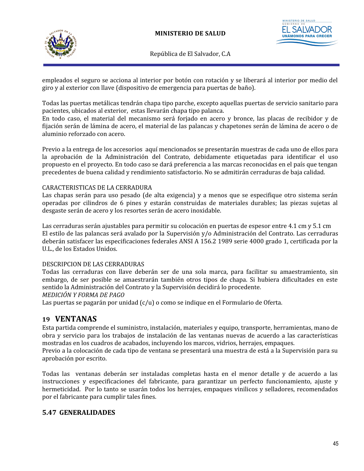



empleados el seguro se acciona al interior por botón con rotación y se liberará al interior por medio del giro y al exterior con llave (dispositivo de emergencia para puertas de baño).

Todas las puertas metálicas tendrán chapa tipo parche, excepto aquellas puertas de servicio sanitario para pacientes, ubicados al exterior, estas llevarán chapa tipo palanca.

En todo caso, el material del mecanismo será forjado en acero y bronce, las placas de recibidor y de fijación serán de lámina de acero, el material de las palancas y chapetones serán de lámina de acero o de aluminio reforzado con acero.

Previo a la entrega de los accesorios aquí mencionados se presentarán muestras de cada uno de ellos para la aprobación de la Administración del Contrato, debidamente etiquetadas para identificar el uso propuesto en el proyecto. En todo caso se dará preferencia a las marcas reconocidas en el país que tengan precedentes de buena calidad y rendimiento satisfactorio. No se admitirán cerraduras de baja calidad.

### CARACTERISTICAS DE LA CERRADURA

Las chapas serán para uso pesado (de alta exigencia) y a menos que se especifique otro sistema serán operadas por cilindros de 6 pines y estarán construidas de materiales durables; las piezas sujetas al desgaste serán de acero y los resortes serán de acero inoxidable.

Las cerraduras serán ajustables para permitir su colocación en puertas de espesor entre 4.1 cm y 5.1 cm El estilo de las palancas será avalado por la Supervisión y/o Administración del Contrato. Las cerraduras deberán satisfacer las especificaciones federales ANSI A 156.2 1989 serie 4000 grado 1, certificada por la U.L., de los Estados Unidos.

#### DESCRIPCION DE LAS CERRADURAS

Todas las cerraduras con llave deberán ser de una sola marca, para facilitar su amaestramiento, sin embargo, de ser posible se amaestrarán también otros tipos de chapa. Si hubiera dificultades en este sentido la Administración del Contrato y la Supervisión decidirá lo procedente.

### *MEDICIÓN Y FORMA DE PAGO*

Las puertas se pagarán por unidad (c/u) o como se indique en el Formulario de Oferta.

## **19 VENTANAS**

Esta partida comprende el suministro, instalación, materiales y equipo, transporte, herramientas, mano de obra y servicio para los trabajos de instalación de las ventanas nuevas de acuerdo a las características mostradas en los cuadros de acabados, incluyendo los marcos, vidrios, herrajes, empaques.

Previo a la colocación de cada tipo de ventana se presentará una muestra de está a la Supervisión para su aprobación por escrito.

Todas las ventanas deberán ser instaladas completas hasta en el menor detalle y de acuerdo a las instrucciones y especificaciones del fabricante, para garantizar un perfecto funcionamiento, ajuste y hermeticidad. Por lo tanto se usarán todos los herrajes, empaques vinilicos y selladores, recomendados por el fabricante para cumplir tales fines.

### **5.47 GENERALIDADES**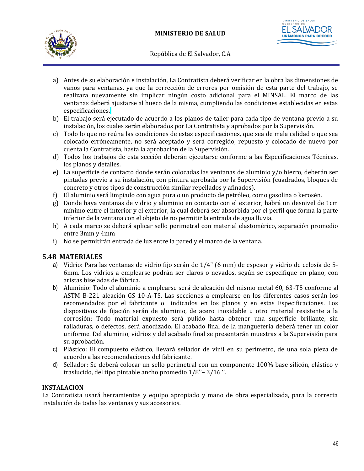



- a) Antes de su elaboración e instalación, La Contratista deberá verificar en la obra las dimensiones de vanos para ventanas, ya que la corrección de errores por omisión de esta parte del trabajo, se realizara nuevamente sin implicar ningún costo adicional para el MINSAL. El marco de las ventanas deberá ajustarse al hueco de la misma, cumpliendo las condiciones establecidas en estas especificaciones.
- b) El trabajo será ejecutado de acuerdo a los planos de taller para cada tipo de ventana previo a su instalación, los cuales serán elaborados por La Contratista y aprobados por la Supervisión.
- c) Todo lo que no reúna las condiciones de estas especificaciones, que sea de mala calidad o que sea colocado erróneamente, no será aceptado y será corregido, repuesto y colocado de nuevo por cuenta la Contratista, hasta la aprobación de la Supervisión.
- d) Todos los trabajos de esta sección deberán ejecutarse conforme a las Especificaciones Técnicas, los planos y detalles.
- e) La superficie de contacto donde serán colocadas las ventanas de aluminio y/o hierro, deberán ser pintadas previo a su instalación, con pintura aprobada por la Supervisión (cuadrados, bloques de concreto y otros tipos de construcción similar repellados y afinados).
- f) El aluminio será limpiado con agua pura o un producto de petróleo, como gasolina o kerosén.
- g) Donde haya ventanas de vidrio y aluminio en contacto con el exterior, habrá un desnivel de 1cm mínimo entre el interior y el exterior, la cual deberá ser absorbida por el perfil que forma la parte inferior de la ventana con el objeto de no permitir la entrada de agua lluvia.
- h) A cada marco se deberá aplicar sello perimetral con material elastomérico, separación promedio entre 3mm y 4mm
- i) No se permitirán entrada de luz entre la pared y el marco de la ventana.

### **5.48 MATERIALES**

- a) Vidrio: Para las ventanas de vidrio fijo serán de 1/4" (6 mm) de espesor y vidrio de celosía de 5- 6mm. Los vidrios a emplearse podrán ser claros o nevados, según se especifique en plano, con aristas biseladas de fábrica.
- b) Aluminio: Todo el aluminio a emplearse será de aleación del mismo metal 60, 63-T5 conforme al ASTM B-221 aleación GS 10-A-TS. Las secciones a emplearse en los diferentes casos serán los recomendados por el fabricante o indicados en los planos y en estas Especificaciones. Los dispositivos de fijación serán de aluminio, de acero inoxidable u otro material resistente a la corrosión; Todo material expuesto será pulido hasta obtener una superficie brillante, sin ralladuras, o defectos, será anodizado. El acabado final de la manguetería deberá tener un color uniforme. Del aluminio, vidrios y del acabado final se presentarán muestras a la Supervisión para su aprobación.
- c) Plástico: El compuesto elástico, llevará sellador de vinil en su perímetro, de una sola pieza de acuerdo a las recomendaciones del fabricante.
- d) Sellador: Se deberá colocar un sello perimetral con un componente 100% base silicón, elástico y traslucido, del tipo pintable ancho promedio 1/8''– 3/16 ''.

### **INSTALACION**

La Contratista usará herramientas y equipo apropiado y mano de obra especializada, para la correcta instalación de todas las ventanas y sus accesorios.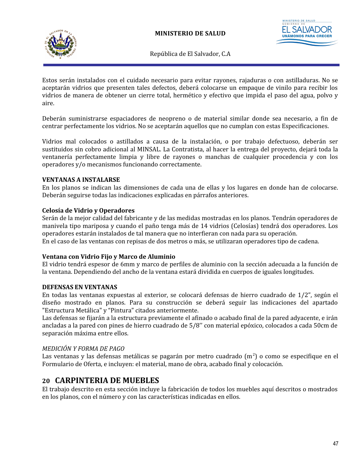

*TERIO DE SALUD* 

República de El Salvador, C.A

Estos serán instalados con el cuidado necesario para evitar rayones, rajaduras o con astilladuras. No se aceptarán vidrios que presenten tales defectos, deberá colocarse un empaque de vinilo para recibir los vidrios de manera de obtener un cierre total, hermético y efectivo que impida el paso del agua, polvo y aire.

Deberán suministrarse espaciadores de neopreno o de material similar donde sea necesario, a fin de centrar perfectamente los vidrios. No se aceptarán aquellos que no cumplan con estas Especificaciones.

Vidrios mal colocados o astillados a causa de la instalación, o por trabajo defectuoso, deberán ser sustituidos sin cobro adicional al MINSAL. La Contratista, al hacer la entrega del proyecto, dejará toda la ventanería perfectamente limpia y libre de rayones o manchas de cualquier procedencia y con los operadores y/o mecanismos funcionando correctamente.

### **VENTANAS A INSTALARSE**

En los planos se indican las dimensiones de cada una de ellas y los lugares en donde han de colocarse. Deberán seguirse todas las indicaciones explicadas en párrafos anteriores.

### **Celosía de Vidrio y Operadores**

Serán de la mejor calidad del fabricante y de las medidas mostradas en los planos. Tendrán operadores de manivela tipo mariposa y cuando el paño tenga más de 14 vidrios (Celosías) tendrá dos operadores. Los operadores estarán instalados de tal manera que no interfieran con nada para su operación. En el caso de las ventanas con repisas de dos metros o más, se utilizaran operadores tipo de cadena.

#### **Ventana con Vidrio Fijo y Marco de Aluminio**

El vidrio tendrá espesor de 6mm y marco de perfiles de aluminio con la sección adecuada a la función de la ventana. Dependiendo del ancho de la ventana estará dividida en cuerpos de iguales longitudes.

#### **DEFENSAS EN VENTANAS**

En todas las ventanas expuestas al exterior, se colocará defensas de hierro cuadrado de 1/2", según el diseño mostrado en planos. Para su construcción se deberá seguir las indicaciones del apartado "Estructura Metálica" y "Pintura" citados anteriormente.

Las defensas se fijarán a la estructura previamente el afinado o acabado final de la pared adyacente, e irán ancladas a la pared con pines de hierro cuadrado de 5/8'' con material epóxico, colocados a cada 50cm de separación máxima entre ellos.

### *MEDICIÓN Y FORMA DE PAGO*

Las ventanas y las defensas metálicas se pagarán por metro cuadrado  $(m<sup>2</sup>)$  o como se especifique en el Formulario de Oferta, e incluyen: el material, mano de obra, acabado final y colocación.

# **20 CARPINTERIA DE MUEBLES**

El trabajo descrito en esta sección incluye la fabricación de todos los muebles aquí descritos o mostrados en los planos, con el número y con las características indicadas en ellos.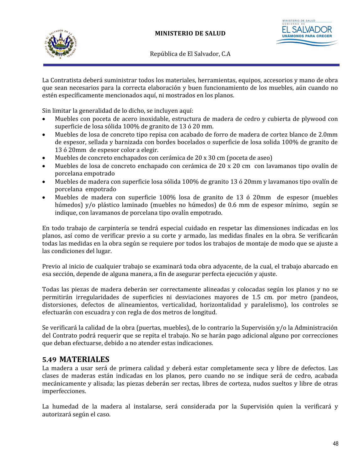



La Contratista deberá suministrar todos los materiales, herramientas, equipos, accesorios y mano de obra que sean necesarios para la correcta elaboración y buen funcionamiento de los muebles, aún cuando no estén específicamente mencionados aquí, ni mostrados en los planos.

Sin limitar la generalidad de lo dicho, se incluyen aquí:

- Muebles con poceta de acero inoxidable, estructura de madera de cedro y cubierta de plywood con superficie de losa sólida 100% de granito de 13 ó 20 mm.
- Muebles de losa de concreto tipo repisa con acabado de forro de madera de cortez blanco de 2.0mm de espesor, sellada y barnizada con bordes bocelados o superficie de losa solida 100% de granito de 13 ó 20mm de espesor color a elegir.
- Muebles de concreto enchapados con cerámica de 20 x 30 cm (poceta de aseo)
- Muebles de losa de concreto enchapado con cerámica de 20 x 20 cm con lavamanos tipo ovalín de porcelana empotrado
- Muebles de madera con superficie losa sólida 100% de granito 13 ó 20mm y lavamanos tipo ovalín de porcelana empotrado
- Muebles de madera con superficie 100% losa de granito de 13 ó 20mm de espesor (muebles húmedos) y/o plástico laminado (muebles no húmedos) de 0.6 mm de espesor mínimo, según se indique, con lavamanos de porcelana tipo ovalín empotrado.

En todo trabajo de carpintería se tendrá especial cuidado en respetar las dimensiones indicadas en los planos, así como de verificar previo a su corte y armado, las medidas finales en la obra. Se verificarán todas las medidas en la obra según se requiere por todos los trabajos de montaje de modo que se ajuste a las condiciones del lugar.

Previo al inicio de cualquier trabajo se examinará toda obra adyacente, de la cual, el trabajo abarcado en esa sección, depende de alguna manera, a fin de asegurar perfecta ejecución y ajuste.

Todas las piezas de madera deberán ser correctamente alineadas y colocadas según los planos y no se permitirán irregularidades de superficies ni desviaciones mayores de 1.5 cm. por metro (pandeos, distorsiones, defectos de alineamientos, verticalidad, horizontalidad y paralelismo), los controles se efectuarán con escuadra y con regla de dos metros de longitud.

Se verificará la calidad de la obra (puertas, muebles), de lo contrario la Supervisión y/o la Administración del Contrato podrá requerir que se repita el trabajo. No se harán pago adicional alguno por correcciones que deban efectuarse, debido a no atender estas indicaciones.

# **5.49 MATERIALES**

La madera a usar será de primera calidad y deberá estar completamente seca y libre de defectos. Las clases de maderas están indicadas en los planos, pero cuando no se indique será de cedro, acabada mecánicamente y alisada; las piezas deberán ser rectas, libres de corteza, nudos sueltos y libre de otras imperfecciones.

La humedad de la madera al instalarse, será considerada por la Supervisión quien la verificará y autorizará según el caso.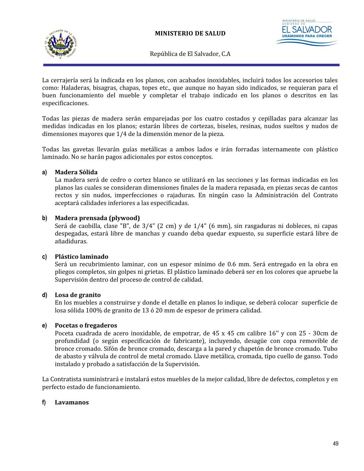



La cerrajería será la indicada en los planos, con acabados inoxidables, incluirá todos los accesorios tales como: Haladeras, bisagras, chapas, topes etc., que aunque no hayan sido indicados, se requieran para el buen funcionamiento del mueble y completar el trabajo indicado en los planos o descritos en las especificaciones.

Todas las piezas de madera serán emparejadas por los cuatro costados y cepilladas para alcanzar las medidas indicadas en los planos; estarán libres de cortezas, biseles, resinas, nudos sueltos y nudos de dimensiones mayores que 1/4 de la dimensión menor de la pieza.

Todas las gavetas llevarán guías metálicas a ambos lados e irán forradas internamente con plástico laminado. No se harán pagos adicionales por estos conceptos.

### **a) Madera Sólida**

La madera será de cedro o cortez blanco se utilizará en las secciones y las formas indicadas en los planos las cuales se consideran dimensiones finales de la madera repasada, en piezas secas de cantos rectos y sin nudos, imperfecciones o rajaduras. En ningún caso la Administración del Contrato aceptará calidades inferiores a las especificadas.

### **b) Madera prensada (plywood)**

Será de caobilla, clase "B", de 3/4" (2 cm) y de 1/4" (6 mm), sin rasgaduras ni dobleces, ni capas despegadas, estará libre de manchas y cuando deba quedar expuesto, su superficie estará libre de añadiduras.

### **c) Plástico laminado**

Será un recubrimiento laminar, con un espesor mínimo de 0.6 mm. Será entregado en la obra en pliegos completos, sin golpes ni grietas. El plástico laminado deberá ser en los colores que apruebe la Supervisión dentro del proceso de control de calidad.

### **d) Losa de granito**

En los muebles a construirse y donde el detalle en planos lo indique, se deberá colocar superficie de losa sólida 100% de granito de 13 ó 20 mm de espesor de primera calidad.

### **e) Pocetas o fregaderos**

Poceta cuadrada de acero inoxidable, de empotrar, de 45 x 45 cm calibre 16'' y con 25 - 30cm de profundidad (o según especificación de fabricante), incluyendo, desagüe con copa removible de bronce cromado. Sifón de bronce cromado, descarga a la pared y chapetón de bronce cromado. Tubo de abasto y válvula de control de metal cromado. Llave metálica, cromada, tipo cuello de ganso. Todo instalado y probado a satisfacción de la Supervisión.

La Contratista suministrará e instalará estos muebles de la mejor calidad, libre de defectos, completos y en perfecto estado de funcionamiento.

### **f) Lavamanos**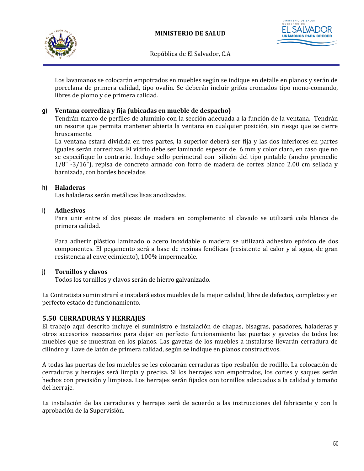



Los lavamanos se colocarán empotrados en muebles según se indique en detalle en planos y serán de porcelana de primera calidad, tipo ovalín. Se deberán incluir grifos cromados tipo mono-comando, libres de plomo y de primera calidad.

### **g) Ventana corrediza y fija (ubicadas en mueble de despacho)**

Tendrán marco de perfiles de aluminio con la sección adecuada a la función de la ventana. Tendrán un resorte que permita mantener abierta la ventana en cualquier posición, sin riesgo que se cierre bruscamente.

La ventana estará dividida en tres partes, la superior deberá ser fija y las dos inferiores en partes iguales serán corredizas. El vidrio debe ser laminado espesor de 6 mm y color claro, en caso que no se especifique lo contrario. Incluye sello perimetral con silicón del tipo pintable (ancho promedio 1/8" -3/16"), repisa de concreto armado con forro de madera de cortez blanco 2.00 cm sellada y barnizada, con bordes bocelados

#### **h) Haladeras**

Las haladeras serán metálicas lisas anodizadas.

#### **i) Adhesivos**

Para unir entre sí dos piezas de madera en complemento al clavado se utilizará cola blanca de primera calidad.

Para adherir plástico laminado o acero inoxidable o madera se utilizará adhesivo epóxico de dos componentes. El pegamento será a base de resinas fenólicas (resistente al calor y al agua, de gran resistencia al envejecimiento), 100% impermeable.

#### **j) Tornillos y clavos**

Todos los tornillos y clavos serán de hierro galvanizado.

La Contratista suministrará e instalará estos muebles de la mejor calidad, libre de defectos, completos y en perfecto estado de funcionamiento.

### **5.50 CERRADURAS Y HERRAJES**

El trabajo aquí descrito incluye el suministro e instalación de chapas, bisagras, pasadores, haladeras y otros accesorios necesarios para dejar en perfecto funcionamiento las puertas y gavetas de todos los muebles que se muestran en los planos. Las gavetas de los muebles a instalarse llevarán cerradura de cilindro y llave de latón de primera calidad, según se indique en planos constructivos.

A todas las puertas de los muebles se les colocarán cerraduras tipo resbalón de rodillo. La colocación de cerraduras y herrajes será limpia y precisa. Si los herrajes van empotrados, los cortes y saques serán hechos con precisión y limpieza. Los herrajes serán fijados con tornillos adecuados a la calidad y tamaño del herraje.

La instalación de las cerraduras y herrajes será de acuerdo a las instrucciones del fabricante y con la aprobación de la Supervisión.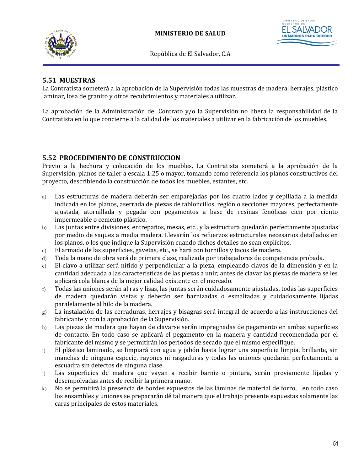



# **5.51 MUESTRAS**

La Contratista someterá a la aprobación de la Supervisión todas las muestras de madera, herrajes, plástico laminar, losa de granito y otros recubrimientos y materiales a utilizar.

La aprobación de la Administración del Contrato y/o la Supervisión no libera la responsabilidad de la Contratista en lo que concierne a la calidad de los materiales a utilizar en la fabricación de los muebles.

### **5.52 PROCEDIMIENTO DE CONSTRUCCION**

Previo a la hechura y colocación de los muebles, La Contratista someterá a la aprobación de la Supervisión, planos de taller a escala 1:25 o mayor, tomando como referencia los planos constructivos del proyecto, describiendo la construcción de todos los muebles, estantes, etc.

- a) Las estructuras de madera deberán ser emparejadas por los cuatro lados y cepillada a la medida indicada en los planos, aserrada de piezas de tabloncillos, reglón o secciones mayores, perfectamente ajustada, atornillada y pegada con pegamentos a base de resinas fenólicas cien por ciento impermeable o cemento plástico.
- b) Las juntas entre divisiones, entrepaños, mesas, etc., y la estructura quedarán perfectamente ajustadas por medio de saques a media madera. Llevarán los refuerzos estructurales necesarios detallados en los planos, o los que indique la Supervisión cuando dichos detalles no sean explícitos.
- c) El armado de las superficies, gavetas, etc., se hará con tornillos y tacos de madera.
- d) Toda la mano de obra será de primera clase, realizada por trabajadores de competencia probada.
- e) El clavo a utilizar será nítido y perpendicular a la pieza, empleando clavos de la dimensión y en la cantidad adecuada a las características de las piezas a unir; antes de clavar las piezas de madera se les aplicará cola blanca de la mejor calidad existente en el mercado.
- f) Todas las uniones serán al ras y lisas, las juntas serán cuidadosamente ajustadas, todas las superficies de madera quedarán vistas y deberán ser barnizadas o esmaltadas y cuidadosamente lijadas paralelamente al hilo de la madera.
- g) La instalación de las cerraduras, herrajes y bisagras será integral de acuerdo a las instrucciones del fabricante y con la aprobación de la Supervisión.
- h) Las piezas de madera que hayan de clavarse serán impregnadas de pegamento en ambas superficies de contacto. En todo caso se aplicará el pegamento en la manera y cantidad recomendada por el fabricante del mismo y se permitirán los períodos de secado que el mismo especifique.
- i) El plástico laminado, se limpiará con agua y jabón hasta lograr una superficie limpia, brillante, sin manchas de ninguna especie, rayones ni rasgaduras y todas las uniones quedarán perfectamente a escuadra sin defectos de ninguna clase.
- j) Las superficies de madera que vayan a recibir barniz o pintura, serán previamente lijadas y desempolvadas antes de recibir la primera mano.
- k) No se permitirá la presencia de bordes expuestos de las láminas de material de forro, en todo caso los ensambles y uniones se prepararán dé tal manera que el trabajo presente expuestas solamente las caras principales de estos materiales.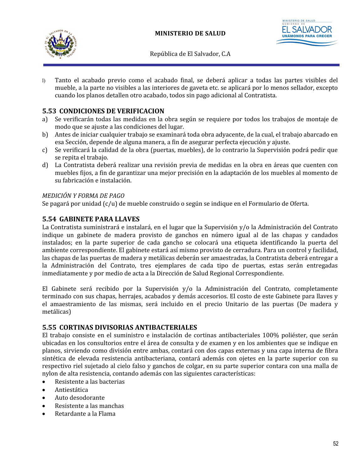



l) Tanto el acabado previo como el acabado final, se deberá aplicar a todas las partes visibles del mueble, a la parte no visibles a las interiores de gaveta etc. se aplicará por lo menos sellador, excepto cuando los planos detallen otro acabado, todos sin pago adicional al Contratista.

# **5.53 CONDICIONES DE VERIFICACION**

- a) Se verificarán todas las medidas en la obra según se requiere por todos los trabajos de montaje de modo que se ajuste a las condiciones del lugar.
- b) Antes de iniciar cualquier trabajo se examinará toda obra adyacente, de la cual, el trabajo abarcado en esa Sección, depende de alguna manera, a fin de asegurar perfecta ejecución y ajuste.
- c) Se verificará la calidad de la obra (puertas, muebles), de lo contrario la Supervisión podrá pedir que se repita el trabajo.
- d) La Contratista deberá realizar una revisión previa de medidas en la obra en áreas que cuenten con muebles fijos, a fin de garantizar una mejor precisión en la adaptación de los muebles al momento de su fabricación e instalación.

### *MEDICIÓN Y FORMA DE PAGO*

Se pagará por unidad (c/u) de mueble construido o según se indique en el Formulario de Oferta.

## **5.54 GABINETE PARA LLAVES**

La Contratista suministrará e instalará, en el lugar que la Supervisión y/o la Administración del Contrato indique un gabinete de madera provisto de ganchos en número igual al de las chapas y candados instalados; en la parte superior de cada gancho se colocará una etiqueta identificando la puerta del ambiente correspondiente. El gabinete estará así mismo provisto de cerradura. Para un control y facilidad, las chapas de las puertas de madera y metálicas deberán ser amaestradas, la Contratista deberá entregar a la Administración del Contrato, tres ejemplares de cada tipo de puertas, estas serán entregadas inmediatamente y por medio de acta a la Dirección de Salud Regional Correspondiente.

El Gabinete será recibido por la Supervisión y/o la Administración del Contrato, completamente terminado con sus chapas, herrajes, acabados y demás accesorios. El costo de este Gabinete para llaves y el amaestramiento de las mismas, será incluido en el precio Unitario de las puertas (De madera y metálicas)

### **5.55 CORTINAS DIVISORIAS ANTIBACTERIALES**

El trabajo consiste en el suministro e instalación de cortinas antibacteriales 100% poliéster, que serán ubicadas en los consultorios entre el área de consulta y de examen y en los ambientes que se indique en planos, sirviendo como división entre ambas, contará con dos capas externas y una capa interna de fibra sintética de elevada resistencia antibacteriana, contará además con ojetes en la parte superior con su respectivo riel sujetado al cielo falso y ganchos de colgar, en su parte superior contara con una malla de nylon de alta resistencia, contando además con las siguientes características:

- Resistente a las bacterias
- Antiestática
- Auto desodorante
- Resistente a las manchas
- Retardante a la Flama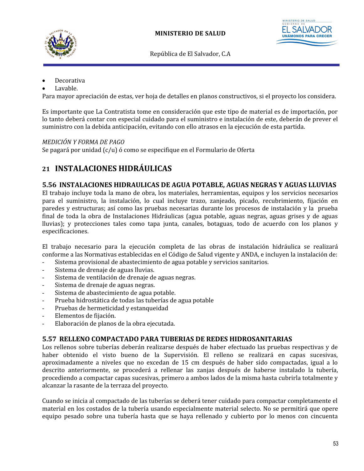



- Decorativa
- Lavable.

Para mayor apreciación de estas, ver hoja de detalles en planos constructivos, si el proyecto los considera.

Es importante que La Contratista tome en consideración que este tipo de material es de importación, por lo tanto deberá contar con especial cuidado para el suministro e instalación de este, deberán de prever el suministro con la debida anticipación, evitando con ello atrasos en la ejecución de esta partida.

### *MEDICIÓN Y FORMA DE PAGO*

Se pagará por unidad (c/u) ó como se especifique en el Formulario de Oferta

# **21 INSTALACIONES HIDRÁULICAS**

### **5.56 INSTALACIONES HIDRAULICAS DE AGUA POTABLE, AGUAS NEGRAS Y AGUAS LLUVIAS**

El trabajo incluye toda la mano de obra, los materiales, herramientas, equipos y los servicios necesarios para el suministro, la instalación, lo cual incluye trazo, zanjeado, picado, recubrimiento, fijación en paredes y estructuras; así como las pruebas necesarias durante los procesos de instalación y la prueba final de toda la obra de Instalaciones Hidráulicas (agua potable, aguas negras, aguas grises y de aguas lluvias); y protecciones tales como tapa junta, canales, botaguas, todo de acuerdo con los planos y especificaciones.

El trabajo necesario para la ejecución completa de las obras de instalación hidráulica se realizará conforme a las Normativas establecidas en el Código de Salud vigente y ANDA, e incluyen la instalación de:

- Sistema provisional de abastecimiento de agua potable y servicios sanitarios.
- Sistema de drenaje de aguas lluvias.
- Sistema de ventilación de drenaje de aguas negras.
- Sistema de drenaje de aguas negras.
- Sistema de abastecimiento de agua potable.
- Prueba hidrostática de todas las tuberías de agua potable
- Pruebas de hermeticidad y estanqueidad
- Elementos de fijación.
- Elaboración de planos de la obra ejecutada.

### **5.57 RELLENO COMPACTADO PARA TUBERIAS DE REDES HIDROSANITARIAS**

Los rellenos sobre tuberías deberán realizarse después de haber efectuado las pruebas respectivas y de haber obtenido el visto bueno de la Supervisión. El relleno se realizará en capas sucesivas, aproximadamente a niveles que no excedan de 15 cm después de haber sido compactadas, igual a lo descrito anteriormente, se procederá a rellenar las zanjas después de haberse instalado la tubería, procediendo a compactar capas sucesivas, primero a ambos lados de la misma hasta cubrirla totalmente y alcanzar la rasante de la terraza del proyecto.

Cuando se inicia al compactado de las tuberías se deberá tener cuidado para compactar completamente el material en los costados de la tubería usando especialmente material selecto. No se permitirá que opere equipo pesado sobre una tubería hasta que se haya rellenado y cubierto por lo menos con cincuenta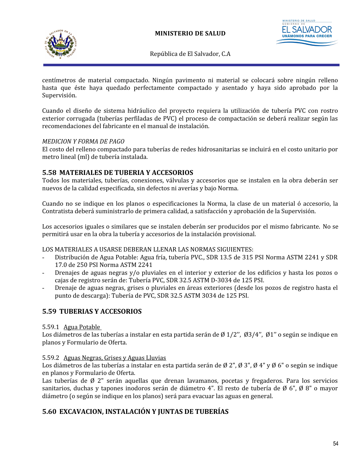



**ISTERIO DE SALUD UNÁMONOS PA** 

República de El Salvador, C.A

centímetros de material compactado. Ningún pavimento ni material se colocará sobre ningún relleno hasta que éste haya quedado perfectamente compactado y asentado y haya sido aprobado por la Supervisión.

Cuando el diseño de sistema hidráulico del proyecto requiera la utilización de tubería PVC con rostro exterior corrugada (tuberías perfiladas de PVC) el proceso de compactación se deberá realizar según las recomendaciones del fabricante en el manual de instalación.

### *MEDICION Y FORMA DE PAGO*

El costo del relleno compactado para tuberías de redes hidrosanitarias se incluirá en el costo unitario por metro lineal (ml) de tubería instalada.

### **5.58 MATERIALES DE TUBERIA Y ACCESORIOS**

Todos los materiales, tuberías, conexiones, válvulas y accesorios que se instalen en la obra deberán ser nuevos de la calidad especificada, sin defectos ni averías y bajo Norma.

Cuando no se indique en los planos o especificaciones la Norma, la clase de un material ó accesorio, la Contratista deberá suministrarlo de primera calidad, a satisfacción y aprobación de la Supervisión.

Los accesorios iguales o similares que se instalen deberán ser producidos por el mismo fabricante. No se permitirá usar en la obra la tubería y accesorios de la instalación provisional.

LOS MATERIALES A USARSE DEBERAN LLENAR LAS NORMAS SIGUIENTES:

- Distribución de Agua Potable: Agua fría, tubería PVC., SDR 13.5 de 315 PSI Norma ASTM 2241 y SDR 17.0 de 250 PSI Norma ASTM 2241
- Drenajes de aguas negras y/o pluviales en el interior y exterior de los edificios y hasta los pozos o cajas de registro serán de: Tubería PVC, SDR 32.5 ASTM D-3034 de 125 PSI.
- Drenaje de aguas negras, grises o pluviales en áreas exteriores (desde los pozos de registro hasta el punto de descarga): Tubería de PVC, SDR 32.5 ASTM 3034 de 125 PSI.

## **5.59 TUBERIAS Y ACCESORIOS**

#### 5.59.1 Agua Potable

Los diámetros de las tuberías a instalar en esta partida serán de Ø 1/2'', Ø3/4'', Ø1'' o según se indique en planos y Formulario de Oferta.

#### 5.59.2 Aguas Negras, Grises y Aguas Lluvias

Los diámetros de las tuberías a instalar en esta partida serán de Ø 2", Ø 3", Ø 4" y Ø 6" o según se indique en planos y Formulario de Oferta.

Las tuberías de Ø 2" serán aquellas que drenan lavamanos, pocetas y fregaderos. Para los servicios sanitarios, duchas y tapones inodoros serán de diámetro 4". El resto de tubería de Ø 6", Ø 8" o mayor diámetro (o según se indique en los planos) será para evacuar las aguas en general.

## **5.60 EXCAVACION, INSTALACIÓN Y JUNTAS DE TUBERÍAS**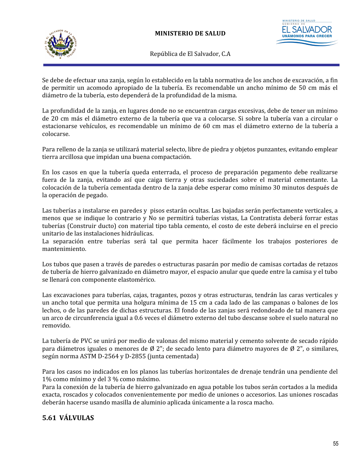

Se debe de efectuar una zanja, según lo establecido en la tabla normativa de los anchos de excavación, a fin de permitir un acomodo apropiado de la tubería. Es recomendable un ancho mínimo de 50 cm más el diámetro de la tubería, esto dependerá de la profundidad de la misma.

La profundidad de la zanja, en lugares donde no se encuentran cargas excesivas, debe de tener un mínimo de 20 cm más el diámetro externo de la tubería que va a colocarse. Si sobre la tubería van a circular o estacionarse vehículos, es recomendable un mínimo de 60 cm mas el diámetro externo de la tubería a colocarse.

Para relleno de la zanja se utilizará material selecto, libre de piedra y objetos punzantes, evitando emplear tierra arcillosa que impidan una buena compactación.

En los casos en que la tubería queda enterrada, el proceso de preparación pegamento debe realizarse fuera de la zanja, evitando así que caiga tierra y otras suciedades sobre el material cementante. La colocación de la tubería cementada dentro de la zanja debe esperar como mínimo 30 minutos después de la operación de pegado.

Las tuberías a instalarse en paredes y pisos estarán ocultas. Las bajadas serán perfectamente verticales, a menos que se indique lo contrario y No se permitirá tuberías vistas, La Contratista deberá forrar estas tuberías (Construir ducto) con material tipo tabla cemento, el costo de este deberá incluirse en el precio unitario de las instalaciones hidráulicas.

La separación entre tuberías será tal que permita hacer fácilmente los trabajos posteriores de mantenimiento.

Los tubos que pasen a través de paredes o estructuras pasarán por medio de camisas cortadas de retazos de tubería de hierro galvanizado en diámetro mayor, el espacio anular que quede entre la camisa y el tubo se llenará con componente elastomérico.

Las excavaciones para tuberías, cajas, tragantes, pozos y otras estructuras, tendrán las caras verticales y un ancho total que permita una holgura mínima de 15 cm a cada lado de las campanas o balones de los lechos, o de las paredes de dichas estructuras. El fondo de las zanjas será redondeado de tal manera que un arco de circunferencia igual a 0.6 veces el diámetro externo del tubo descanse sobre el suelo natural no removido.

La tubería de PVC se unirá por medio de valonas del mismo material y cemento solvente de secado rápido para diámetros iguales o menores de Ø 2"; de secado lento para diámetro mayores de Ø 2", o similares, según norma ASTM D-2564 y D-2855 (junta cementada)

Para los casos no indicados en los planos las tuberías horizontales de drenaje tendrán una pendiente del 1% como mínimo y del 3 % como máximo.

Para la conexión de la tubería de hierro galvanizado en agua potable los tubos serán cortados a la medida exacta, roscados y colocados convenientemente por medio de uniones o accesorios. Las uniones roscadas deberán hacerse usando masilla de aluminio aplicada únicamente a la rosca macho.

# **5.61 VÁLVULAS**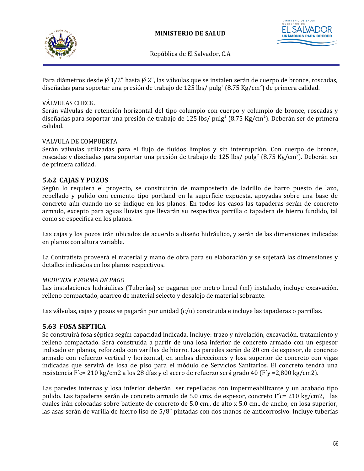



**UNÁMONOS PA** 

República de El Salvador, C.A

Para diámetros desde Ø 1/2" hasta Ø 2", las válvulas que se instalen serán de cuerpo de bronce, roscadas, diseñadas para soportar una presión de trabajo de 125 lbs/ pulg<sup>2</sup> (8.75 Kg/cm<sup>2</sup>) de primera calidad.

### VÁLVULAS CHECK.

Serán válvulas de retención horizontal del tipo columpio con cuerpo y columpio de bronce, roscadas y diseñadas para soportar una presión de trabajo de 125 lbs/ pulg<sup>2</sup> (8.75 Kg/cm<sup>2</sup>). Deberán ser de primera calidad.

### VALVULA DE COMPUERTA

Serán válvulas utilizadas para el flujo de fluidos limpios y sin interrupción. Con cuerpo de bronce, roscadas y diseñadas para soportar una presión de trabajo de 125 lbs/ pulg<sup>2</sup> (8.75 Kg/cm<sup>2</sup>). Deberán ser de primera calidad.

### **5.62 CAJAS Y POZOS**

Según lo requiera el proyecto, se construirán de mampostería de ladrillo de barro puesto de lazo, repellado y pulido con cemento tipo portland en la superficie expuesta, apoyadas sobre una base de concreto aún cuando no se indique en los planos. En todos los casos las tapaderas serán de concreto armado, excepto para aguas lluvias que llevarán su respectiva parrilla o tapadera de hierro fundido, tal como se especifica en los planos.

Las cajas y los pozos irán ubicados de acuerdo a diseño hidráulico, y serán de las dimensiones indicadas en planos con altura variable.

La Contratista proveerá el material y mano de obra para su elaboración y se sujetará las dimensiones y detalles indicados en los planos respectivos.

### *MEDICION Y FORMA DE PAGO*

Las instalaciones hidráulicas (Tuberías) se pagaran por metro lineal (ml) instalado, incluye excavación, relleno compactado, acarreo de material selecto y desalojo de material sobrante.

Las válvulas, cajas y pozos se pagarán por unidad (c/u) construida e incluye las tapaderas o parrillas.

### **5.63 FOSA SEPTICA**

Se construirá fosa séptica según capacidad indicada. Incluye: trazo y nivelación, excavación, tratamiento y relleno compactado. Será construida a partir de una losa inferior de concreto armado con un espesor indicado en planos, reforzada con varillas de hierro. Las paredes serán de 20 cm de espesor, de concreto armado con refuerzo vertical y horizontal, en ambas direcciones y losa superior de concreto con vigas indicadas que servirá de losa de piso para el módulo de Servicios Sanitarios. El concreto tendrá una resistencia F´c= 210 kg/cm2 a los 28 días y el acero de refuerzo será grado 40 (F´y =2,800 kg/cm2).

Las paredes internas y losa inferior deberán ser repelladas con impermeabilizante y un acabado tipo pulido. Las tapaderas serán de concreto armado de 5.0 cms. de espesor, concreto F´c= 210 kg/cm2, las cuales irán colocadas sobre batiente de concreto de 5.0 cm., de alto x 5.0 cm., de ancho, en losa superior, las asas serán de varilla de hierro liso de 5/8" pintadas con dos manos de anticorrosivo. Incluye tuberías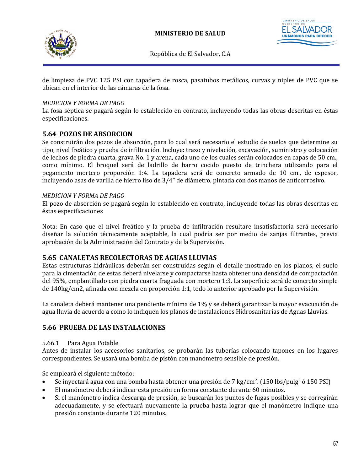



de limpieza de PVC 125 PSI con tapadera de rosca, pasatubos metálicos, curvas y niples de PVC que se ubican en el interior de las cámaras de la fosa.

### *MEDICION Y FORMA DE PAGO*

La fosa séptica se pagará según lo establecido en contrato, incluyendo todas las obras descritas en éstas especificaciones.

### **5.64 POZOS DE ABSORCION**

Se construirán dos pozos de absorción, para lo cual será necesario el estudio de suelos que determine su tipo, nivel freático y prueba de infiltración. Incluye: trazo y nivelación, excavación, suministro y colocación de lechos de piedra cuarta, grava No. 1 y arena, cada uno de los cuales serán colocados en capas de 50 cm., como mínimo. El broquel será de ladrillo de barro cocido puesto de trinchera utilizando para el pegamento mortero proporción 1:4. La tapadera será de concreto armado de 10 cm., de espesor, incluyendo asas de varilla de hierro liso de 3/4" de diámetro, pintada con dos manos de anticorrosivo.

#### *MEDICION Y FORMA DE PAGO*

El pozo de absorción se pagará según lo establecido en contrato, incluyendo todas las obras descritas en éstas especificaciones

Nota: En caso que el nivel freático y la prueba de infiltración resultare insatisfactoria será necesario diseñar la solución técnicamente aceptable, la cual podría ser por medio de zanjas filtrantes, previa aprobación de la Administración del Contrato y de la Supervisión.

### **5.65 CANALETAS RECOLECTORAS DE AGUAS LLUVIAS**

Estas estructuras hidráulicas deberán ser construidas según el detalle mostrado en los planos, el suelo para la cimentación de estas deberá nivelarse y compactarse hasta obtener una densidad de compactación del 95%, emplantillado con piedra cuarta fraguada con mortero 1:3. La superficie será de concreto simple de 140kg/cm2, afinada con mezcla en proporción 1:1, todo lo anterior aprobado por la Supervisión.

La canaleta deberá mantener una pendiente mínima de 1% y se deberá garantizar la mayor evacuación de agua lluvia de acuerdo a como lo indiquen los planos de instalaciones Hidrosanitarias de Aguas Lluvias.

### **5.66 PRUEBA DE LAS INSTALACIONES**

#### 5.66.1 Para Agua Potable

Antes de instalar los accesorios sanitarios, se probarán las tuberías colocando tapones en los lugares correspondientes. Se usará una bomba de pistón con manómetro sensible de presión.

Se empleará el siguiente método:

- Se inyectará agua con una bomba hasta obtener una presión de 7 kg/cm<sup>2</sup>. (150 lbs/pulg<sup>2</sup> ó 150 PSI)
- El manómetro deberá indicar esta presión en forma constante durante 60 minutos.
- Si el manómetro indica descarga de presión, se buscarán los puntos de fugas posibles y se corregirán adecuadamente, y se efectuará nuevamente la prueba hasta lograr que el manómetro indique una presión constante durante 120 minutos.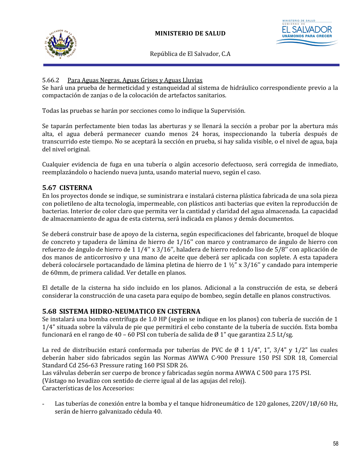

### 5.66.2 Para Aguas Negras, Aguas Grises y Aguas Lluvias

Se hará una prueba de hermeticidad y estanqueidad al sistema de hidráulico correspondiente previo a la compactación de zanjas o de la colocación de artefactos sanitarios.

Todas las pruebas se harán por secciones como lo indique la Supervisión.

Se taparán perfectamente bien todas las aberturas y se llenará la sección a probar por la abertura más alta, el agua deberá permanecer cuando menos 24 horas, inspeccionando la tubería después de transcurrido este tiempo. No se aceptará la sección en prueba, si hay salida visible, o el nivel de agua, baja del nivel original.

Cualquier evidencia de fuga en una tubería o algún accesorio defectuoso, será corregida de inmediato, reemplazándolo o haciendo nueva junta, usando material nuevo, según el caso.

## **5.67 CISTERNA**

En los proyectos donde se indique, se suministrara e instalará cisterna plástica fabricada de una sola pieza con polietileno de alta tecnología, impermeable, con plásticos anti bacterias que eviten la reproducción de bacterias. Interior de color claro que permita ver la cantidad y claridad del agua almacenada. La capacidad de almacenamiento de agua de esta cisterna, será indicada en planos y demás documentos.

Se deberá construir base de apoyo de la cisterna, según especificaciones del fabricante, broquel de bloque de concreto y tapadera de lámina de hierro de 1/16'' con marco y contramarco de ángulo de hierro con refuerzo de ángulo de hierro de 1 1/4'' x 3/16'', haladera de hierro redondo liso de 5/8'' con aplicación de dos manos de anticorrosivo y una mano de aceite que deberá ser aplicada con soplete. A esta tapadera deberá colocársele portacandado de lámina pletina de hierro de 1 ½" x  $3/16$ " y candado para intemperie de 60mm, de primera calidad. Ver detalle en planos.

El detalle de la cisterna ha sido incluido en los planos. Adicional a la construcción de esta, se deberá considerar la construcción de una caseta para equipo de bombeo, según detalle en planos constructivos.

## **5.68 SISTEMA HIDRO-NEUMATICO EN CISTERNA**

Se instalará una bomba centrífuga de 1.0 HP (según se indique en los planos) con tubería de succión de 1 1/4" situada sobre la válvula de pie que permitirá el cebo constante de la tubería de succión. Esta bomba funcionará en el rango de 40 – 60 PSI con tubería de salida de Ø 1" que garantiza 2.5 Lt/sg.

La red de distribución estará conformada por tuberías de PVC de Ø 1 1/4", 1", 3/4" y 1/2" las cuales deberán haber sido fabricados según las Normas AWWA C-900 Pressure 150 PSI SDR 18, Comercial Standard Cd 256-63 Pressure rating 160 PSI SDR 26.

Las válvulas deberán ser cuerpo de bronce y fabricadas según norma AWWA C 500 para 175 PSI. (Vástago no levadizo con sentido de cierre igual al de las agujas del reloj). Características de los Accesorios:

Las tuberías de conexión entre la bomba y el tanque hidroneumático de 120 galones, 220V/1Ø/60 Hz, serán de hierro galvanizado cédula 40.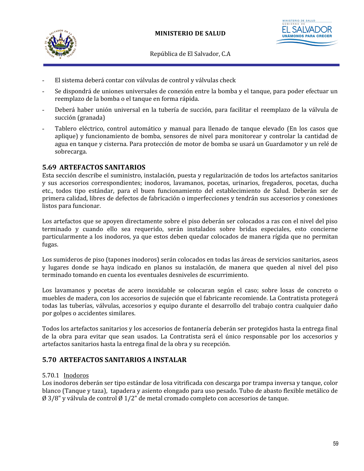



- El sistema deberá contar con válvulas de control y válvulas check
- Se dispondrá de uniones universales de conexión entre la bomba y el tanque, para poder efectuar un reemplazo de la bomba o el tanque en forma rápida.
- Deberá haber unión universal en la tubería de succión, para facilitar el reemplazo de la válvula de succión (granada)
- Tablero eléctrico, control automático y manual para llenado de tanque elevado (En los casos que aplique) y funcionamiento de bomba, sensores de nivel para monitorear y controlar la cantidad de agua en tanque y cisterna. Para protección de motor de bomba se usará un Guardamotor y un relé de sobrecarga.

## **5.69 ARTEFACTOS SANITARIOS**

Esta sección describe el suministro, instalación, puesta y regularización de todos los artefactos sanitarios y sus accesorios correspondientes; inodoros, lavamanos, pocetas, urinarios, fregaderos, pocetas, ducha etc., todos tipo estándar, para el buen funcionamiento del establecimiento de Salud. Deberán ser de primera calidad, libres de defectos de fabricación o imperfecciones y tendrán sus accesorios y conexiones listos para funcionar.

Los artefactos que se apoyen directamente sobre el piso deberán ser colocados a ras con el nivel del piso terminado y cuando ello sea requerido, serán instalados sobre bridas especiales, esto concierne particularmente a los inodoros, ya que estos deben quedar colocados de manera rígida que no permitan fugas.

Los sumideros de piso (tapones inodoros) serán colocados en todas las áreas de servicios sanitarios, aseos y lugares donde se haya indicado en planos su instalación, de manera que queden al nivel del piso terminado tomando en cuenta los eventuales desniveles de escurrimiento.

Los lavamanos y pocetas de acero inoxidable se colocaran según el caso; sobre losas de concreto o muebles de madera, con los accesorios de sujeción que el fabricante recomiende. La Contratista protegerá todas las tuberías, válvulas, accesorios y equipo durante el desarrollo del trabajo contra cualquier daño por golpes o accidentes similares.

Todos los artefactos sanitarios y los accesorios de fontanería deberán ser protegidos hasta la entrega final de la obra para evitar que sean usados. La Contratista será el único responsable por los accesorios y artefactos sanitarios hasta la entrega final de la obra y su recepción.

## **5.70 ARTEFACTOS SANITARIOS A INSTALAR**

#### 5.70.1 Inodoros

Los inodoros deberán ser tipo estándar de losa vitrificada con descarga por trampa inversa y tanque, color blanco (Tanque y taza), tapadera y asiento elongado para uso pesado. Tubo de abasto flexible metálico de  $\emptyset$  3/8" y válvula de control  $\emptyset$  1/2" de metal cromado completo con accesorios de tanque.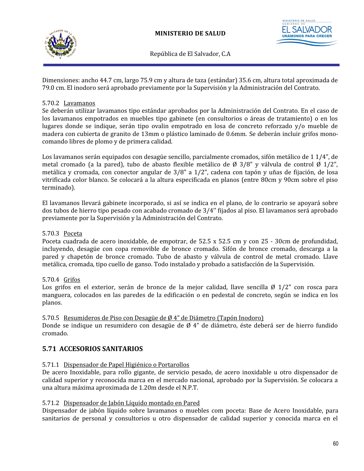



Dimensiones: ancho 44.7 cm, largo 75.9 cm y altura de taza (estándar) 35.6 cm, altura total aproximada de 79.0 cm. El inodoro será aprobado previamente por la Supervisión y la Administración del Contrato.

### 5.70.2 Lavamanos

Se deberán utilizar lavamanos tipo estándar aprobados por la Administración del Contrato. En el caso de los lavamanos empotrados en muebles tipo gabinete (en consultorios o áreas de tratamiento) o en los lugares donde se indique, serán tipo ovalin empotrado en losa de concreto reforzado y/o mueble de madera con cubierta de granito de 13mm o plástico laminado de 0.6mm. Se deberán incluir grifos monocomando libres de plomo y de primera calidad.

Los lavamanos serán equipados con desagüe sencillo, parcialmente cromados, sifón metálico de 1 1/4", de metal cromado (a la pared), tubo de abasto flexible metálico de  $\emptyset$  3/8" y válvula de control  $\emptyset$  1/2", metálica y cromada, con conector angular de 3/8" a 1/2", cadena con tapón y uñas de fijación, de losa vitrificada color blanco. Se colocará a la altura especificada en planos (entre 80cm y 90cm sobre el piso terminado).

El lavamanos llevará gabinete incorporado, si así se indica en el plano, de lo contrario se apoyará sobre dos tubos de hierro tipo pesado con acabado cromado de 3/4'' fijados al piso. El lavamanos será aprobado previamente por la Supervisión y la Administración del Contrato.

### 5.70.3 Poceta

Poceta cuadrada de acero inoxidable, de empotrar, de 52.5 x 52.5 cm y con 25 - 30cm de profundidad, incluyendo, desagüe con copa removible de bronce cromado. Sifón de bronce cromado, descarga a la pared y chapetón de bronce cromado. Tubo de abasto y válvula de control de metal cromado. Llave metálica, cromada, tipo cuello de ganso. Todo instalado y probado a satisfacción de la Supervisión.

### 5.70.4 Grifos

Los grifos en el exterior, serán de bronce de la mejor calidad, llave sencilla  $\emptyset$  1/2" con rosca para manguera, colocados en las paredes de la edificación o en pedestal de concreto, según se indica en los planos.

#### 5.70.5 Resumideros de Piso con Desagüe de Ø 4" de Diámetro (Tapón Inodoro)

Donde se indique un resumidero con desagüe de  $\emptyset$  4" de diámetro, éste deberá ser de hierro fundido cromado.

## **5.71 ACCESORIOS SANITARIOS**

#### 5.71.1 Dispensador de Papel Higiénico o Portarollos

De acero Inoxidable, para rollo gigante, de servicio pesado, de acero inoxidable u otro dispensador de calidad superior y reconocida marca en el mercado nacional, aprobado por la Supervisión. Se colocara a una altura máxima aproximada de 1.20m desde el N.P.T.

#### 5.71.2 Dispensador de Jabón Líquido montado en Pared

Dispensador de jabón líquido sobre lavamanos o muebles com poceta: Base de Acero Inoxidable, para sanitarios de personal y consultorios u otro dispensador de calidad superior y conocida marca en el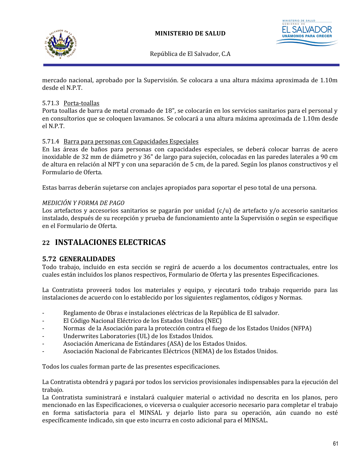



mercado nacional, aprobado por la Supervisión. Se colocara a una altura máxima aproximada de 1.10m desde el N.P.T.

### 5.71.3 Porta-toallas

Porta toallas de barra de metal cromado de 18", se colocarán en los servicios sanitarios para el personal y en consultorios que se coloquen lavamanos. Se colocará a una altura máxima aproximada de 1.10m desde el N.P.T.

### 5.71.4 Barra para personas con Capacidades Especiales

En las áreas de baños para personas con capacidades especiales, se deberá colocar barras de acero inoxidable de 32 mm de diámetro y 36" de largo para sujeción, colocadas en las paredes laterales a 90 cm de altura en relación al NPT y con una separación de 5 cm, de la pared. Según los planos constructivos y el Formulario de Oferta.

Estas barras deberán sujetarse con anclajes apropiados para soportar el peso total de una persona.

### *MEDICIÓN Y FORMA DE PAGO*

Los artefactos y accesorios sanitarios se pagarán por unidad (c/u) de artefacto y/o accesorio sanitarios instalado, después de su recepción y prueba de funcionamiento ante la Supervisión o según se especifique en el Formulario de Oferta.

# **22 INSTALACIONES ELECTRICAS**

### **5.72 GENERALIDADES**

Todo trabajo, incluido en esta sección se regirá de acuerdo a los documentos contractuales, entre los cuales están incluidos los planos respectivos, Formulario de Oferta y las presentes Especificaciones.

La Contratista proveerá todos los materiales y equipo, y ejecutará todo trabajo requerido para las instalaciones de acuerdo con lo establecido por los siguientes reglamentos, códigos y Normas.

- Reglamento de Obras e instalaciones eléctricas de la República de El salvador.
- El Código Nacional Eléctrico de los Estados Unidos (NEC)
- Normas de la Asociación para la protección contra el fuego de los Estados Unidos (NFPA)
- Underwrites Laboratories (UL) de los Estados Unidos.
- Asociación Americana de Estándares (ASA) de los Estados Unidos.
- Asociación Nacional de Fabricantes Eléctricos (NEMA) de los Estados Unidos.

Todos los cuales forman parte de las presentes especificaciones.

La Contratista obtendrá y pagará por todos los servicios provisionales indispensables para la ejecución del trabajo.

La Contratista suministrará e instalará cualquier material o actividad no descrita en los planos, pero mencionado en las Especificaciones, o viceversa o cualquier accesorio necesario para completar el trabajo en forma satisfactoria para el MINSAL y dejarlo listo para su operación, aún cuando no esté específicamente indicado, sin que esto incurra en costo adicional para el MINSAL.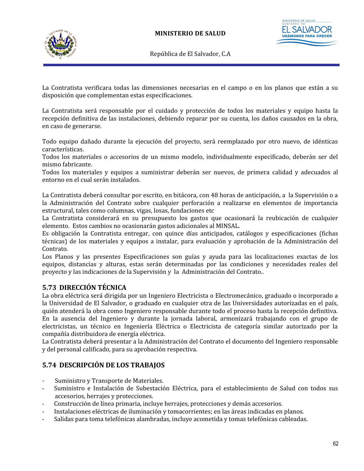

STERIO DE SALUD **UNÁMONOS PAF** 

República de El Salvador, C.A

La Contratista verificara todas las dimensiones necesarias en el campo o en los planos que están a su disposición que complementan estas especificaciones.

La Contratista será responsable por el cuidado y protección de todos los materiales y equipo hasta la recepción definitiva de las instalaciones, debiendo reparar por su cuenta, los daños causados en la obra, en caso de generarse.

Todo equipo dañado durante la ejecución del proyecto, será reemplazado por otro nuevo, de idénticas características.

Todos los materiales o accesorios de un mismo modelo, individualmente especificado, deberán ser del mismo fabricante.

Todos los materiales y equipos a suministrar deberán ser nuevos, de primera calidad y adecuados al entorno en el cual serán instalados.

La Contratista deberá consultar por escrito, en bitácora, con 48 horas de anticipación, a la Supervisión o a la Administración del Contrato sobre cualquier perforación a realizarse en elementos de importancia estructural, tales como columnas, vigas, losas, fundaciones etc

La Contratista considerará en su presupuesto los gastos que ocasionará la reubicación de cualquier elemento. Estos cambios no ocasionarán gastos adicionales al MINSAL.

Es obligación la Contratista entregar, con quince días anticipados, catálogos y especificaciones (fichas técnicas) de los materiales y equipos a instalar, para evaluación y aprobación de la Administración del Contrato.

Los Planos y las presentes Especificaciones son guías y ayuda para las localizaciones exactas de los equipos, distancias y alturas, estas serán determinadas por las condiciones y necesidades reales del proyecto y las indicaciones de la Supervisión y la Administración del Contrato..

# **5.73 DIRECCIÓN TÉCNICA**

La obra eléctrica será dirigida por un Ingeniero Electricista o Electromecánico, graduado o incorporado a la Universidad de El Salvador, o graduado en cualquier otra de las Universidades autorizadas en el país, quién atenderá la obra como Ingeniero responsable durante todo el proceso hasta la recepción definitiva. En la ausencia del Ingeniero y durante la jornada laboral, armonizará trabajando con el grupo de electricistas, un técnico en Ingeniería Eléctrica o Electricista de categoría similar autorizado por la compañía distribuidora de energía eléctrica.

La Contratista deberá presentar a la Administración del Contrato el documento del Ingeniero responsable y del personal calificado, para su aprobación respectiva.

## **5.74 DESCRIPCIÓN DE LOS TRABAJOS**

- Suministro y Transporte de Materiales.
- Suministro e Instalación de Subestación Eléctrica, para el establecimiento de Salud con todos sus accesorios, herrajes y protecciones.
- Construcción de línea primaria, incluye herrajes, protecciones y demás accesorios.
- Instalaciones eléctricas de iluminación y tomacorrientes; en las áreas indicadas en planos.
- Salidas para toma telefónicas alambradas, incluye acometida y tomas telefónicas cableadas.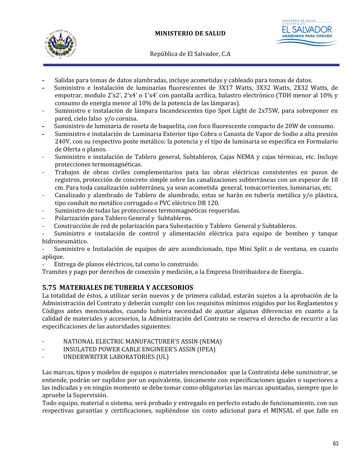

- **-** Salidas para tomas de datos alambradas, incluye acometidas y cableado para tomas de datos.
- **-** Suministro e Instalación de luminarias fluorescentes de 3X17 Watts, 3X32 Watts, 2X32 Watts, de empotrar, modulo 2'x2', 2'x4' o 1'x4' con pantalla acrílica, balastro electrónico (TDH menor al 10% y consumo de energía menor al 10% de la potencia de las lámparas).
- Suministro e instalación de lámpara Incandescentes tipo Spot Light de 2x75W, para sobreponer en pared, cielo falso y/o cornisa.
- **-** Suministro de luminaria de roseta de baquelita, con foco fluorescente compacto de 20W de consumo.
- **-** Suministro e instalación de Luminaria Exterior tipo Cobra o Canasta de Vapor de Sodio a alta presión 240V, con su respectivo poste metálico; la potencia y el tipo de luminaria se especifica en Formulario de Oferta o planos.
- Suministro e instalación de Tablero general, Subtableros, Cajas NEMA y cajas térmicas, etc. Incluye protecciones termomagnéticas.
- Trabajos de obras civiles complementarios para las obras eléctricas consistentes en pozos de registros, protección de concreto simple sobre las canalizaciones subterráneas con un espesor de 10 cm. Para toda canalización subterránea, ya sean acometida general, tomacorrientes, luminarias, etc.
- Canalizado y alambrado de Tablero de alumbrado, estas se harán en tubería metálica y/o plástica, tipo conduit no metálico corrugado o PVC eléctrico DB 120.
- Suministro de todas las protecciones termomagnéticas requeridas.
- Polarización para Tablero General y Subtableros.
- Construcción de red de polarización para Subestación y Tablero General y Subtableros.

- Suministro e instalación de control y alimentación eléctrica para equipo de bombeo y tanque hidroneumático.

- Suministro e Instalación de equipos de aire acondicionado, tipo Mini Split o de ventana, en cuanto aplique.

Entrega de planos eléctricos, tal como lo construido.

Tramites y pago por derechos de conexión y medición, a la Empresa Distribuidora de Energía..

## **5.75 MATERIALES DE TUBERIA Y ACCESORIOS**

La totalidad de éstos, a utilizar serán nuevos y de primera calidad, estarán sujetos a la aprobación de la Administración del Contrato y deberán cumplir con los requisitos mínimos exigidos por los Reglamentos y Códigos antes mencionados, cuando hubiera necesidad de ajustar algunas diferencias en cuanto a la calidad de materiales y accesorios, la Administración del Contrato se reserva el derecho de recurrir a las especificaciones de las autoridades siguientes:

- NATIONAL ELECTRIC MANUFACTURER'S ASSIN (NEMA)
- INSULATED POWER CABLE ENGINEER'S ASSIN (IPEA)
- UNDERWRITER LABORATORIES (UL)

Las marcas, tipos y modelos de equipos o materiales mencionados que la Contratista debe suministrar, se entiende, podrán ser suplidos por un equivalente, únicamente con especificaciones iguales o superiores a las indicadas y en ningún momento se debe tomar como obligatorias las marcas apuntadas, siempre que lo apruebe la Supervisión.

Todo equipo, material o sistema, será probado y entregado en perfecto estado de funcionamiento, con sus respectivas garantías y certificaciones, supliéndose sin costo adicional para el MINSAL el que falle en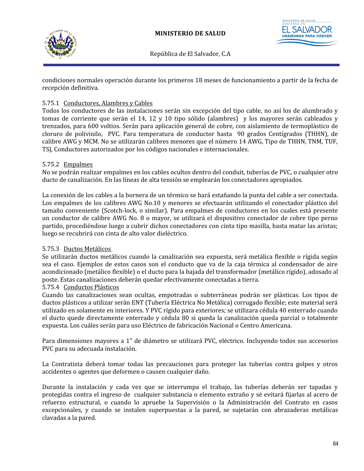



condiciones normales operación durante los primeros 18 meses de funcionamiento a partir de la fecha de recepción definitiva.

### 5.75.1 Conductores, Alambres y Cables

Todos los conductores de las instalaciones serán sin excepción del tipo cable, no así los de alumbrado y tomas de corriente que serán el 14, 12 y 10 tipo sólido (alambres) y los mayores serán cableados y trenzados, para 600 voltios. Serán para aplicación general de cobre, con aislamiento de termoplástico de cloruro de polivinilo, PVC. Para temperatura de conductor hasta 90 grados Centígrados (THHN), de calibre AWG y MCM. No se utilizarán calibres menores que el número 14 AWG, Tipo de THHN, TNM, TUF, TSJ, Conductores autorizados por los códigos nacionales e internacionales.

### 5.75.2 Empalmes

No se podrán realizar empalmes en los cables ocultos dentro del conduit, tuberías de PVC, o cualquier otro ducto de canalización. En las líneas de alta tensión se emplearán los conectadores apropiados.

La conexión de los cables a la bornera de un térmico se hará estañando la punta del cable a ser conectada. Los empalmes de los calibres AWG No.10 y menores se efectuarán utilizando el conectador plástico del tamaño conveniente (Scotch-lock, o similar). Para empalmes de conductores en los cuales está presente un conductor de calibre AWG No. 8 o mayor, se utilizará el dispositivo conectador de cobre tipo perno partido, procediéndose luego a cubrir dichos conectadores con cinta tipo masilla, hasta matar las aristas; luego se recubrirá con cinta de alto valor dieléctrico.

### 5.75.3 Ductos Metálicos

Se utilizarán ductos metálicos cuando la canalización sea expuesta, será metálica flexible o rígida según sea el caso. Ejemplos de estos casos son el conducto que va de la caja térmica al condensador de aire acondicionado (metálico flexible) o el ducto para la bajada del transformador (metálico rígido), adosado al poste. Estas canalizaciones deberán quedar efectivamente conectadas a tierra.

### 5.75.4 Conductos Plásticos

Cuando las canalizaciones sean ocultas, empotradas o subterráneas podrán ser plásticas. Los tipos de ductos plásticos a utilizar serán ENT (Tubería Eléctrica No Metálica) corrugado flexible; este material será utilizado en solamente en interiores. Y PVC rígido para exteriores; se utilizara cédula 40 enterrado cuando el ducto quede directamente enterrado y cédula 80 si queda la canalización queda parcial o totalmente expuesta. Los cuáles serán para uso Eléctrico de fabricación Nacional o Centro Americana.

Para dimensiones mayores a 1" de diámetro se utilizará PVC, eléctrico. Incluyendo todos sus accesorios PVC para su adecuada instalación.

La Contratista deberá tomar todas las precauciones para proteger las tuberías contra golpes y otros accidentes o agentes que deformen o causen cualquier daño.

Durante la instalación y cada vez que se interrumpa el trabajo, las tuberías deberán ser tapadas y protegidas contra el ingreso de cualquier substancia o elemento extraño y sé evitará fijarlas al acero de refuerzo estructural, o cuando lo apruebe la Supervisión o la Administración del Contrato en casos excepcionales, y cuando se instalen superpuestas a la pared, se sujetarán con abrazaderas metálicas clavadas a la pared.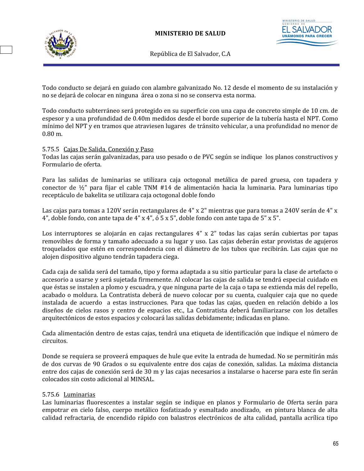

**UNÁMONOS PAF** 

República de El Salvador, C.A

Todo conducto se dejará en guiado con alambre galvanizado No. 12 desde el momento de su instalación y no se dejará de colocar en ninguna área o zona si no se conserva esta norma.

Todo conducto subterráneo será protegido en su superficie con una capa de concreto simple de 10 cm. de espesor y a una profundidad de 0.40m medidos desde el borde superior de la tubería hasta el NPT. Como mínimo del NPT y en tramos que atraviesen lugares de tránsito vehicular, a una profundidad no menor de 0.80 m.

### 5.75.5 Cajas De Salida, Conexión y Paso

Todas las cajas serán galvanizadas, para uso pesado o de PVC según se indique los planos constructivos y Formulario de oferta.

Para las salidas de luminarias se utilizara caja octogonal metálica de pared gruesa, con tapadera y conector de ½" para fijar el cable TNM #14 de alimentación hacia la luminaria. Para luminarias tipo receptáculo de bakelita se utilizara caja octogonal doble fondo

Las cajas para tomas a 120V serán rectangulares de 4" x 2" mientras que para tomas a 240V serán de 4" x 4", doble fondo, con ante tapa de 4" x 4", ó 5 x 5", doble fondo con ante tapa de 5" x 5".

Los interruptores se alojarán en cajas rectangulares 4" x 2" todas las cajas serán cubiertas por tapas removibles de forma y tamaño adecuado a su lugar y uso. Las cajas deberán estar provistas de agujeros troquelados que estén en correspondencia con el diámetro de los tubos que recibirán. Las cajas que no alojen dispositivo alguno tendrán tapadera ciega.

Cada caja de salida será del tamaño, tipo y forma adaptada a su sitio particular para la clase de artefacto o accesorio a usarse y será sujetada firmemente. Al colocar las cajas de salida se tendrá especial cuidado en que éstas se instalen a plomo y escuadra, y que ninguna parte de la caja o tapa se extienda más del repello, acabado o moldura. La Contratista deberá de nuevo colocar por su cuenta, cualquier caja que no quede instalada de acuerdo a estas instrucciones. Para que todas las cajas, queden en relación debido a los diseños de cielos rasos y centro de espacios etc., La Contratista deberá familiarizarse con los detalles arquitectónicos de estos espacios y colocará las salidas debidamente; indicadas en plano.

Cada alimentación dentro de estas cajas, tendrá una etiqueta de identificación que indique el número de circuitos.

Donde se requiera se proveerá empaques de hule que evite la entrada de humedad. No se permitirán más de dos curvas de 90 Grados o su equivalente entre dos cajas de conexión, salidas. La máxima distancia entre dos cajas de conexión será de 30 m y las cajas necesarios a instalarse o hacerse para este fin serán colocados sin costo adicional al MINSAL.

#### 5.75.6 Luminarias

Las luminarias fluorescentes a instalar según se indique en planos y Formulario de Oferta serán para empotrar en cielo falso, cuerpo metálico fosfatizado y esmaltado anodizado, en pintura blanca de alta calidad refractaria, de encendido rápido con balastros electrónicos de alta calidad, pantalla acrílica tipo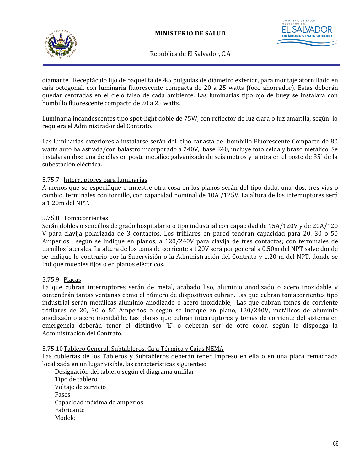



diamante. Receptáculo fijo de baquelita de 4.5 pulgadas de diámetro exterior, para montaje atornillado en caja octogonal, con luminaria fluorescente compacta de 20 a 25 watts (foco ahorrador). Estas deberán quedar centradas en el cielo falso de cada ambiente. Las luminarias tipo ojo de buey se instalara con bombillo fluorescente compacto de 20 a 25 watts.

Luminaria incandescentes tipo spot-light doble de 75W, con reflector de luz clara o luz amarilla, según lo requiera el Administrador del Contrato.

Las luminarias exteriores a instalarse serán del tipo canasta de bombillo Fluorescente Compacto de 80 watts auto balastrada/con balastro incorporado a 240V, base E40, incluye foto celda y brazo metálico. Se instalaran dos: una de ellas en poste metálico galvanizado de seis metros y la otra en el poste de 35´ de la subestación eléctrica.

### 5.75.7 Interruptores para luminarias

A menos que se especifique o muestre otra cosa en los planos serán del tipo dado, una, dos, tres vías o cambio, terminales con tornillo, con capacidad nominal de 10A /125V. La altura de los interruptores será a 1.20m del NPT.

#### 5.75.8 Tomacorrientes

Serán dobles o sencillos de grado hospitalario o tipo industrial con capacidad de 15A/120V y de 20A/120 V para clavija polarizada de 3 contactos. Los trifilares en pared tendrán capacidad para 20, 30 o 50 Amperios, según se indique en planos, a 120/240V para clavija de tres contactos; con terminales de tornillos laterales. La altura de los toma de corriente a 120V será por general a 0.50m del NPT salve donde se indique lo contrario por la Supervisión o la Administración del Contrato y 1.20 m del NPT, donde se indique muebles fijos o en planos eléctricos.

#### 5.75.9 Placas

La que cubran interruptores serán de metal, acabado liso, aluminio anodizado o acero inoxidable y contendrán tantas ventanas como el número de dispositivos cubran. Las que cubran tomacorrientes tipo industrial serán metálicas aluminio anodizado o acero inoxidable, Las que cubran tomas de corriente trifilares de 20, 30 o 50 Amperios o según se indique en plano, 120/240V, metálicos de aluminio anodizado o acero inoxidable. Las placas que cubran interruptores y tomas de corriente del sistema en emergencia deberán tener el distintivo ¨E¨ o deberán ser de otro color, según lo disponga la Administración del Contrato.

#### 5.75.10Tablero General, Subtableros, Caja Térmica y Cajas NEMA

Las cubiertas de los Tableros y Subtableros deberán tener impreso en ella o en una placa remachada localizada en un lugar visible, las características siguientes:

 Designación del tablero según el diagrama unifilar Tipo de tablero Voltaje de servicio Fases Capacidad máxima de amperios Fabricante Modelo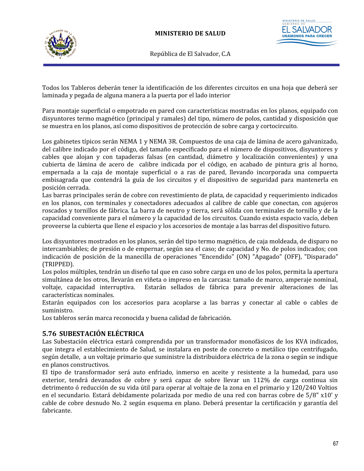

**ISTERIO DE SALUD UNÁMONOS PARA** 

República de El Salvador, C.A

Todos los Tableros deberán tener la identificación de los diferentes circuitos en una hoja que deberá ser laminada y pegada de alguna manera a la puerta por el lado interior

Para montaje superficial o empotrado en pared con características mostradas en los planos, equipado con disyuntores termo magnético (principal y ramales) del tipo, número de polos, cantidad y disposición que se muestra en los planos, así como dispositivos de protección de sobre carga y cortocircuito.

Los gabinetes típicos serán NEMA 1 y NEMA 3R. Compuestos de una caja de lámina de acero galvanizado, del calibre indicado por el código, del tamaño especificado para el número de dispositivos, disyuntores y cables que alojan y con tapaderas falsas (en cantidad, diámetro y localización convenientes) y una cubierta de lámina de acero de calibre indicada por el código, en acabado de pintura gris al horno, empernada a la caja de montaje superficial o a ras de pared, llevando incorporada una compuerta embisagrada que contendrá la guía de los circuitos y el dispositivo de seguridad para mantenerla en posición cerrada.

Las barras principales serán de cobre con revestimiento de plata, de capacidad y requerimiento indicados en los planos, con terminales y conectadores adecuados al calibre de cable que conectan, con agujeros roscados y tornillos de fábrica. La barra de neutro y tierra, será sólida con terminales de tornillo y de la capacidad conveniente para el número y la capacidad de los circuitos. Cuando exista espacio vacío, deben proveerse la cubierta que llene el espacio y los accesorios de montaje a las barras del dispositivo futuro.

Los disyuntores mostrados en los planos, serán del tipo termo magnético, de caja moldeada, de disparo no intercambiables; de presión o de empernar, según sea el caso; de capacidad y No. de polos indicados; con indicación de posición de la manecilla de operaciones "Encendido" (ON) "Apagado" (OFF), "Disparado" (TRIPPED).

Los polos múltiples, tendrán un diseño tal que en caso sobre carga en uno de los polos, permita la apertura simultánea de los otros, llevarán en viñeta o impreso en la carcasa: tamaño de marco, amperaje nominal, voltaje, capacidad interruptiva. Estarán sellados de fábrica para prevenir alteraciones de las características nominales.

Estarán equipados con los accesorios para acoplarse a las barras y conectar al cable o cables de suministro.

Los tableros serán marca reconocida y buena calidad de fabricación.

# **5.76 SUBESTACIÓN ELÉCTRICA**

Las Subestación eléctrica estará comprendida por un transformador monofásicos de los KVA indicados, que integra el establecimiento de Salud, se instalara en poste de concreto o metálico tipo centrifugado, según detalle, a un voltaje primario que suministre la distribuidora eléctrica de la zona o según se indique en planos constructivos.

El tipo de transformador será auto enfriado, inmerso en aceite y resistente a la humedad, para uso exterior, tendrá devanados de cobre y será capaz de sobre llevar un 112% de carga continua sin detrimento ó reducción de su vida útil para operar al voltaje de la zona en el primario y 120/240 Voltios en el secundario. Estará debidamente polarizada por medio de una red con barras cobre de 5/8" x10' y cable de cobre desnudo No. 2 según esquema en plano. Deberá presentar la certificación y garantía del fabricante.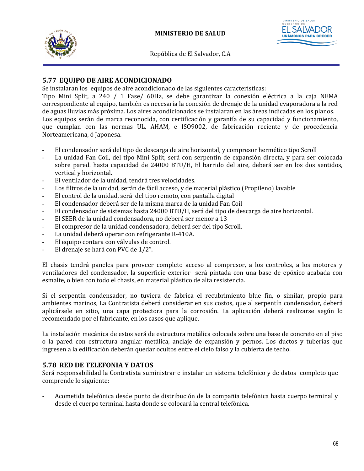



# **5.77 EQUIPO DE AIRE ACONDICIONADO**

Se instalaran los equipos de aire acondicionado de las siguientes características:

Tipo Mini Split, a 240 / 1 Fase/ 60Hz, se debe garantizar la conexión eléctrica a la caja NEMA correspondiente al equipo, también es necesaria la conexión de drenaje de la unidad evaporadora a la red de aguas lluvias más próxima. Los aires acondicionados se instalaran en las áreas indicadas en los planos. Los equipos serán de marca reconocida, con certificación y garantía de su capacidad y funcionamiento, que cumplan con las normas UL, AHAM, e ISO9002, de fabricación reciente y de procedencia Norteamericana, ó Japonesa.

- El condensador será del tipo de descarga de aire horizontal, y compresor hermético tipo Scroll
- La unidad Fan Coil, del tipo Mini Split, será con serpentín de expansión directa, y para ser colocada sobre pared. hasta capacidad de 24000 BTU/H, El barrido del aire, deberá ser en los dos sentidos, vertical y horizontal.
- El ventilador de la unidad, tendrá tres velocidades.
- Los filtros de la unidad, serán de fácil acceso, y de material plástico (Propileno) lavable
- El control de la unidad, será del tipo remoto, con pantalla digital
- El condensador deberá ser de la misma marca de la unidad Fan Coil
- El condensador de sistemas hasta 24000 BTU/H, será del tipo de descarga de aire horizontal.
- El SEER de la unidad condensadora, no deberá ser menor a 13
- El compresor de la unidad condensadora, deberá ser del tipo Scroll.
- La unidad deberá operar con refrigerante R-410A.
- El equipo contara con válvulas de control.
- El drenaje se hará con PVC de 1/2".

El chasis tendrá paneles para proveer completo acceso al compresor, a los controles, a los motores y ventiladores del condensador, la superficie exterior será pintada con una base de epóxico acabada con esmalte, o bien con todo el chasis, en material plástico de alta resistencia.

Si el serpentín condensador, no tuviera de fabrica el recubrimiento blue fin, o similar, propio para ambientes marinos, La Contratista deberá considerar en sus costos, que al serpentín condensador, deberá aplicársele en sitio, una capa protectora para la corrosión. La aplicación deberá realizarse según lo recomendado por el fabricante, en los casos que aplique.

La instalación mecánica de estos será de estructura metálica colocada sobre una base de concreto en el piso o la pared con estructura angular metálica, anclaje de expansión y pernos. Los ductos y tuberías que ingresen a la edificación deberán quedar ocultos entre el cielo falso y la cubierta de techo.

#### **5.78 RED DE TELEFONIA Y DATOS**

Será responsabilidad la Contratista suministrar e instalar un sistema telefónico y de datos completo que comprende lo siguiente:

- Acometida telefónica desde punto de distribución de la compañía telefónica hasta cuerpo terminal y desde el cuerpo terminal hasta donde se colocará la central telefónica.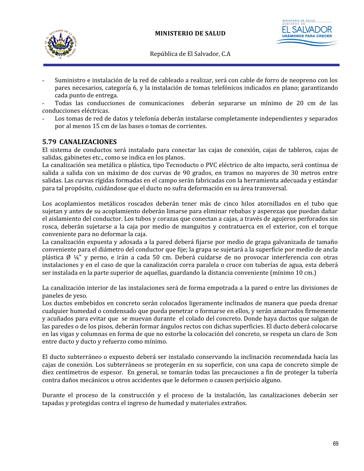



- Suministro e instalación de la red de cableado a realizar, será con cable de forro de neopreno con los pares necesarios, categoría 6, y la instalación de tomas telefónicos indicados en plano; garantizando cada punto de entrega.

Todas las conducciones de comunicaciones deberán separarse un mínimo de 20 cm de las conducciones eléctricas.

Los tomas de red de datos y telefonía deberán instalarse completamente independientes y separados por al menos 15 cm de las bases o tomas de corrientes.

## **5.79 CANALIZACIONES**

El sistema de conductos será instalado para conectar las cajas de conexión, cajas de tableros, cajas de salidas, gabinetes etc., como se indica en los planos.

La canalización sea metálica o plástica, tipo Tecnoducto o PVC eléctrico de alto impacto, será continua de salida a salida con un máximo de dos curvas de 90 grados, en tramos no mayores de 30 metros entre salidas. Las curvas rígidas formadas en el campo serán fabricadas con la herramienta adecuada y estándar para tal propósito, cuidándose que el ducto no sufra deformación en su área transversal.

Los acoplamientos metálicos roscados deberán tener más de cinco hilos atornillados en el tubo que sujetan y antes de su acoplamiento deberán limarse para eliminar rebabas y asperezas que puedan dañar el aislamiento del conductor. Los tubos y corazas que conectan a cajas, a través de agujeros perforados sin rosca, deberán sujetarse a la caja por medio de manguitos y contratuerca en el exterior, con el torque conveniente para no deformar la caja.

La canalización expuesta y adosada a la pared deberá fijarse por medio de grapa galvanizada de tamaño conveniente para el diámetro del conductor que fije; la grapa se sujetará a la superficie por medio de ancla plástica Ø ¼" y perno, e irán a cada 50 cm. Deberá cuidarse de no provocar interferencia con otras instalaciones y en el caso de que la canalización corra paralela o cruce con tuberías de agua, esta deberá ser instalada en la parte superior de aquellas, guardando la distancia conveniente (mínimo 10 cm.)

La canalización interior de las instalaciones será de forma empotrada a la pared o entre las divisiones de paneles de yeso.

Los ductos embebidos en concreto serán colocados ligeramente inclinados de manera que pueda drenar cualquier humedad o condensado que pueda penetrar o formarse en ellos, y serán amarrados firmemente y acuñados para evitar que se muevan durante el colado del concreto. Donde haya ductos que salgan de las paredes o de los pisos, deberán formar ángulos rectos con dichas superficies. El ducto deberá colocarse en las vigas y columnas en forma de que no estorbe la colocación del concreto, se respeta un claro de 3cm entre ducto y ducto y refuerzo como mínimo.

El ducto subterráneo o expuesto deberá ser instalado conservando la inclinación recomendada hacía las cajas de conexión. Los subterráneos se protegerán en su superficie, con una capa de concreto simple de diez centímetros de espesor. En general, se tomarán todas las precauciones a fin de proteger la tubería contra daños mecánicos u otros accidentes que le deformen o causen perjuicio alguno.

Durante el proceso de la construcción y el proceso de la instalación, las canalizaciones deberán ser tapadas y protegidas contra el ingreso de humedad y materiales extraños.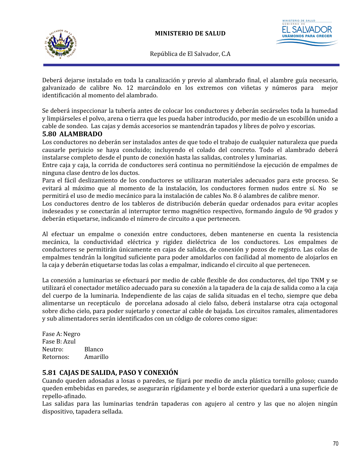



Deberá dejarse instalado en toda la canalización y previo al alambrado final, el alambre guía necesario, galvanizado de calibre No. 12 marcándolo en los extremos con viñetas y números para mejor identificación al momento del alambrado.

Se deberá inspeccionar la tubería antes de colocar los conductores y deberán secárseles toda la humedad y limpiárseles el polvo, arena o tierra que les pueda haber introducido, por medio de un escobillón unido a cable de sondeo. Las cajas y demás accesorios se mantendrán tapados y libres de polvo y escorias.

## **5.80 ALAMBRADO**

Los conductores no deberán ser instalados antes de que todo el trabajo de cualquier naturaleza que pueda causarle perjuicio se haya concluido; incluyendo el colado del concreto. Todo el alambrado deberá instalarse completo desde el punto de conexión hasta las salidas, controles y luminarias.

Entre caja y caja, la corrida de conductores será continua no permitiéndose la ejecución de empalmes de ninguna clase dentro de los ductos.

Para el fácil deslizamiento de los conductores se utilizaran materiales adecuados para este proceso. Se evitará al máximo que al momento de la instalación, los conductores formen nudos entre sí. No se permitirá el uso de medio mecánico para la instalación de cables No. 8 ó alambres de calibre menor.

Los conductores dentro de los tableros de distribución deberán quedar ordenados para evitar acoples indeseados y se conectarán al interruptor termo magnético respectivo, formando ángulo de 90 grados y deberán etiquetarse, indicando el número de circuito a que pertenecen.

Al efectuar un empalme o conexión entre conductores, deben mantenerse en cuenta la resistencia mecánica, la conductividad eléctrica y rigidez dieléctrica de los conductores. Los empalmes de conductores se permitirán únicamente en cajas de salidas, de conexión y pozos de registro. Las colas de empalmes tendrán la longitud suficiente para poder amoldarlos con facilidad al momento de alojarlos en la caja y deberán etiquetarse todas las colas a empalmar, indicando el circuito al que pertenecen.

La conexión a luminarias se efectuará por medio de cable flexible de dos conductores, del tipo TNM y se utilizará el conectador metálico adecuado para su conexión a la tapadera de la caja de salida como a la caja del cuerpo de la luminaria. Independiente de las cajas de salida situadas en el techo, siempre que deba alimentarse un receptáculo de porcelana adosado al cielo falso, deberá instalarse otra caja octogonal sobre dicho cielo, para poder sujetarlo y conectar al cable de bajada. Los circuitos ramales, alimentadores y sub alimentadores serán identificados con un código de colores como sigue:

Fase A: Negro Fase B: Azul Neutro: Blanco Retornos: Amarillo

## **5.81 CAJAS DE SALIDA, PASO Y CONEXIÓN**

Cuando queden adosadas a losas o paredes, se fijará por medio de ancla plástica tornillo goloso; cuando queden embebidas en paredes, se asegurarán rígidamente y el borde exterior quedará a una superficie de repello-afinado.

Las salidas para las luminarias tendrán tapaderas con agujero al centro y las que no alojen ningún dispositivo, tapadera sellada.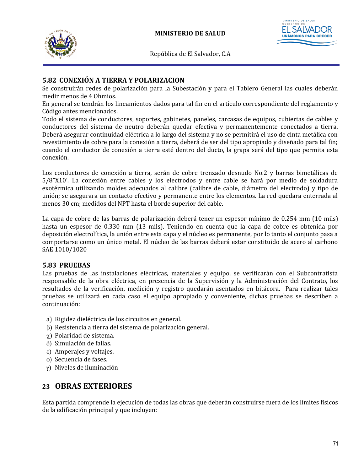



# **5.82 CONEXIÓN A TIERRA Y POLARIZACION**

Se construirán redes de polarización para la Subestación y para el Tablero General las cuales deberán medir menos de 4 Ohmios.

En general se tendrán los lineamientos dados para tal fin en el artículo correspondiente del reglamento y Código antes mencionados.

Todo el sistema de conductores, soportes, gabinetes, paneles, carcasas de equipos, cubiertas de cables y conductores del sistema de neutro deberán quedar efectiva y permanentemente conectados a tierra. Deberá asegurar continuidad eléctrica a lo largo del sistema y no se permitirá el uso de cinta metálica con revestimiento de cobre para la conexión a tierra, deberá de ser del tipo apropiado y diseñado para tal fin; cuando el conductor de conexión a tierra esté dentro del ducto, la grapa será del tipo que permita esta conexión.

Los conductores de conexión a tierra, serán de cobre trenzado desnudo No.2 y barras bimetálicas de 5/8"X10'. La conexión entre cables y los electrodos y entre cable se hará por medio de soldadura exotérmica utilizando moldes adecuados al calibre (calibre de cable, diámetro del electrodo) y tipo de unión; se asegurara un contacto efectivo y permanente entre los elementos. La red quedara enterrada al menos 30 cm; medidos del NPT hasta el borde superior del cable.

La capa de cobre de las barras de polarización deberá tener un espesor mínimo de 0.254 mm (10 mils) hasta un espesor de 0.330 mm (13 mils). Teniendo en cuenta que la capa de cobre es obtenida por deposición electrolítica, la unión entre esta capa y el núcleo es permanente, por lo tanto el conjunto pasa a comportarse como un único metal. El núcleo de las barras deberá estar constituido de acero al carbono SAE 1010/1020

## **5.83 PRUEBAS**

Las pruebas de las instalaciones eléctricas, materiales y equipo, se verificarán con el Subcontratista responsable de la obra eléctrica, en presencia de la Supervisión y la Administración del Contrato, los resultados de la verificación, medición y registro quedarán asentados en bitácora. Para realizar tales pruebas se utilizará en cada caso el equipo apropiado y conveniente, dichas pruebas se describen a continuación:

- a) Rigidez dieléctrica de los circuitos en general.
- $\beta$ ) Resistencia a tierra del sistema de polarización general.
- $\chi$ ) Polaridad de sistema.
- d) Simulación de fallas.
- e) Amperajes y voltajes.
- f) Secuencia de fases.
- g) Niveles de iluminación

# **23 OBRAS EXTERIORES**

Esta partida comprende la ejecución de todas las obras que deberán construirse fuera de los límites físicos de la edificación principal y que incluyen: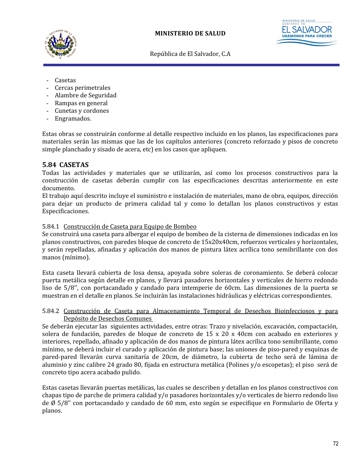



- **Casetas**
- Cercas perimetrales
- Alambre de Seguridad
- Rampas en general
- Cunetas y cordones
- Engramados.

Estas obras se construirán conforme al detalle respectivo incluido en los planos, las especificaciones para materiales serán las mismas que las de los capítulos anteriores (concreto reforzado y pisos de concreto simple planchado y sisado de acera, etc) en los casos que apliquen.

#### **5.84 CASETAS**

Todas las actividades y materiales que se utilizarán, así como los procesos constructivos para la construcción de casetas deberán cumplir con las especificaciones descritas anteriormente en este documento.

El trabajo aquí descrito incluye el suministro e instalación de materiales, mano de obra, equipos, dirección para dejar un producto de primera calidad tal y como lo detallan los planos constructivos y estas Especificaciones.

#### 5.84.1 Construcción de Caseta para Equipo de Bombeo

Se construirá una caseta para albergar el equipo de bombeo de la cisterna de dimensiones indicadas en los planos constructivos, con paredes bloque de concreto de 15x20x40cm, refuerzos verticales y horizontales, y serán repelladas, afinadas y aplicación dos manos de pintura látex acrílica tono semibrillante con dos manos (mínimo).

Esta caseta llevará cubierta de losa densa, apoyada sobre soleras de coronamiento. Se deberá colocar puerta metálica según detalle en planos, y llevará pasadores horizontales y verticales de hierro redondo liso de 5/8'', con portacandado y candado para intemperie de 60cm. Las dimensiones de la puerta se muestran en el detalle en planos. Se incluirán las instalaciones hidráulicas y eléctricas correspondientes.

5.84.2 Construcción de Caseta para Almacenamiento Temporal de Desechos Bioinfecciosos y para Depósito de Desechos Comunes

Se deberán ejecutar las siguientes actividades, entre otras: Trazo y nivelación, excavación, compactación, solera de fundación, paredes de bloque de concreto de 15 x 20 x 40cm con acabado en exteriores y interiores, repellado, afinado y aplicación de dos manos de pintura látex acrílica tono semibrillante, como mínimo, se deberá incluir el curado y aplicación de pintura base; las uniones de piso-pared y esquinas de pared-pared llevarán curva sanitaría de 20cm, de diámetro, la cubierta de techo será de lámina de aluminio y zinc calibre 24 grado 80, fijada en estructura metálica (Polines y/o escopetas); el piso será de concreto tipo acera acabado pulido.

Estas casetas llevarán puertas metálicas, las cuales se describen y detallan en los planos constructivos con chapas tipo de parche de primera calidad y/o pasadores horizontales y/o verticales de hierro redondo liso de Ø 5/8'' con portacandado y candado de 60 mm, esto según se especifique en Formulario de Oferta y planos.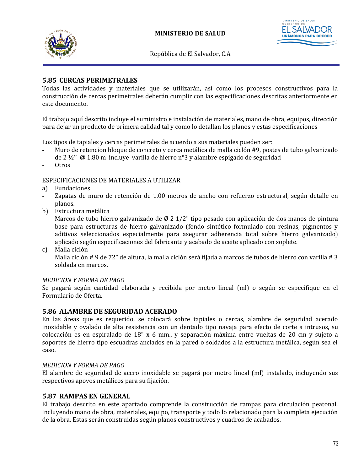



## **5.85 CERCAS PERIMETRALES**

Todas las actividades y materiales que se utilizarán, así como los procesos constructivos para la construcción de cercas perimetrales deberán cumplir con las especificaciones descritas anteriormente en este documento.

El trabajo aquí descrito incluye el suministro e instalación de materiales, mano de obra, equipos, dirección para dejar un producto de primera calidad tal y como lo detallan los planos y estas especificaciones

Los tipos de tapiales y cercas perimetrales de acuerdo a sus materiales pueden ser:

- Muro de retencion bloque de concreto y cerca metálica de malla ciclón #9, postes de tubo galvanizado de 2 ½'' @ 1.80 m incluye varilla de hierro n°3 y alambre espigado de seguridad
- 0tros

ESPECIFICACIONES DE MATERIALES A UTILIZAR

- a) Fundaciones
- Zapatas de muro de retención de 1.00 metros de ancho con refuerzo estructural, según detalle en planos.
- b) Estructura metálica

Marcos de tubo hierro galvanizado de Ø 2 1/2" tipo pesado con aplicación de dos manos de pintura base para estructuras de hierro galvanizado (fondo sintético formulado con resinas, pigmentos y aditivos seleccionados especialmente para asegurar adherencia total sobre hierro galvanizado) aplicado según especificaciones del fabricante y acabado de aceite aplicado con soplete.

c) Malla ciclón Malla ciclón # 9 de 72" de altura, la malla ciclón será fijada a marcos de tubos de hierro con varilla # 3 soldada en marcos.

#### *MEDICION Y FORMA DE PAGO*

Se pagará según cantidad elaborada y recibida por metro lineal (ml) o según se especifique en el Formulario de Oferta.

#### **5.86 ALAMBRE DE SEGURIDAD ACERADO**

En las áreas que es requerido, se colocará sobre tapiales o cercas, alambre de seguridad acerado inoxidable y ovalado de alta resistencia con un dentado tipo navaja para efecto de corte a intrusos, su colocación es en espiralado de 18" x 6 mm., y separación máxima entre vueltas de 20 cm y sujeto a soportes de hierro tipo escuadras anclados en la pared o soldados a la estructura metálica, según sea el caso.

#### *MEDICION Y FORMA DE PAGO*

El alambre de seguridad de acero inoxidable se pagará por metro lineal (ml) instalado, incluyendo sus respectivos apoyos metálicos para su fijación.

#### **5.87 RAMPAS EN GENERAL**

El trabajo descrito en este apartado comprende la construcción de rampas para circulación peatonal, incluyendo mano de obra, materiales, equipo, transporte y todo lo relacionado para la completa ejecución de la obra. Estas serán construidas según planos constructivos y cuadros de acabados.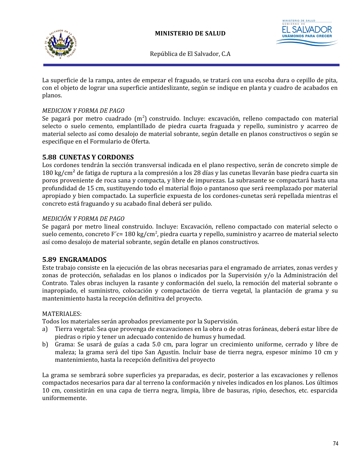



La superficie de la rampa, antes de empezar el fraguado, se tratará con una escoba dura o cepillo de pita, con el objeto de lograr una superficie antideslizante, según se indique en planta y cuadro de acabados en planos.

#### *MEDICION Y FORMA DE PAGO*

Se pagará por metro cuadrado  $(m^2)$  construido. Incluye: excavación, relleno compactado con material selecto o suelo cemento, emplantillado de piedra cuarta fraguada y repello, suministro y acarreo de material selecto así como desalojo de material sobrante, según detalle en planos constructivos o según se especifique en el Formulario de Oferta.

#### **5.88 CUNETAS Y CORDONES**

Los cordones tendrán la sección transversal indicada en el plano respectivo, serán de concreto simple de 180 kg/cm<sup>2</sup> de fatiga de ruptura a la compresión a los 28 días y las cunetas llevarán base piedra cuarta sin poros proveniente de roca sana y compacta, y libre de impurezas. La subrasante se compactará hasta una profundidad de 15 cm, sustituyendo todo el material flojo o pantanoso que será reemplazado por material apropiado y bien compactado. La superficie expuesta de los cordones-cunetas será repellada mientras el concreto está fraguando y su acabado final deberá ser pulido.

#### *MEDICIÓN Y FORMA DE PAGO*

Se pagará por metro lineal construido. Incluye: Excavación, relleno compactado con material selecto o suelo cemento, concreto F´c= 180 kg/cm<sup>2</sup>, piedra cuarta y repello, suministro y acarreo de material selecto así como desalojo de material sobrante, según detalle en planos constructivos.

#### **5.89 ENGRAMADOS**

Este trabajo consiste en la ejecución de las obras necesarias para el engramado de arriates, zonas verdes y zonas de protección, señaladas en los planos o indicados por la Supervisión y/o la Administración del Contrato. Tales obras incluyen la rasante y conformación del suelo, la remoción del material sobrante o inapropiado, el suministro, colocación y compactación de tierra vegetal, la plantación de grama y su mantenimiento hasta la recepción definitiva del proyecto.

#### MATERIALES:

Todos los materiales serán aprobados previamente por la Supervisión.

- a) Tierra vegetal: Sea que provenga de excavaciones en la obra o de otras foráneas, deberá estar libre de piedras o ripio y tener un adecuado contenido de humus y humedad.
- b) Grama: Se usará de guías a cada 5.0 cm, para lograr un crecimiento uniforme, cerrado y libre de maleza; la grama será del tipo San Agustín. Incluir base de tierra negra, espesor mínimo 10 cm y mantenimiento, hasta la recepción definitiva del proyecto

La grama se sembrará sobre superficies ya preparadas, es decir, posterior a las excavaciones y rellenos compactados necesarios para dar al terreno la conformación y niveles indicados en los planos. Los últimos 10 cm, consistirán en una capa de tierra negra, limpia, libre de basuras, ripio, desechos, etc. esparcida uniformemente.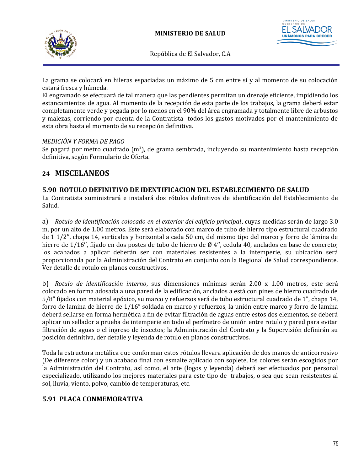



La grama se colocará en hileras espaciadas un máximo de 5 cm entre sí y al momento de su colocación estará fresca y húmeda.

El engramado se efectuará de tal manera que las pendientes permitan un drenaje eficiente, impidiendo los estancamientos de agua. Al momento de la recepción de esta parte de los trabajos, la grama deberá estar completamente verde y pegada por lo menos en el 90% del área engramada y totalmente libre de arbustos y malezas, corriendo por cuenta de la Contratista todos los gastos motivados por el mantenimiento de esta obra hasta el momento de su recepción definitiva.

#### *MEDICIÓN Y FORMA DE PAGO*

Se pagará por metro cuadrado (m<sup>2</sup>), de grama sembrada, incluyendo su mantenimiento hasta recepción definitiva, según Formulario de Oferta.

# **24 MISCELANEOS**

#### **5.90 ROTULO DEFINITIVO DE IDENTIFICACION DEL ESTABLECIMIENTO DE SALUD**

La Contratista suministrará e instalará dos rótulos definitivos de identificación del Establecimiento de Salud.

a) *Rotulo de identificación colocado en el exterior del edificio principal*, cuyas medidas serán de largo 3.0 m, por un alto de 1.00 metros. Este será elaborado con marco de tubo de hierro tipo estructural cuadrado de 1 1/2'', chapa 14, verticales y horizontal a cada 50 cm, del mismo tipo del marco y forro de lámina de hierro de 1/16", fijado en dos postes de tubo de hierro de Ø 4", cedula 40, anclados en base de concreto; los acabados a aplicar deberán ser con materiales resistentes a la intemperie, su ubicación será proporcionada por la Administración del Contrato en conjunto con la Regional de Salud correspondiente. Ver detalle de rotulo en planos constructivos.

b) *Rotulo de identificación interno*, sus dimensiones mínimas serán 2.00 x 1.00 metros, este será colocado en forma adosada a una pared de la edificación, anclados a está con pines de hierro cuadrado de 5/8" fijados con material epóxico, su marco y refuerzos será de tubo estructural cuadrado de 1", chapa 14, forro de lamina de hierro de 1/16" soldada en marco y refuerzos, la unión entre marco y forro de lamina deberá sellarse en forma hermética a fin de evitar filtración de aguas entre estos dos elementos, se deberá aplicar un sellador a prueba de intemperie en todo el perímetro de unión entre rotulo y pared para evitar filtración de aguas o el ingreso de insectos; la Administración del Contrato y la Supervisión definirán su posición definitiva, der detalle y leyenda de rotulo en planos constructivos.

Toda la estructura metálica que conforman estos rótulos llevara aplicación de dos manos de anticorrosivo (De diferente color) y un acabado final con esmalte aplicado con soplete, los colores serán escogidos por la Administración del Contrato, así como, el arte (logos y leyenda) deberá ser efectuados por personal especializado, utilizando los mejores materiales para este tipo de trabajos, o sea que sean resistentes al sol, lluvia, viento, polvo, cambio de temperaturas, etc.

# **5.91 PLACA CONMEMORATIVA**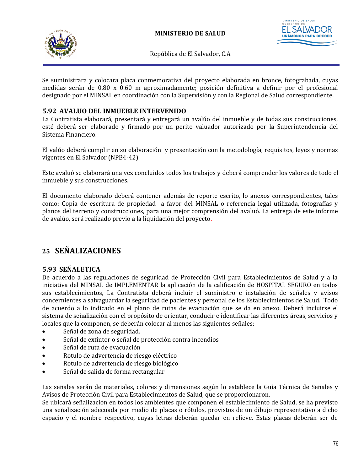



Se suministrara y colocara placa conmemorativa del proyecto elaborada en bronce, fotograbada, cuyas medidas serán de 0.80 x 0.60 m aproximadamente; posición definitiva a definir por el profesional designado por el MINSAL en coordinación con la Supervisión y con la Regional de Salud correspondiente.

## **5.92 AVALUO DEL INMUEBLE INTERVENIDO**

La Contratista elaborará, presentará y entregará un avalúo del inmueble y de todas sus construcciones, esté deberá ser elaborado y firmado por un perito valuador autorizado por la Superintendencia del Sistema Financiero.

El valúo deberá cumplir en su elaboración y presentación con la metodología, requisitos, leyes y normas vigentes en El Salvador (NPB4-42)

Este avaluó se elaborará una vez concluidos todos los trabajos y deberá comprender los valores de todo el inmueble y sus construcciones.

El documento elaborado deberá contener además de reporte escrito, lo anexos correspondientes, tales como: Copia de escritura de propiedad a favor del MINSAL o referencia legal utilizada, fotografías y planos del terreno y construcciones, para una mejor comprensión del avaluó. La entrega de este informe de avalúo, será realizado previo a la liquidación del proyecto.

# **25 SEÑALIZACIONES**

#### **5.93 SEÑALETICA**

De acuerdo a las regulaciones de seguridad de Protección Civil para Establecimientos de Salud y a la iniciativa del MINSAL de IMPLEMENTAR la aplicación de la calificación de HOSPITAL SEGURO en todos sus establecimientos, La Contratista deberá incluir el suministro e instalación de señales y avisos concernientes a salvaguardar la seguridad de pacientes y personal de los Establecimientos de Salud. Todo de acuerdo a lo indicado en el plano de rutas de evacuación que se da en anexo. Deberá incluirse el sistema de señalización con el propósito de orientar, conducir e identificar las diferentes áreas, servicios y locales que la componen, se deberán colocar al menos las siguientes señales:

- Señal de zona de seguridad.
- Señal de extintor o señal de protección contra incendios
- Señal de ruta de evacuación
- Rotulo de advertencia de riesgo eléctrico
- Rotulo de advertencia de riesgo biológico
- Señal de salida de forma rectangular

Las señales serán de materiales, colores y dimensiones según lo establece la Guía Técnica de Señales y Avisos de Protección Civil para Establecimientos de Salud, que se proporcionaron.

Se ubicará señalización en todos los ambientes que componen el establecimiento de Salud, se ha previsto una señalización adecuada por medio de placas o rótulos, provistos de un dibujo representativo a dicho espacio y el nombre respectivo, cuyas letras deberán quedar en relieve. Estas placas deberán ser de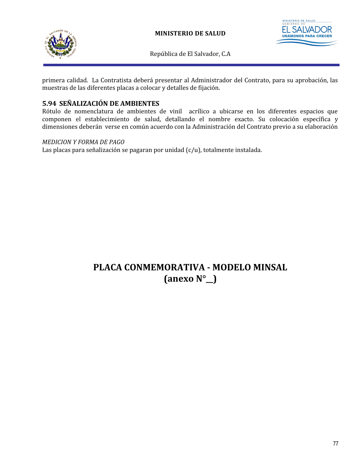



primera calidad. La Contratista deberá presentar al Administrador del Contrato, para su aprobación, las muestras de las diferentes placas a colocar y detalles de fijación.

## **5.94 SEÑALIZACIÓN DE AMBIENTES**

Rótulo de nomenclatura de ambientes de vinil acrílico a ubicarse en los diferentes espacios que componen el establecimiento de salud, detallando el nombre exacto. Su colocación específica y dimensiones deberán verse en común acuerdo con la Administración del Contrato previo a su elaboración

#### *MEDICION Y FORMA DE PAGO*

Las placas para señalización se pagaran por unidad (c/u), totalmente instalada.

# **PLACA CONMEMORATIVA - MODELO MINSAL (anexo N°\_\_)**